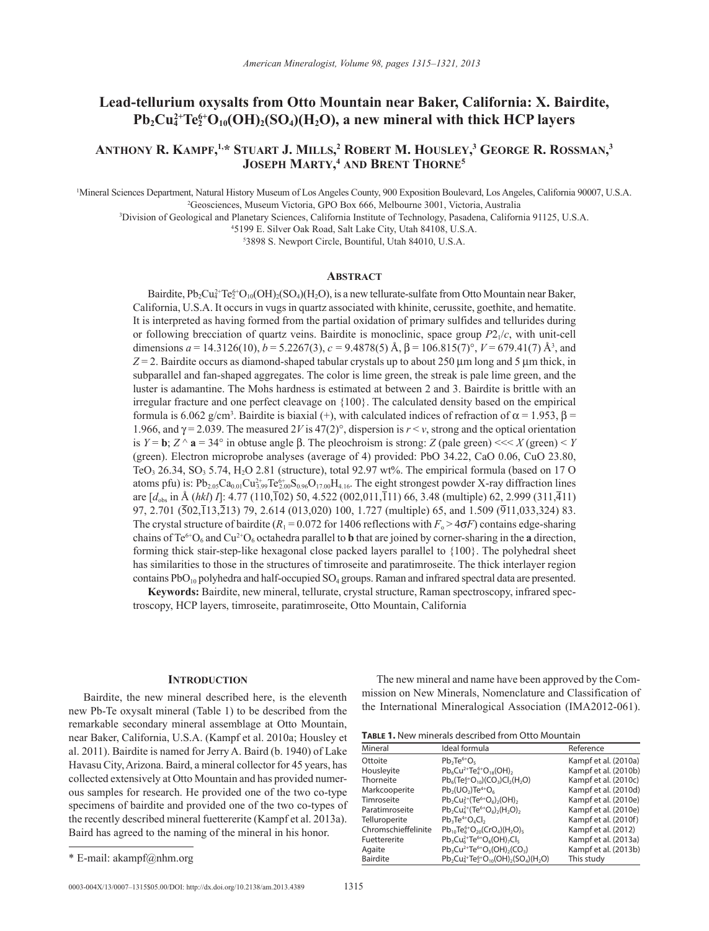# **Lead-tellurium oxysalts from Otto Mountain near Baker, California: X. Bairdite,**  Pb<sub>2</sub>Cu<sup>2+</sup>Te<sup>6+</sup>O<sub>10</sub>(OH)<sub>2</sub>(SO<sub>4</sub>)(H<sub>2</sub>O), a new mineral with thick HCP layers

**Anthony R. Kampf, 1,\* Stuart J. Mills, 2 Robert M. Housley, 3 George R. Rossman, 3 Joseph Marty, <sup>4</sup> and Brent Thorne5**

1 Mineral Sciences Department, Natural History Museum of Los Angeles County, 900 Exposition Boulevard, Los Angeles, California 90007, U.S.A. 2 Geosciences, Museum Victoria, GPO Box 666, Melbourne 3001, Victoria, Australia

3 Division of Geological and Planetary Sciences, California Institute of Technology, Pasadena, California 91125, U.S.A.

4 5199 E. Silver Oak Road, Salt Lake City, Utah 84108, U.S.A.

5 3898 S. Newport Circle, Bountiful, Utah 84010, U.S.A.

#### **ABSTRACT**

Bairdite,  $Pb_2Cu_4^{2+}Te_2^{6+}O_{10}(OH)_2(SO_4)(H_2O)$ , is a new tellurate-sulfate from Otto Mountain near Baker, California, U.S.A. It occurs in vugs in quartz associated with khinite, cerussite, goethite, and hematite. It is interpreted as having formed from the partial oxidation of primary sulfides and tellurides during or following brecciation of quartz veins. Bairdite is monoclinic, space group  $P2_1/c$ , with unit-cell dimensions  $a = 14.3126(10)$ ,  $b = 5.2267(3)$ ,  $c = 9.4878(5)$  Å,  $\beta = 106.815(7)$ °,  $V = 679.41(7)$  Å<sup>3</sup>, and  $Z = 2$ . Bairdite occurs as diamond-shaped tabular crystals up to about 250 µm long and 5 µm thick, in subparallel and fan-shaped aggregates. The color is lime green, the streak is pale lime green, and the luster is adamantine. The Mohs hardness is estimated at between 2 and 3. Bairdite is brittle with an irregular fracture and one perfect cleavage on {100}. The calculated density based on the empirical formula is 6.062 g/cm<sup>3</sup>. Bairdite is biaxial (+), with calculated indices of refraction of  $\alpha$  = 1.953,  $\beta$  = 1.966, and  $\gamma$  = 2.039. The measured 2*V* is 47(2)°, dispersion is  $r < v$ , strong and the optical orientation is  $Y = \mathbf{b}$ ;  $Z \wedge \mathbf{a} = 34^{\circ}$  in obtuse angle  $\beta$ . The pleochroism is strong: *Z* (pale green) <<< *X* (green) < *Y* (green). Electron microprobe analyses (average of 4) provided: PbO 34.22, CaO 0.06, CuO 23.80, TeO<sub>3</sub> 26.34, SO<sub>3</sub> 5.74, H<sub>2</sub>O 2.81 (structure), total 92.97 wt%. The empirical formula (based on 17 O atoms pfu) is:  $Pb_{2.05}Ca_{0.01}Cu_{3.99}^{2.9}Te_{2.00}^{4.0}S_{0.96}O_{17.00}H_{4.16}$ . The eight strongest powder X-ray diffraction lines are  $[d_{obs}$  in Å (*hkl*) *I*]: 4.77 (110, $\overline{1}02$ ) 50, 4.522 (002,011, $\overline{1}11$ ) 66, 3.48 (multiple) 62, 2.999 (311, $\overline{4}11$ ) 97, 2.701 (502,113,213) 79, 2.614 (013,020) 100, 1.727 (multiple) 65, and 1.509 (911,033,324) 83. The crystal structure of bairdite ( $R_1 = 0.072$  for 1406 reflections with  $F_0 > 4\sigma F$ ) contains edge-sharing chains of  $Te^{6+}O_6$  and  $Cu^{2+}O_6$  octahedra parallel to **b** that are joined by corner-sharing in the **a** direction, forming thick stair-step-like hexagonal close packed layers parallel to {100}. The polyhedral sheet has similarities to those in the structures of timroseite and paratimroseite. The thick interlayer region contains PbO<sub>10</sub> polyhedra and half-occupied SO<sub>4</sub> groups. Raman and infrared spectral data are presented.

**Keywords:** Bairdite, new mineral, tellurate, crystal structure, Raman spectroscopy, infrared spectroscopy, HCP layers, timroseite, paratimroseite, Otto Mountain, California

#### **Introduction**

Bairdite, the new mineral described here, is the eleventh new Pb-Te oxysalt mineral (Table 1) to be described from the remarkable secondary mineral assemblage at Otto Mountain, near Baker, California, U.S.A. (Kampf et al. 2010a; Housley et al. 2011). Bairdite is named for Jerry A. Baird (b. 1940) of Lake Havasu City, Arizona. Baird, a mineral collector for 45 years, has collected extensively at Otto Mountain and has provided numerous samples for research. He provided one of the two co-type specimens of bairdite and provided one of the two co-types of the recently described mineral fuettererite (Kampf et al. 2013a). Baird has agreed to the naming of the mineral in his honor.

The new mineral and name have been approved by the Commission on New Minerals, Nomenclature and Classification of the International Mineralogical Association (IMA2012-061).

| <b>TABLE 1.</b> New minerals described from Otto Mountain |  |  |
|-----------------------------------------------------------|--|--|
|-----------------------------------------------------------|--|--|

| Mineral              | Ideal formula                                                                | Reference            |
|----------------------|------------------------------------------------------------------------------|----------------------|
| Ottoite              | $Pb2Te6+O5$                                                                  | Kampf et al. (2010a) |
| Housleyite           | $Pb_6Cu^{2+}Te_4^{6+}O_{18}(OH)$                                             | Kampf et al. (2010b) |
| Thorneite            | $Pb_6(Te_2^{6+}O_{10})$ (CO <sub>3</sub> )Cl <sub>2</sub> (H <sub>2</sub> O) | Kampf et al. (2010c) |
| Markcooperite        | $Pb2(UO2)Te4+O6$                                                             | Kampf et al. (2010d) |
| Timroseite           | $Pb_2Cu_5^{2+}(Te^{6+}O_6)_2(OH)$                                            | Kampf et al. (2010e) |
| Paratimroseite       | $Pb, Cu42+(Te6+O6), (H, O),$                                                 | Kampf et al. (2010e) |
| <b>Telluroperite</b> | $Pb_3Te^{4+}O_4Cl_2$                                                         | Kampf et al. (2010f) |
| Chromschieffelinite  | $Pb_{10}Te_6^{6+}O_{20}(CrO_4)(H_2O)_5$                                      | Kampf et al. (2012)  |
| Fuettererite         | $Pb_3Cu_6^{2+}Te^{6+}O_6(OH)_7Cl_5$                                          | Kampf et al. (2013a) |
| Agaite               | $Pb_3Cu^{2+}Te^{6+}O_5(OH)$ <sub>2</sub> (CO <sub>3</sub> )                  | Kampf et al. (2013b) |
| Bairdite             | $Pb_2Cu_4^{2+}Te_2^{6+}O_{10}(OH)_2(SO_4)(H_2O)$                             | This study           |

<sup>\*</sup> E-mail: akampf@nhm.org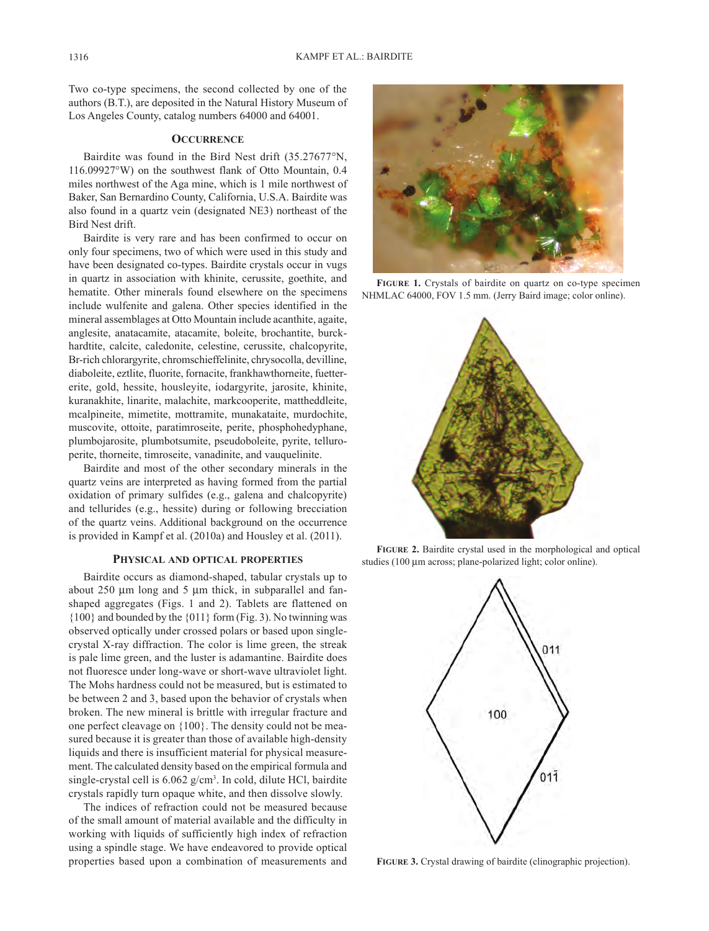Two co-type specimens, the second collected by one of the authors (B.T.), are deposited in the Natural History Museum of Los Angeles County, catalog numbers 64000 and 64001.

#### **Occurrence**

Bairdite was found in the Bird Nest drift (35.27677°N, 116.09927°W) on the southwest flank of Otto Mountain, 0.4 miles northwest of the Aga mine, which is 1 mile northwest of Baker, San Bernardino County, California, U.S.A. Bairdite was also found in a quartz vein (designated NE3) northeast of the Bird Nest drift.

Bairdite is very rare and has been confirmed to occur on only four specimens, two of which were used in this study and have been designated co-types. Bairdite crystals occur in vugs in quartz in association with khinite, cerussite, goethite, and hematite. Other minerals found elsewhere on the specimens include wulfenite and galena. Other species identified in the mineral assemblages at Otto Mountain include acanthite, agaite, anglesite, anatacamite, atacamite, boleite, brochantite, burckhardtite, calcite, caledonite, celestine, cerussite, chalcopyrite, Br-rich chlorargyrite, chromschieffelinite, chrysocolla, devilline, diaboleite, eztlite, fluorite, fornacite, frankhawthorneite, fuettererite, gold, hessite, housleyite, iodargyrite, jarosite, khinite, kuranakhite, linarite, malachite, markcooperite, mattheddleite, mcalpineite, mimetite, mottramite, munakataite, murdochite, muscovite, ottoite, paratimroseite, perite, phosphohedyphane, plumbojarosite, plumbotsumite, pseudoboleite, pyrite, telluroperite, thorneite, timroseite, vanadinite, and vauquelinite.

Bairdite and most of the other secondary minerals in the quartz veins are interpreted as having formed from the partial oxidation of primary sulfides (e.g., galena and chalcopyrite) and tellurides (e.g., hessite) during or following brecciation of the quartz veins. Additional background on the occurrence is provided in Kampf et al. (2010a) and Housley et al. (2011).

#### **Physical and optical properties**

Bairdite occurs as diamond-shaped, tabular crystals up to about  $250 \mu m$  long and  $5 \mu m$  thick, in subparallel and fanshaped aggregates (Figs. 1 and 2). Tablets are flattened on {100} and bounded by the {011} form (Fig. 3). No twinning was observed optically under crossed polars or based upon singlecrystal X-ray diffraction. The color is lime green, the streak is pale lime green, and the luster is adamantine. Bairdite does not fluoresce under long-wave or short-wave ultraviolet light. The Mohs hardness could not be measured, but is estimated to be between 2 and 3, based upon the behavior of crystals when broken. The new mineral is brittle with irregular fracture and one perfect cleavage on {100}. The density could not be measured because it is greater than those of available high-density liquids and there is insufficient material for physical measurement. The calculated density based on the empirical formula and single-crystal cell is 6.062 g/cm<sup>3</sup>. In cold, dilute HCl, bairdite crystals rapidly turn opaque white, and then dissolve slowly.

The indices of refraction could not be measured because of the small amount of material available and the difficulty in working with liquids of sufficiently high index of refraction using a spindle stage. We have endeavored to provide optical properties based upon a combination of measurements and



**Figure 1.** Crystals of bairdite on quartz on co-type specimen NHMLAC 64000, FOV 1.5 mm. (Jerry Baird image; color online).



**Figure 2.** Bairdite crystal used in the morphological and optical studies (100 µm across; plane-polarized light; color online).



**Figure 3.** Crystal drawing of bairdite (clinographic projection).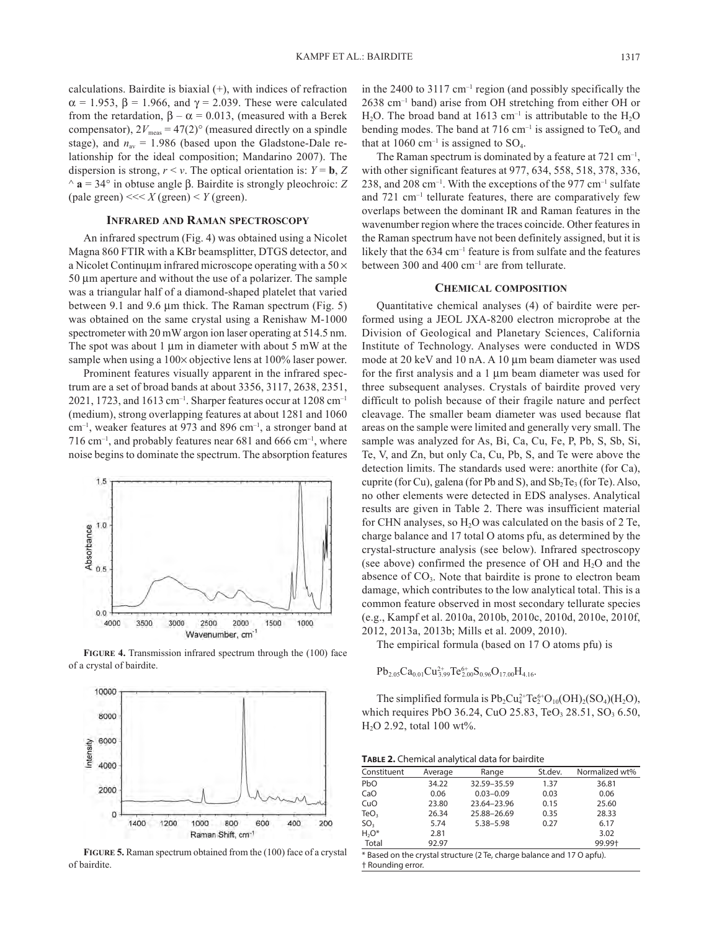calculations. Bairdite is biaxial (+), with indices of refraction  $\alpha$  = 1.953,  $\beta$  = 1.966, and  $\gamma$  = 2.039. These were calculated from the retardation,  $\beta - \alpha = 0.013$ , (measured with a Berek compensator),  $2V_{\text{meas}} = 47(2)°$  (measured directly on a spindle stage), and  $n_{av} = 1.986$  (based upon the Gladstone-Dale relationship for the ideal composition; Mandarino 2007). The dispersion is strong,  $r \leq v$ . The optical orientation is:  $Y = \mathbf{b}$ ,  $Z$  $\alpha$  **a** = 34° in obtuse angle  $\beta$ . Bairdite is strongly pleochroic: *Z*  $(\text{pale green}) \ll < X (\text{green}) < Y (\text{green}).$ 

# **Infrared and Raman spectroscopy**

An infrared spectrum (Fig. 4) was obtained using a Nicolet Magna 860 FTIR with a KBr beamsplitter, DTGS detector, and a Nicolet Continuum infrared microscope operating with a  $50 \times$  $50 \mu m$  aperture and without the use of a polarizer. The sample was a triangular half of a diamond-shaped platelet that varied between 9.1 and 9.6  $\mu$ m thick. The Raman spectrum (Fig. 5) was obtained on the same crystal using a Renishaw M-1000 spectrometer with 20 mW argon ion laser operating at 514.5 nm. The spot was about 1  $\mu$ m in diameter with about 5 mW at the sample when using a  $100 \times$  objective lens at  $100\%$  laser power.

Prominent features visually apparent in the infrared spectrum are a set of broad bands at about 3356, 3117, 2638, 2351, 2021, 1723, and 1613 cm<sup>-1</sup>. Sharper features occur at  $1208 \text{ cm}^{-1}$ (medium), strong overlapping features at about 1281 and 1060 cm–1, weaker features at 973 and 896 cm–1, a stronger band at 716 cm<sup>-1</sup>, and probably features near 681 and 666 cm<sup>-1</sup>, where noise begins to dominate the spectrum. The absorption features



**Figure 4.** Transmission infrared spectrum through the (100) face of a crystal of bairdite.



**Figure 5.** Raman spectrum obtained from the (100) face of a crystal of bairdite.

in the  $2400$  to  $3117 \text{ cm}^{-1}$  region (and possibly specifically the 2638 cm–1 band) arise from OH stretching from either OH or  $H<sub>2</sub>O$ . The broad band at 1613 cm<sup>-1</sup> is attributable to the  $H<sub>2</sub>O$ bending modes. The band at 716 cm<sup>-1</sup> is assigned to  $TeO<sub>6</sub>$  and that at 1060 cm<sup>-1</sup> is assigned to  $SO_4$ .

The Raman spectrum is dominated by a feature at  $721 \text{ cm}^{-1}$ , with other significant features at 977, 634, 558, 518, 378, 336, 238, and 208 cm<sup>-1</sup>. With the exceptions of the 977 cm<sup>-1</sup> sulfate and  $721 \text{ cm}^{-1}$  tellurate features, there are comparatively few overlaps between the dominant IR and Raman features in the wavenumber region where the traces coincide. Other features in the Raman spectrum have not been definitely assigned, but it is likely that the 634 cm<sup>-1</sup> feature is from sulfate and the features between 300 and 400 cm<sup>-1</sup> are from tellurate.

#### **Chemical composition**

Quantitative chemical analyses (4) of bairdite were performed using a JEOL JXA-8200 electron microprobe at the Division of Geological and Planetary Sciences, California Institute of Technology. Analyses were conducted in WDS mode at 20 keV and 10 nA. A 10 µm beam diameter was used for the first analysis and a  $1 \mu m$  beam diameter was used for three subsequent analyses. Crystals of bairdite proved very difficult to polish because of their fragile nature and perfect cleavage. The smaller beam diameter was used because flat areas on the sample were limited and generally very small. The sample was analyzed for As, Bi, Ca, Cu, Fe, P, Pb, S, Sb, Si, Te, V, and Zn, but only Ca, Cu, Pb, S, and Te were above the detection limits. The standards used were: anorthite (for Ca), cuprite (for Cu), galena (for Pb and S), and  $Sb<sub>2</sub>Te<sub>3</sub>$  (for Te). Also, no other elements were detected in EDS analyses. Analytical results are given in Table 2. There was insufficient material for CHN analyses, so  $H_2O$  was calculated on the basis of 2 Te, charge balance and 17 total O atoms pfu, as determined by the crystal-structure analysis (see below). Infrared spectroscopy (see above) confirmed the presence of OH and  $H_2O$  and the absence of  $CO<sub>3</sub>$ . Note that bairdite is prone to electron beam damage, which contributes to the low analytical total. This is a common feature observed in most secondary tellurate species (e.g., Kampf et al. 2010a, 2010b, 2010c, 2010d, 2010e, 2010f, 2012, 2013a, 2013b; Mills et al. 2009, 2010).

The empirical formula (based on 17 O atoms pfu) is

$$
Pb_{2.05}Ca_{0.01}Cu_{3.99}^{2+}Te_{2.00}^{6+}S_{0.96}O_{17.00}H_{4.16}.
$$

The simplified formula is  $Pb_2Cu_4^{2+}Te_2^{6+}O_{10}(OH)_2(SO_4)(H_2O)$ , which requires PbO 36.24, CuO 25.83, TeO<sub>3</sub> 28.51, SO<sub>3</sub> 6.50,  $H<sub>2</sub>O$  2.92, total 100 wt%.

| TABLE 2. Chemical analytical data for bairdite |  |  |
|------------------------------------------------|--|--|
|------------------------------------------------|--|--|

| Constituent                                                            | Average | Range               | St.dev. | Normalized wt% |  |  |  |  |  |
|------------------------------------------------------------------------|---------|---------------------|---------|----------------|--|--|--|--|--|
| PbO                                                                    | 34.22   | 32.59-35.59         | 1.37    | 36.81          |  |  |  |  |  |
| CaO                                                                    | 0.06    | $0.03 - 0.09$       | 0.03    | 0.06           |  |  |  |  |  |
| CuO                                                                    | 23.80   | 23.64-23.96         | 0.15    | 25.60          |  |  |  |  |  |
| TeO <sub>3</sub>                                                       | 26.34   | 25.88-26.69<br>0.35 |         | 28.33          |  |  |  |  |  |
| SO <sub>3</sub>                                                        | 5.74    | $5.38 - 5.98$       | 0.27    | 6.17           |  |  |  |  |  |
| $H_2O^*$                                                               | 2.81    |                     |         | 3.02           |  |  |  |  |  |
| Total                                                                  | 92.97   |                     |         | 99.99+         |  |  |  |  |  |
| * Based on the crystal structure (2 Te, charge balance and 17 O apfu). |         |                     |         |                |  |  |  |  |  |
| † Rounding error.                                                      |         |                     |         |                |  |  |  |  |  |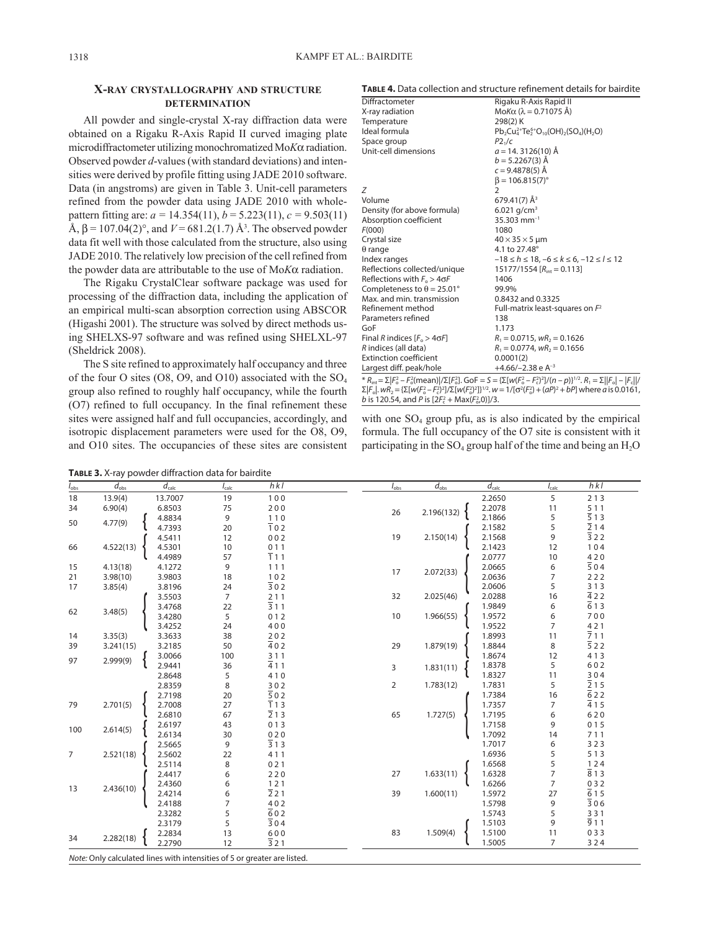#### 1318 KAMPF ET AL.: BAIRDITE

# **X‑ray crystallography and structure determination**

All powder and single-crystal X-ray diffraction data were obtained on a Rigaku R-Axis Rapid II curved imaging plate microdiffractometer utilizing monochromatized Mo*K*a radiation. Observed powder *d*-values (with standard deviations) and intensities were derived by profile fitting using JADE 2010 software. Data (in angstroms) are given in Table 3. Unit-cell parameters refined from the powder data using JADE 2010 with wholepattern fitting are:  $a = 14.354(11)$ ,  $b = 5.223(11)$ ,  $c = 9.503(11)$  $\AA$ ,  $\beta$  = 107.04(2)°, and *V* = 681.2(1.7)  $\AA$ <sup>3</sup>. The observed powder data fit well with those calculated from the structure, also using JADE 2010. The relatively low precision of the cell refined from the powder data are attributable to the use of Mo*K*a radiation.

The Rigaku CrystalClear software package was used for processing of the diffraction data, including the application of an empirical multi-scan absorption correction using ABSCOR (Higashi 2001). The structure was solved by direct methods using SHELXS-97 software and was refined using SHELXL-97 (Sheldrick 2008).

The S site refined to approximately half occupancy and three of the four O sites (O8, O9, and O10) associated with the  $SO_4$ group also refined to roughly half occupancy, while the fourth (O7) refined to full occupancy. In the final refinement these sites were assigned half and full occupancies, accordingly, and isotropic displacement parameters were used for the O8, O9, and O10 sites. The occupancies of these sites are consistent

**Table 4.** Data collection and structure refinement details for bairdite

| Diffractometer                       | Rigaku R-Axis Rapid II                                                                                                                                                                                                                                                                                                                                                  |
|--------------------------------------|-------------------------------------------------------------------------------------------------------------------------------------------------------------------------------------------------------------------------------------------------------------------------------------------------------------------------------------------------------------------------|
| X-ray radiation                      | MoΚα (λ = 0.71075 Å)                                                                                                                                                                                                                                                                                                                                                    |
| Temperature                          | 298(2) K                                                                                                                                                                                                                                                                                                                                                                |
| Ideal formula                        | $Pb_2Cu_4^{2+}Te_2^{6+}O_{10}(OH)_2(SO_4)(H_2O)$                                                                                                                                                                                                                                                                                                                        |
| Space group                          | P2, /c                                                                                                                                                                                                                                                                                                                                                                  |
| Unit-cell dimensions                 | a = 14.3126(10) Å                                                                                                                                                                                                                                                                                                                                                       |
|                                      | $b = 5.2267(3)$ Å                                                                                                                                                                                                                                                                                                                                                       |
|                                      | $c = 9.4878(5)$ Å                                                                                                                                                                                                                                                                                                                                                       |
|                                      | $\beta$ = 106.815(7) <sup>o</sup>                                                                                                                                                                                                                                                                                                                                       |
| Ζ                                    | $\mathcal{P}$                                                                                                                                                                                                                                                                                                                                                           |
| Volume                               | 679.41(7) Å <sup>3</sup>                                                                                                                                                                                                                                                                                                                                                |
| Density (for above formula)          | 6.021 $q/cm^3$                                                                                                                                                                                                                                                                                                                                                          |
| Absorption coefficient               | $35.303$ mm <sup>-1</sup>                                                                                                                                                                                                                                                                                                                                               |
| F(000)                               | 1080                                                                                                                                                                                                                                                                                                                                                                    |
| Crystal size                         | $40 \times 35 \times 5$ µm                                                                                                                                                                                                                                                                                                                                              |
| $\theta$ range                       | 4.1 to 27.48°                                                                                                                                                                                                                                                                                                                                                           |
| Index ranges                         | $-18 \le h \le 18$ , $-6 \le k \le 6$ , $-12 \le l \le 12$                                                                                                                                                                                                                                                                                                              |
| Reflections collected/unique         | 15177/1554 $[R_{\text{int}} = 0.113]$                                                                                                                                                                                                                                                                                                                                   |
| Reflections with $F_0 > 4 \sigma F$  | 1406                                                                                                                                                                                                                                                                                                                                                                    |
| Completeness to $\theta$ = 25.01°    | 99.9%                                                                                                                                                                                                                                                                                                                                                                   |
| Max. and min. transmission           | 0.8432 and 0.3325                                                                                                                                                                                                                                                                                                                                                       |
| Refinement method                    | Full-matrix least-squares on $F^2$                                                                                                                                                                                                                                                                                                                                      |
| Parameters refined                   | 138                                                                                                                                                                                                                                                                                                                                                                     |
| GoF                                  | 1.173                                                                                                                                                                                                                                                                                                                                                                   |
| Final R indices $[F_0 > 4 \sigma F]$ | $R_1 = 0.0715$ , $wR_2 = 0.1626$                                                                                                                                                                                                                                                                                                                                        |
| R indices (all data)                 | $R_1 = 0.0774$ , $wR_2 = 0.1656$                                                                                                                                                                                                                                                                                                                                        |
| <b>Extinction coefficient</b>        | 0.0001(2)                                                                                                                                                                                                                                                                                                                                                               |
| Largest diff. peak/hole              | $+4.66/-2.38$ e A <sup>-3</sup>                                                                                                                                                                                                                                                                                                                                         |
|                                      | $\overline{SD}$ = $\overline{CI}$ = $\overline{CI}$ = $\overline{CI}$ = $\overline{CI}$ = $\overline{CI}$ = $\overline{CI}$ = $\overline{CI}$ = $\overline{CI}$ = $\overline{CI}$ = $\overline{CI}$ = $\overline{CI}$ = $\overline{CI}$ = $\overline{CI}$ = $\overline{CI}$ = $\overline{CI}$ = $\overline{CI}$ = $\overline{CI}$ = $\overline{CI}$ = $\overline{CI}$ = |





**Table 3.** X-ray powder diffraction data for bairdite

| $I_{\rm obs}$  | $d_{\text{obs}}$ | $d_{\text{calc}}$ | $I_{calc}$     | hkl                | $I_{\rm obs}$  | $d_{\rm obs}$ | $d_{\text{calc}}$ | $I_{calc}$     | hkl                |
|----------------|------------------|-------------------|----------------|--------------------|----------------|---------------|-------------------|----------------|--------------------|
| 18             | 13.9(4)          | 13.7007           | 19             | 100                |                |               | 2.2650            | 5              | 213                |
| 34             | 6.90(4)          | 6.8503            | 75             | 200                |                |               | 2.2078            | 11             | 511                |
|                |                  | 4.8834            | 9              | 110                | 26             | 2.196(132)    | 2.1866            | 5              | $\overline{5}$ 1 3 |
| 50             | 4.77(9)          | 4.7393            | 20             | $\overline{1}$ 0 2 |                |               | 2.1582            | 5              | $\overline{2}$ 14  |
|                |                  | 4.5411            | 12             | 002                | 19             | 2.150(14)     | 2.1568            | 9              | $\overline{3}$ 2 2 |
| 66             | 4.522(13)        | 4.5301            | 10             | 011                |                |               | 2.1423            | 12             | 104                |
|                |                  | 4.4989            | 57             | $\overline{1}$ 1 1 |                |               | 2.0777            | 10             | 420                |
| 15             | 4.13(18)         | 4.1272            | 9              | 111                |                |               | 2.0665            | 6              | $\overline{5}$ 0 4 |
| 21             | 3.98(10)         | 3.9803            | 18             | 102                | 17             | 2.072(33)     | 2.0636            | $\overline{7}$ | 222                |
| 17             | 3.85(4)          | 3.8196            | 24             | $\overline{3}02$   |                |               | 2.0606            | 5              | 313                |
|                |                  | 3.5503            | $\overline{7}$ | 211                | 32             | 2.025(46)     | 2.0288            | 16             | $\overline{4}$ 2 2 |
|                |                  | 3.4768            | 22             | $\overline{3}11$   |                |               | 1.9849            | 6              | 613                |
| 62             | 3.48(5)          | 3.4280            | 5              | 012                | 10             | 1.966(55)     | 1.9572            | 6              | 700                |
|                |                  | 3.4252            | 24             | 400                |                |               | 1.9522            | 7              | 421                |
| 14             | 3.35(3)          | 3.3633            | 38             | 202                |                |               | 1.8993            | 11             | 711                |
| 39             | 3.241(15)        | 3.2185            | 50             | $\overline{4}02$   | 29             | 1.879(19)     | 1.8844            | 8              | $\overline{5}$ 2 2 |
| 97             | 2.999(9)         | 3.0066            | 100            | 311                |                |               | 1.8674            | 12             | 413                |
|                |                  | 2.9441            | 36             | $\overline{4}11$   | $\mathbf{3}$   | 1.831(11)     | 1.8378            | 5              | 602                |
|                |                  | 2.8648            | 5              | 410                |                |               | 1.8327            | 11             | 304                |
|                |                  | 2.8359            | 8              | 302                | $\overline{2}$ | 1.783(12)     | 1.7831            | 5              | $\overline{2}$ 1 5 |
|                |                  | 2.7198            | 20             | $\overline{5}02$   |                |               | 1.7384            | 16             | 622                |
| 79             | 2.701(5)         | 2.7008            | 27             | $\overline{1}13$   |                |               | 1.7357            | $\overline{7}$ | $\overline{4}15$   |
|                |                  | 2.6810            | 67             | $\overline{2}$ 13  | 65             | 1.727(5)      | 1.7195            | 6              | 620                |
| 100            | 2.614(5)         | 2.6197            | 43             | 013                |                |               | 1.7158            | 9              | 015                |
|                |                  | 2.6134            | 30             | 020                |                |               | 1.7092            | 14             | 711                |
|                |                  | 2.5665            | 9              | $\overline{3}13$   |                |               | 1.7017            | 6              | 323                |
| $\overline{7}$ | 2.521(18)        | 2.5602            | 22             | 411                |                |               | 1.6936            | 5              | 513                |
|                |                  | 2.5114            | 8              | 021                |                |               | 1.6568            | 5              | 124                |
|                |                  | 2.4417            | 6              | 220                | 27             | 1.633(11)     | 1.6328            | $\overline{7}$ | $\overline{8}$ 1 3 |
| 13             | 2.436(10)        | 2.4360            | 6              | 121                |                |               | 1.6266            | $\overline{7}$ | 032                |
|                |                  | 2.4214            | 6              | $\overline{2}$ 21  | 39             | 1.600(11)     | 1.5972            | 27             | 615                |
|                |                  | 2.4188            | $\overline{7}$ | 402                |                |               | 1.5798            | 9              | $\overline{3}06$   |
|                |                  | 2.3282            | 5              | $\overline{6}$ 0 2 |                |               | 1.5743            | 5              | 331                |
|                |                  | 2.3179            | 5              | $\overline{3}04$   |                |               | 1.5103            | 9              | $\overline{9}11$   |
| 34             | 2.282(18)        | 2.2834            | 13             | 600                | 83             | 1.509(4)      | 1.5100            | 11             | 033                |
|                |                  | 2.2790            | 12             | $\overline{3}$ 21  |                |               | 1.5005            | $\overline{7}$ | 324                |

*Note:* Only calculated lines with intensities of 5 or greater are listed.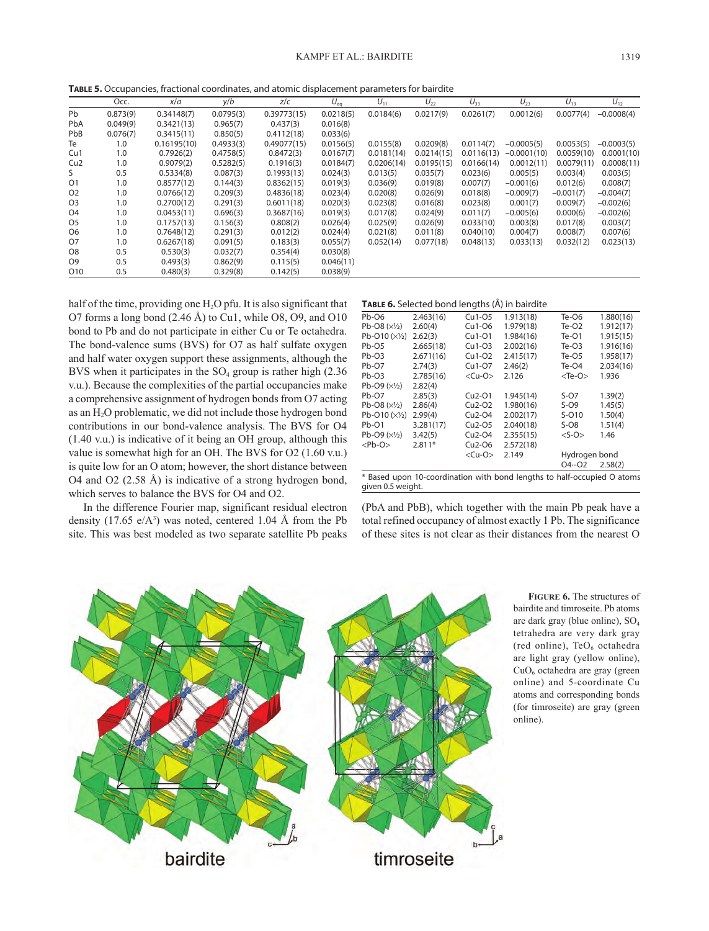**Table 5.** Occupancies, fractional coordinates, and atomic displacement parameters for bairdite

|                 | Occ.     | x/a         | y/b       | z/c         | $U_{\rm ea}$ | $U_{11}$   | $U_{22}$   | $U_{33}$   | $U_{23}$      | $U_{13}$    | $U_{12}$     |
|-----------------|----------|-------------|-----------|-------------|--------------|------------|------------|------------|---------------|-------------|--------------|
| Pb              | 0.873(9) | 0.34148(7)  | 0.0795(3) | 0.39773(15) | 0.0218(5)    | 0.0184(6)  | 0.0217(9)  | 0.0261(7)  | 0.0012(6)     | 0.0077(4)   | $-0.0008(4)$ |
| PbA             | 0.049(9) | 0.3421(13)  | 0.965(7)  | 0.437(3)    | 0.016(8)     |            |            |            |               |             |              |
| PbB             | 0.076(7) | 0.3415(11)  | 0.850(5)  | 0.4112(18)  | 0.033(6)     |            |            |            |               |             |              |
| Te              | 1.0      | 0.16195(10) | 0.4933(3) | 0.49077(15) | 0.0156(5)    | 0.0155(8)  | 0.0209(8)  | 0.0114(7)  | $-0.0005(5)$  | 0.0053(5)   | $-0.0003(5)$ |
| Cu1             | 1.0      | 0.7926(2)   | 0.4758(5) | 0.8472(3)   | 0.0167(7)    | 0.0181(14) | 0.0214(15) | 0.0116(13) | $-0.0001(10)$ | 0.0059(10)  | 0.0001(10)   |
| Cu <sub>2</sub> | 1.0      | 0.9079(2)   | 0.5282(5) | 0.1916(3)   | 0.0184(7)    | 0.0206(14) | 0.0195(15) | 0.0166(14) | 0.0012(11)    | 0.0079(11)  | 0.0008(11)   |
| S               | 0.5      | 0.5334(8)   | 0.087(3)  | 0.1993(13)  | 0.024(3)     | 0.013(5)   | 0.035(7)   | 0.023(6)   | 0.005(5)      | 0.003(4)    | 0.003(5)     |
| O <sub>1</sub>  | 1.0      | 0.8577(12)  | 0.144(3)  | 0.8362(15)  | 0.019(3)     | 0.036(9)   | 0.019(8)   | 0.007(7)   | $-0.001(6)$   | 0.012(6)    | 0.008(7)     |
| O <sub>2</sub>  | 1.0      | 0.0766(12)  | 0.209(3)  | 0.4836(18)  | 0.023(4)     | 0.020(8)   | 0.026(9)   | 0.018(8)   | $-0.009(7)$   | $-0.001(7)$ | $-0.004(7)$  |
| O <sub>3</sub>  | 1.0      | 0.2700(12)  | 0.291(3)  | 0.6011(18)  | 0.020(3)     | 0.023(8)   | 0.016(8)   | 0.023(8)   | 0.001(7)      | 0.009(7)    | $-0.002(6)$  |
| O <sub>4</sub>  | 1.0      | 0.0453(11)  | 0.696(3)  | 0.3687(16)  | 0.019(3)     | 0.017(8)   | 0.024(9)   | 0.011(7)   | $-0.005(6)$   | 0.000(6)    | $-0.002(6)$  |
| O <sub>5</sub>  | 1.0      | 0.1757(13)  | 0.156(3)  | 0.808(2)    | 0.026(4)     | 0.025(9)   | 0.026(9)   | 0.033(10)  | 0.003(8)      | 0.017(8)    | 0.003(7)     |
| O <sub>6</sub>  | 1.0      | 0.7648(12)  | 0.291(3)  | 0.012(2)    | 0.024(4)     | 0.021(8)   | 0.011(8)   | 0.040(10)  | 0.004(7)      | 0.008(7)    | 0.007(6)     |
| O7              | 1.0      | 0.6267(18)  | 0.091(5)  | 0.183(3)    | 0.055(7)     | 0.052(14)  | 0.077(18)  | 0.048(13)  | 0.033(13)     | 0.032(12)   | 0.023(13)    |
| O <sub>8</sub>  | 0.5      | 0.530(3)    | 0.032(7)  | 0.354(4)    | 0.030(8)     |            |            |            |               |             |              |
| O <sub>9</sub>  | 0.5      | 0.493(3)    | 0.862(9)  | 0.115(5)    | 0.046(11)    |            |            |            |               |             |              |
| O10             | 0.5      | 0.480(3)    | 0.329(8)  | 0.142(5)    | 0.038(9)     |            |            |            |               |             |              |

half of the time, providing one  $H<sub>2</sub>O$  pfu. It is also significant that O7 forms a long bond (2.46 Å) to Cu1, while O8, O9, and O10 bond to Pb and do not participate in either Cu or Te octahedra. The bond-valence sums (BVS) for O7 as half sulfate oxygen and half water oxygen support these assignments, although the BVS when it participates in the  $SO<sub>4</sub>$  group is rather high (2.36) v.u.). Because the complexities of the partial occupancies make a comprehensive assignment of hydrogen bonds from O7 acting as an H<sub>2</sub>O problematic, we did not include those hydrogen bond contributions in our bond-valence analysis. The BVS for O4 (1.40 v.u.) is indicative of it being an OH group, although this value is somewhat high for an OH. The BVS for O2 (1.60 v.u.) is quite low for an O atom; however, the short distance between O4 and O2 (2.58 Å) is indicative of a strong hydrogen bond, which serves to balance the BVS for O4 and O2.

In the difference Fourier map, significant residual electron density  $(17.65 \text{ e/A}^3)$  was noted, centered 1.04 Å from the Pb site. This was best modeled as two separate satellite Pb peaks

| TABLE 6. Selected bond lengths (Å) in bairdite |  |  |  |
|------------------------------------------------|--|--|--|
|------------------------------------------------|--|--|--|

| $\overline{P}b$ -O6    | 2.463(16) | Cu1-O5              | 1.913(18)                                                               | Te-O6         | 1.880(16) |
|------------------------|-----------|---------------------|-------------------------------------------------------------------------|---------------|-----------|
| Pb-O8 $(x\frac{1}{2})$ | 2.60(4)   | Cu1-06              | 1.979(18)                                                               | $Te-O2$       | 1.912(17) |
| Pb-010 (x1/2)          | 2.62(3)   | Cu1-01              | 1.984(16)                                                               | $Te-O1$       | 1.915(15) |
| Pb-O5                  | 2.665(18) | $Cu1-O3$            | 2.002(16)                                                               | $Te-O3$       | 1.916(16) |
| Pb-O3                  | 2.671(16) | Cu1-O2              | 2.415(17)                                                               | $Te-O5$       | 1.958(17) |
| Pb-O7                  | 2.74(3)   | Cu1-07              | 2.46(2)                                                                 | $Te-O4$       | 2.034(16) |
| Pb-O3                  | 2.785(16) | <cu-o></cu-o>       | 2.126                                                                   | $<$ Te-O $>$  | 1.936     |
| Pb-O9 $(x\frac{1}{2})$ | 2.82(4)   |                     |                                                                         |               |           |
| Pb-O7                  | 2.85(3)   | Cu <sub>2</sub> -01 | 1.945(14)                                                               | $S-O7$        | 1.39(2)   |
| Pb-O8 $(x\frac{1}{2})$ | 2.86(4)   | Cu <sub>2</sub> -02 | 1.980(16)                                                               | $S-O9$        | 1.45(5)   |
| Pb-010 (x1/2)          | 2.99(4)   | Cu2-04              | 2.002(17)                                                               | $S-O10$       | 1.50(4)   |
| Pb-O1                  | 3.281(17) | Cu <sub>2</sub> -05 | 2.040(18)                                                               | $S-OB$        | 1.51(4)   |
| Pb-O9 $(x\frac{1}{2})$ | 3.42(5)   | Cu <sub>2</sub> -04 | 2.355(15)                                                               | $<$ S-O $>$   | 1.46      |
| $Pb-O>$                | $2.811*$  | Cu2-O6              | 2.572(18)                                                               |               |           |
|                        |           | <cu-o></cu-o>       | 2.149                                                                   | Hydrogen bond |           |
|                        |           |                     |                                                                         | O4…O2         | 2.58(2)   |
|                        |           |                     | * Based upon 10-coordination with bond lengths to half-occupied O atoms |               |           |

\* Based upon 10-coordination with bond lengths to half-occupied O atoms given 0.5 weight.

(PbA and PbB), which together with the main Pb peak have a total refined occupancy of almost exactly 1 Pb. The significance of these sites is not clear as their distances from the nearest O



**Figure 6.** The structures of bairdite and timroseite. Pb atoms are dark gray (blue online), SO4 tetrahedra are very dark gray (red online), TeO<sub>6</sub> octahedra are light gray (yellow online),  $CuO<sub>6</sub>$  octahedra are gray (green online) and 5-coordinate Cu atoms and corresponding bonds (for timroseite) are gray (green online).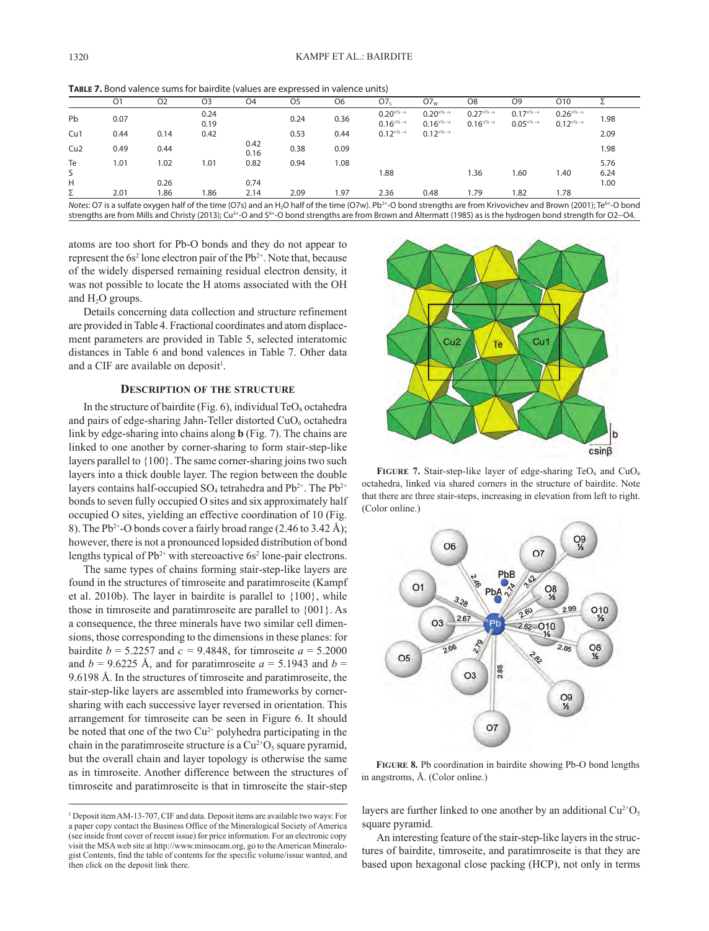**Table 7.** Bond valence sums for bairdite (values are expressed in valence units)

|                 | O <sub>1</sub> | O <sub>2</sub> | O <sub>3</sub> | O4           | O <sub>5</sub> | O <sub>6</sub> | O7 <sub>S</sub>                            | O7 <sub>w</sub>                            | O <sub>8</sub>                             | O <sub>9</sub>                                         | O <sub>10</sub>                            |              |
|-----------------|----------------|----------------|----------------|--------------|----------------|----------------|--------------------------------------------|--------------------------------------------|--------------------------------------------|--------------------------------------------------------|--------------------------------------------|--------------|
| Pb              | 0.07           |                | 0.24<br>0.19   |              | 0.24           | 0.36           | $0.20^{\times 1/2}$<br>$0.16^{\times 1/2}$ | $0.20^{\times 1/2}$<br>$0.16^{\times 1/2}$ | $0.27^{\times 1/2}$<br>$0.16^{\times 1/2}$ | $0.17^{\times 1/2} \rightarrow$<br>$0.05^{\times 1/2}$ | $0.26^{\times 1/2}$<br>$0.12^{\times 1/2}$ | 1.98         |
| Cu1             | 0.44           | 0.14           | 0.42           |              | 0.53           | 0.44           | $0.12^{\times 1/2}$                        | $0.12^{\times 1/2} \rightarrow$            |                                            |                                                        |                                            | 2.09         |
| Cu <sub>2</sub> | 0.49           | 0.44           |                | 0.42<br>0.16 | 0.38           | 0.09           |                                            |                                            |                                            |                                                        |                                            | 1.98         |
| Te<br>S         | 1.01           | 1.02           | 1.01           | 0.82         | 0.94           | 1.08           | 1.88                                       |                                            | 1.36                                       | 1.60                                                   | 1.40                                       | 5.76<br>6.24 |
| H<br>Σ          | 2.01           | 0.26<br>1.86   | 1.86           | 0.74<br>2.14 | 2.09           | 1.97           | 2.36                                       | 0.48                                       | 1.79                                       | 1.82                                                   | 1.78                                       | 1.00         |
|                 |                |                |                |              |                |                |                                            |                                            |                                            |                                                        |                                            |              |

*Notes*: O7 is a sulfate oxygen half of the time (O7s) and an H<sub>2</sub>O half of the time (O7w). Pb<sup>2+</sup>-O bond strengths are from Krivovichev and Brown (2001); Te<sup>6+</sup>-O bond strengths are from Mills and Christy (2013); Cu<sup>2+</sup>-O and S<sup>6+</sup>-O bond strengths are from Brown and Altermatt (1985) as is the hydrogen bond strength for O2-··O4.

atoms are too short for Pb-O bonds and they do not appear to represent the  $6s^2$  lone electron pair of the  $Pb^{2+}$ . Note that, because of the widely dispersed remaining residual electron density, it was not possible to locate the H atoms associated with the OH and  $H<sub>2</sub>O$  groups.

Details concerning data collection and structure refinement are provided in Table 4. Fractional coordinates and atom displacement parameters are provided in Table 5, selected interatomic distances in Table 6 and bond valences in Table 7. Other data and a CIF are available on deposit<sup>1</sup>.

# **Description of the structure**

In the structure of bairdite (Fig. 6), individual  $TeO<sub>6</sub>$  octahedra and pairs of edge-sharing Jahn-Teller distorted  $CuO<sub>6</sub>$  octahedra link by edge-sharing into chains along **b** (Fig. 7). The chains are linked to one another by corner-sharing to form stair-step-like layers parallel to {100}. The same corner-sharing joins two such layers into a thick double layer. The region between the double layers contains half-occupied  $SO_4$  tetrahedra and Pb<sup>2+</sup>. The Pb<sup>2+</sup> bonds to seven fully occupied O sites and six approximately half occupied O sites, yielding an effective coordination of 10 (Fig. 8). The Pb<sup>2+</sup>-O bonds cover a fairly broad range (2.46 to 3.42 Å); however, there is not a pronounced lopsided distribution of bond lengths typical of  $Pb^{2+}$  with stereoactive 6s<sup>2</sup> lone-pair electrons.

The same types of chains forming stair-step-like layers are found in the structures of timroseite and paratimroseite (Kampf et al. 2010b). The layer in bairdite is parallel to {100}, while those in timroseite and paratimroseite are parallel to {001}. As a consequence, the three minerals have two similar cell dimensions, those corresponding to the dimensions in these planes: for bairdite  $b = 5.2257$  and  $c = 9.4848$ , for timroseite  $a = 5.2000$ and  $b = 9.6225$  Å, and for paratimroseite  $a = 5.1943$  and  $b =$ 9.6198 Å. In the structures of timroseite and paratimroseite, the stair-step-like layers are assembled into frameworks by cornersharing with each successive layer reversed in orientation. This arrangement for timroseite can be seen in Figure 6. It should be noted that one of the two  $Cu^{2+}$  polyhedra participating in the chain in the paratimroseite structure is a  $Cu^{2+}O_5$  square pyramid, but the overall chain and layer topology is otherwise the same as in timroseite. Another difference between the structures of timroseite and paratimroseite is that in timroseite the stair-step



**FIGURE** 7. Stair-step-like layer of edge-sharing  $TeO_6$  and  $CuO_6$ octahedra, linked via shared corners in the structure of bairdite. Note that there are three stair-steps, increasing in elevation from left to right. (Color online.)



**Figure 8.** Pb coordination in bairdite showing Pb-O bond lengths in angstroms, Å. (Color online.)

layers are further linked to one another by an additional  $Cu^{2+}O_5$ square pyramid.

An interesting feature of the stair-step-like layers in the structures of bairdite, timroseite, and paratimroseite is that they are based upon hexagonal close packing (HCP), not only in terms

<sup>&</sup>lt;sup>1</sup> Deposit item AM-13-707, CIF and data. Deposit items are available two ways: For a paper copy contact the Business Office of the Mineralogical Society of America (see inside front cover of recent issue) for price information. For an electronic copy visit the MSA web site at http://www.minsocam.org, go to the American Mineralogist Contents, find the table of contents for the specific volume/issue wanted, and then click on the deposit link there.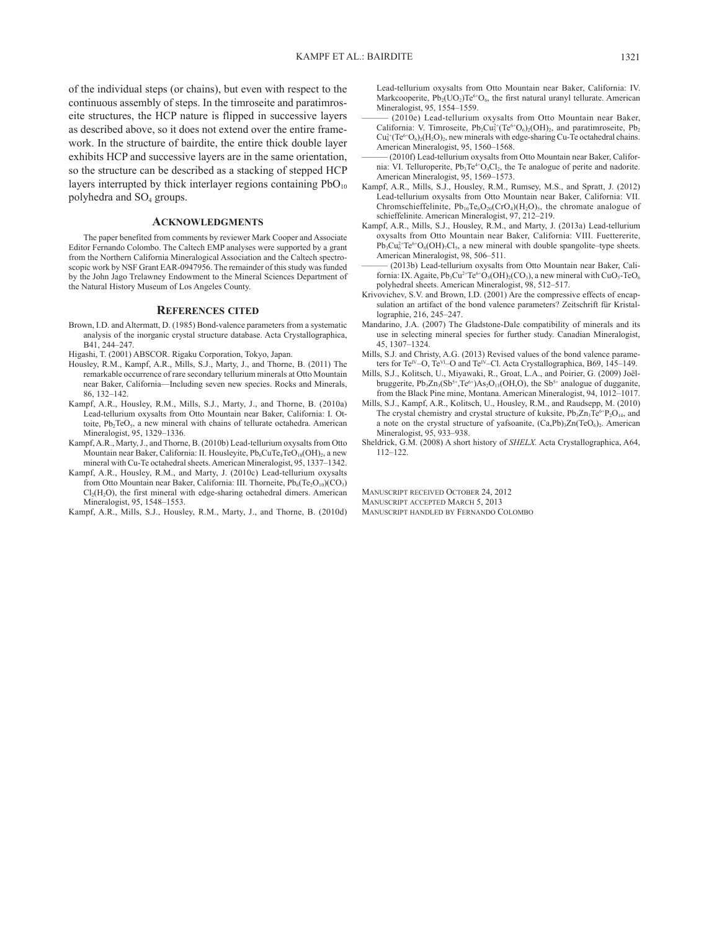of the individual steps (or chains), but even with respect to the continuous assembly of steps. In the timroseite and paratimroseite structures, the HCP nature is flipped in successive layers as described above, so it does not extend over the entire framework. In the structure of bairdite, the entire thick double layer exhibits HCP and successive layers are in the same orientation, so the structure can be described as a stacking of stepped HCP layers interrupted by thick interlayer regions containing  $PbO_{10}$ polyhedra and SO<sub>4</sub> groups.

### **Acknowledgments**

The paper benefited from comments by reviewer Mark Cooper and Associate Editor Fernando Colombo. The Caltech EMP analyses were supported by a grant from the Northern California Mineralogical Association and the Caltech spectroscopic work by NSF Grant EAR-0947956. The remainder of this study was funded by the John Jago Trelawney Endowment to the Mineral Sciences Department of the Natural History Museum of Los Angeles County.

#### **References cited**

- Brown, I.D. and Altermatt, D. (1985) Bond-valence parameters from a systematic analysis of the inorganic crystal structure database. Acta Crystallographica, B41, 244–247.
- Higashi, T. (2001) ABSCOR. Rigaku Corporation, Tokyo, Japan.
- Housley, R.M., Kampf, A.R., Mills, S.J., Marty, J., and Thorne, B. (2011) The remarkable occurrence of rare secondary tellurium minerals at Otto Mountain near Baker, California—Including seven new species. Rocks and Minerals, 86, 132–142.
- Kampf, A.R., Housley, R.M., Mills, S.J., Marty, J., and Thorne, B. (2010a) Lead-tellurium oxysalts from Otto Mountain near Baker, California: I. Ottoite,  $Pb_2TeO_5$ , a new mineral with chains of tellurate octahedra. American Mineralogist, 95, 1329–1336.
- Kampf, A.R., Marty, J., and Thorne, B. (2010b) Lead-tellurium oxysalts from Otto Mountain near Baker, California: II. Housleyite,  $Pb_6CuTe_4TeO_{18}(OH)_2$ , a new mineral with Cu-Te octahedral sheets. American Mineralogist, 95, 1337–1342.
- Kampf, A.R., Housley, R.M., and Marty, J. (2010c) Lead-tellurium oxysalts from Otto Mountain near Baker, California: III. Thorneite,  $Pb_6(Te_2O_{10})(CO_3)$  $Cl<sub>2</sub>(H<sub>2</sub>O)$ , the first mineral with edge-sharing octahedral dimers. American Mineralogist, 95, 1548–1553.

Kampf, A.R., Mills, S.J., Housley, R.M., Marty, J., and Thorne, B. (2010d)

Lead-tellurium oxysalts from Otto Mountain near Baker, California: IV. Markcooperite,  $Pb_2( UO_2)Te^{6+}O_6$ , the first natural uranyl tellurate. American Mineralogist, 95, 1554–1559.

- $(2010e)$  Lead-tellurium oxysalts from Otto Mountain near Baker, California: V. Timroseite,  $Pb_2Cu_5^{2+}(Te^{6+}O_6)_2(OH)_2$ , and paratimroseite,  $Pb_2$  $Cu<sup>2+</sup><sub>4</sub>(Te<sup>6+</sup>O<sub>6</sub>)<sub>2</sub>(H<sub>2</sub>O)<sub>2</sub>$ , new minerals with edge-sharing Cu-Te octahedral chains. American Mineralogist, 95, 1560–1568.
- (2010f) Lead-tellurium oxysalts from Otto Mountain near Baker, California: VI. Telluroperite,  $Pb_3Te^{4+}O_4Cl_2$ , the Te analogue of perite and nadorite. American Mineralogist, 95, 1569–1573.
- Kampf, A.R., Mills, S.J., Housley, R.M., Rumsey, M.S., and Spratt, J. (2012) Lead-tellurium oxysalts from Otto Mountain near Baker, California: VII. Chromschieffelinite,  $Pb_{10}Te_6O_{20}(CrO_4)(H_2O)_5$ , the chromate analogue of schieffelinite. American Mineralogist, 97, 212–219.
- Kampf, A.R., Mills, S.J., Housley, R.M., and Marty, J. (2013a) Lead-tellurium oxysalts from Otto Mountain near Baker, California: VIII. Fuettererite,  $Pb_3Cu_6^{2+}Te^{6+}O_6(OH)_7Cl_5$ , a new mineral with double spangolite–type sheets. American Mineralogist, 98, 506–511.
- (2013b) Lead-tellurium oxysalts from Otto Mountain near Baker, California: IX. Agaite,  $Pb_3Cu^{2+}Te^{6+}O_5(OH)_2(CO_3)$ , a new mineral with  $CuO_5-TeO_6$ polyhedral sheets. American Mineralogist, 98, 512–517.
- Krivovichev, S.V. and Brown, I.D. (2001) Are the compressive effects of encapsulation an artifact of the bond valence parameters? Zeitschrift für Kristallographie, 216, 245–247.
- Mandarino, J.A. (2007) The Gladstone-Dale compatibility of minerals and its use in selecting mineral species for further study. Canadian Mineralogist, 45, 1307–1324.
- Mills, S.J. and Christy, A.G. (2013) Revised values of the bond valence parameters for Te<sup>IV</sup>–O, Te<sup>VI</sup>–O and Te<sup>IV</sup>–Cl. Acta Crystallographica, B69, 145–149.
- Mills, S.J., Kolitsch, U., Miyawaki, R., Groat, L.A., and Poirier, G. (2009) Joëlbruggerite,  $Pb_3Zn_3(Sb^{5+},Te^{6+})As_2O_{13}(OH,O)$ , the  $Sb^{5+}$  analogue of dugganite, from the Black Pine mine, Montana. American Mineralogist, 94, 1012–1017.
- Mills, S.J., Kampf, A.R., Kolitsch, U., Housley, R.M., and Raudsepp, M. (2010) The crystal chemistry and crystal structure of kuksite,  $Pb_3Zn_3Te^{6+}P_2O_{14}$ , and a note on the crystal structure of yafsoanite,  $(Ca, Pb)$ <sub>3</sub>Zn(TeO<sub>6</sub>)<sub>2</sub>. American
- Mineralogist, 95, 933–938. Sheldrick, G.M. (2008) A short history of *SHELX.* Acta Crystallographica, A64, 112–122.

MANUSCRIPT RECEIVED OCTOBER 24, 2012 Manuscript accepted March 5, 2013 Manuscript handled by Fernando Colombo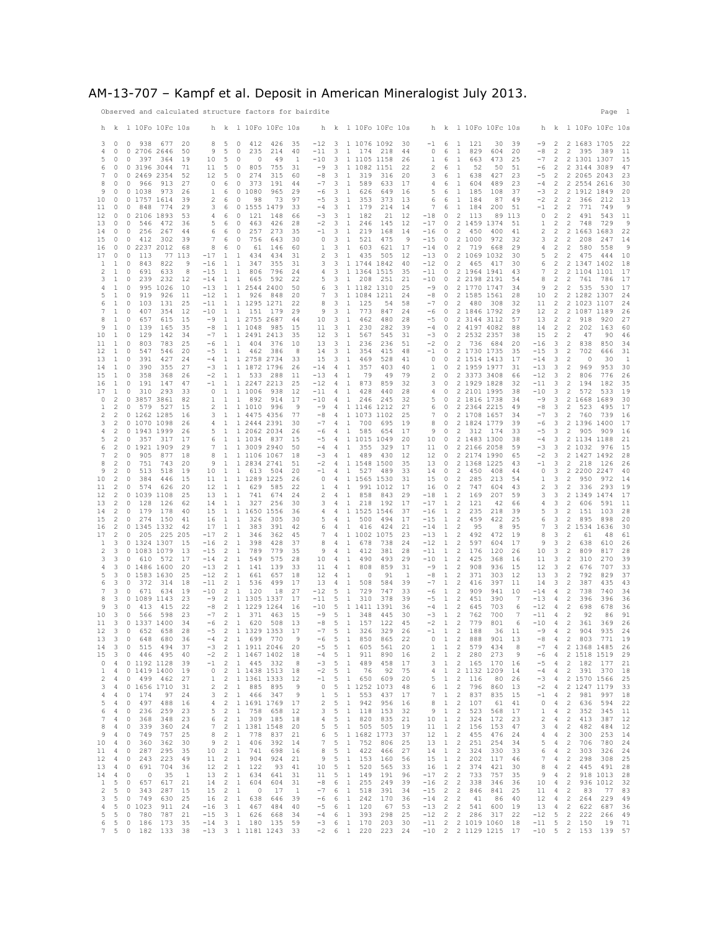# AM-13-707 – Kampf et al. Deposit in American Mineralogist July 2013.

Observed and calculated structure factors for bairdite **Page 1** and 2011 1999 1

|                                  | h k 1 10Fo 10Fc 10s                                  |                                     | h k 1 10Fo 10Fc 10s                       |                         | h k 1 10Fo 10Fc 10s                                          |                |                                  | h k 1 10Fo 10Fc 10s                        |        |          |                 |                                 | h k 1 10Fo 10Fc 10s            |           |                |
|----------------------------------|------------------------------------------------------|-------------------------------------|-------------------------------------------|-------------------------|--------------------------------------------------------------|----------------|----------------------------------|--------------------------------------------|--------|----------|-----------------|---------------------------------|--------------------------------|-----------|----------------|
|                                  |                                                      |                                     |                                           |                         |                                                              |                |                                  |                                            |        |          |                 |                                 |                                |           |                |
| 3<br>0                           | 0 938 677<br>20                                      | 8<br>5                              | 0<br>412<br>426<br>35                     | $-12$                   | 3 1 1076 1092                                                | 30             | $-1$<br>- 6                      | <sup>1</sup><br>121                        | 30     | 39       | $-9$            | 2                               | 2 1683 1705                    |           | 22             |
| $\circ$<br>4                     | 0 2706 2646<br>50                                    | 9<br>5                              | $\circ$<br>235<br>214<br>40               | $-11$<br>3              | 1 174 218                                                    | 44             | $\circ$<br>6                     | $\perp$<br>829                             | 604    | 20       | $-8$            | 2                               | 2 395 389                      |           | 11             |
| 5<br>0                           | $\circ$<br>397 364<br>19                             | 10<br>5                             | 0<br>$\Omega$<br>49<br>1                  | $-10$                   | 3 1 1105 1158                                                | 26             | 1<br>6                           | $\mathbf{1}$<br>663                        | 473    | 25       | $-7$            | 2                               | 2 1301 1307                    |           | 15             |
| 0<br>6                           | 0 3196 3044<br>71                                    | 11<br>5                             | 805<br>755<br>0<br>31                     | $-9$<br>3               | 1 1082 1151                                                  | 22             | 2<br>6                           | -1<br>52                                   | 50     | 51       | -6              | 2                               | 2 3144 3089                    |           | 47             |
| 7<br>0                           | 0<br>2469 2354<br>52                                 | 12<br>5                             | 0<br>274<br>315<br>60                     | -8<br>3                 | 1 319<br>316                                                 | 20             | 3<br>6                           | 1<br>638                                   | 427    | 23       | $-5$            | 2                               | 2 2065 2043                    |           | 23             |
| $\circ$<br>8                     | 0 966 913<br>27                                      | $\Omega$<br>6                       | $\circ$<br>373<br>191<br>44               | $-7$<br>3               | $\mathbf{1}$<br>589<br>633                                   | 17             | 4<br>6                           | $\mathbf{1}$<br>604                        | 489    | 23       | $-4$            | 2                               | 2 2554 2616                    |           | 30             |
| 9<br>0                           | 0 1038<br>973<br>26                                  | $\mathbf{1}$<br>6                   | 0 1080<br>965<br>29                       | -6<br>3                 | $\mathbf{1}$<br>626<br>649                                   | 16             | 5<br>6                           | 185<br><sup>1</sup>                        | 108    | 37       | $-3$            | 2                               | 2 1912 1849                    |           | 20             |
| 0<br>10                          | 0 1757 1614<br>39                                    | 2<br>6                              | 73<br>0<br>98<br>97                       | $-5$<br>3               | 353<br>373<br>1                                              | 13             | 6<br>6                           | -1<br>184                                  | 87     | 49       | $-2$            | $\overline{c}$                  | 2<br>366                       | 212       | 13             |
| 11<br>0                          | 848<br>774<br>29<br>$\Omega$                         | 3<br>6                              | 0 1555 1479<br>33                         | 3<br>$-4$               | $\mathbf{1}$<br>179<br>214                                   | 14             | 7<br>6                           | $\mathbf{1}$<br>184                        | 200    | 51       | $-1$            | 2                               | 2<br>771                       | 749       | 9              |
| $\circ$<br>12                    | 0 2106 1893<br>53                                    | 4<br>6                              | $\circ$<br>121<br>148<br>66               | $-3$<br>3               | $\mathbf{1}$<br>182<br>21                                    | 12             | $\circ$<br>$-18$                 | 2<br>113                                   |        | 89 113   | $\circ$         | $\overline{c}$                  | $\overline{2}$<br>491          | 543       | 11             |
| 13<br>0                          | 546<br>$\Box$<br>472<br>36                           | 5<br>6                              | $\circ$<br>463<br>426<br>28               | $-2$<br>3               | <sup>1</sup><br>246<br>145                                   | 12             | $-17$<br>0                       | 2 1459 1374                                |        | 51       | 1               | 2                               | 2<br>748                       | 729       | 9              |
| 0<br>14                          | 256<br>0<br>267<br>44                                | 6<br>6                              | $\circ$<br>257<br>273<br>35               | $-1$<br>3               | 219<br>$\mathbf{1}$<br>168                                   | 14             | $-16$<br>$\circ$                 | 2<br>450                                   | 400    | 41       | 2               | $\overline{c}$                  | 2 1663 1683                    |           | 22             |
| 15<br>$\circ$                    | $\circ$<br>412<br>302<br>39                          | 7<br>6                              | $\circ$<br>756<br>643<br>30               | $\circ$<br>3            | $\mathbf{1}$<br>521<br>475                                   | -9             | $-15$<br>$\circ$                 | 2 1000                                     | 972    | 32       | 3               | 2                               | 2<br>208                       | 247       | 14             |
| 16<br>0                          | 0 2237 2012<br>68                                    | 8<br>6                              | 0<br>61<br>146<br>60                      | 1<br>3                  | 621<br>$\mathbf{1}$<br>603                                   | 17             | $-14$<br>$\circ$                 | $\overline{2}$<br>719 668                  |        | 29       | 4               | 2                               | 2<br>580                       | 558       | 9              |
| 17<br>0                          | 113<br>77 113<br>$\Box$                              | $-17$<br>1                          | 434<br>434<br>1<br>31                     | 2<br>3                  | 435<br>505<br>$\mathbf{1}$                                   | 12             | $-13$<br>$\circ$                 | 2 1069 1032                                |        | 30       | 5               | 2                               | 475<br>2                       | 444       | 10             |
| 1<br>1                           | 0<br>843<br>822<br>9                                 | $-16$<br><sup>1</sup>               | 1<br>347<br>355<br>31                     | 3<br>3                  | 1 1744 1842                                                  | 40             | $-12$<br>$\circ$                 | 2<br>465 417                               |        | 30       | 6               | 2                               | 2 1347 1402                    |           | 18             |
| 2<br>1                           | 691<br>633<br>8<br>$\Box$                            | $-15$<br><sup>1</sup>               | 806<br>796<br>$\mathbf{1}$<br>24          | 3<br>4                  | 1 1364 1515                                                  | 35             | $-11$<br>$\circ$                 | 2 1964 1941                                |        | 43       | 7               | 2                               | 2 1104 1101                    |           | -15            |
| 3<br>1                           | 239<br>0<br>232<br>12                                | $-14$<br>$\overline{1}$             | 22<br>1<br>665<br>592                     | 5<br>3                  | 251<br>1 208                                                 | 21             | $-10$                            | 2 2198 2191<br>$\circ$                     |        | 54       | 8               | $\overline{c}$                  | 2<br>761                       | 786       | 17             |
|                                  |                                                      |                                     |                                           |                         |                                                              |                | $-9$                             |                                            |        |          |                 |                                 |                                |           |                |
| 4<br>1                           | 995 1026<br>0<br>10                                  | $-13$<br>$\mathbf{1}$               | 1 2544 2400<br>50                         | 3<br>6                  | 1 1182 1310                                                  | 25             | $\circ$                          | 2 1770 1747<br>2 1585 1561                 |        | 34       | -9              | $\overline{c}$<br>2             | 2 535                          | 530       | 17             |
| 5<br>1<br>$\mathbf{1}$<br>6      | 0<br>919<br>926<br>11<br>$\circ$<br>103<br>131<br>25 | -12<br>$\mathbf{1}$<br>$-11$ 1      | 1 926 848<br>20<br>1 1295 1271<br>22      | 7<br>3<br>8<br>3        | 1 1084 1211<br>1 125<br>54                                   | 24<br>58       | -8<br>$\circ$<br>$-7$<br>$\circ$ | 2 480 308                                  |        | 28<br>32 | 10<br>11        | 2                               | 2 1282 1307<br>2 1023 1107     |           | 24<br>24       |
| 7                                |                                                      |                                     |                                           |                         |                                                              | 24             |                                  |                                            |        |          |                 |                                 |                                |           |                |
| 1                                | 0<br>407<br>354<br>12                                | $-10$<br>$\mathbf{1}$               | 1 151 179<br>29                           | 9<br>3                  | $\mathbf{1}$<br>773<br>847                                   |                | -6<br>$\circ$                    | 2 1846 1792                                |        | 29       | 12              | 2                               | 2 1087 1189                    |           | 26             |
| 8<br>1                           | 615<br>0<br>657<br>15                                | $-9$<br>1                           | 1 2755 2687<br>44                         | 3<br>10                 | 462<br>480<br>$\mathbf{1}$                                   | 28             | $-5$<br>$\circ$                  | 2 3144 3112                                |        | 57       | 13              | $\overline{c}$                  | 2<br>918                       | 920       | 27             |
| 9<br>1                           | 139<br>0<br>165<br>35                                | $-8$<br>1                           | 1 1048<br>985<br>15                       | 11<br>3                 | 230<br>282<br>-1                                             | 39             | $-4$<br>$\circ$                  | 2 4197 4082                                |        | 88       | 14              | 2                               | $\overline{2}$<br>202          | 163       | 60             |
| 10<br>1                          | 129<br>142<br>$\Box$<br>34                           | $-7$<br>$\overline{1}$              | 1 2491 2413<br>35                         | 12<br>3                 | $\mathbf{1}$<br>567<br>545                                   | 31             | $-3$<br>$\circ$                  | 2 2532 2357                                |        | 38       | 15              | $\overline{c}$                  | $\overline{2}$<br>47           | 90        | 46             |
| 11<br>1                          | 803<br>25<br>0<br>783                                | -6<br><sup>1</sup>                  | 1 404<br>376<br>10                        | 3<br>13                 | 236<br>$\mathbf{1}$<br>236                                   | 51             | $-2$<br>0                        | 2 736 684                                  |        | 20       | $-16$           | 3                               | $\overline{2}$<br>838          | 850       | 34             |
| 12<br>1                          | 0<br>547<br>546<br>20                                | $-5$<br>1                           | 1 462<br>386<br>- 8                       | 3<br>14                 | $\mathbf{1}$<br>354<br>415                                   | 48             | $-1$<br>$\circ$                  | 2 1730 1735                                |        | 35       | $-15$           | 3                               | 702<br>2                       | 666       | 31             |
| $\mathbf{1}$<br>13               | 391<br>427<br>0<br>24                                | $-4$<br>1                           | 1 2758 2734<br>33                         | 15<br>3                 | $\mathbf{1}$<br>528<br>469                                   | 41             | $\circ$<br>$\circ$               | 2 1514 1413                                |        | 17       | $-14$           | 3                               | $\overline{2}$<br>$\circ$      | 30        | $\overline{1}$ |
| 14<br>1                          | 0<br>390<br>355<br>27                                | $-3$<br>-1                          | 1 1872 1796<br>26                         | $-14$<br>4              | 357<br>403<br>-1                                             | 40             | 1<br>0                           | 2 1959 1977                                |        | 31       | $-13$           | 3                               | 2<br>969                       | 953       | 30             |
| 15<br>1                          | 358<br>0<br>368<br>26                                | $-2$<br>$\overline{1}$              | 1 533 288<br>11                           | $-13$<br>4              | <sup>1</sup><br>79<br>-49                                    | 79             | 2<br>$\circ$                     | 2 3373 3408                                |        | 66       | $-12$           | 3                               | 806<br>2                       | 776       | 26             |
| 16<br>1                          | 0<br>191<br>147<br>47                                | $-1$<br>1                           | 1 2247 2213<br>25                         | $-12$<br>4              | $\mathbf{1}$<br>873<br>859                                   | 32             | 3<br>$\circ$                     | 2 1929 1828                                |        | 32       | $-11$           | 3                               | 2<br>194                       | 182       | 35             |
| 17<br>$\mathbf{1}$               | 310 293<br>33<br>$\Omega$                            | $\circ$<br>1                        | 1 1006 938<br>12                          | $-11$<br>$\overline{4}$ | $\mathbf{1}$<br>428<br>440                                   | 28             | $\circ$<br>4                     | 2 2101 1995                                |        | 38       | $-10$           | 3                               | 2 572                          | 533       | 19             |
| 2<br>0                           | 0 3857 3861<br>82                                    | $1\quad1$                           | 1 892<br>914<br>17                        | $-10$<br>4              | 245<br>1 246                                                 | 32             | 5<br>0                           | 2 1816 1738                                |        | 34       | $-9$            | 3                               | 2 1668 1689                    |           | 30             |
| 2<br>1                           | 579 527<br>$\Omega$<br>15                            | 2<br>$\overline{1}$                 | 1 1010<br>996<br>- 9                      | $-9$                    | 4 1 1146 1212                                                | 27             | $\Omega$<br>6                    | 2 2364 2215                                |        | 49       | $-8$            | 3                               | 2<br>523                       | 495       | 17             |
| 2<br>2                           | 0 1262 1285<br>16                                    | 3<br>$\mathbf{1}$                   | 77<br>1 4475 4356                         | $-8$<br>-4              | 1 1073 1102                                                  | 25             | 7<br>$\circ$                     | 2 1708 1657                                |        | 34       | $-7$            | 3                               | 2<br>760                       | 739       | 16             |
| 2<br>3                           | 0 1070 1098<br>26                                    | 4<br>$\overline{1}$                 | 1 2444 2391<br>30                         | $-7$<br>4               | $\mathbf{1}$<br>700 695                                      | 19             | 8<br>$\circ$                     | 2 1824 1779                                |        | 39       | -6              | 3                               | 2 1396 1400                    |           | 17             |
| 2<br>4                           | 0 1943 1999<br>26                                    | 5<br>$\mathbf{1}$                   | 1 2062 2034<br>26                         | $-6$<br>4               | $\mathbf{1}$<br>585 654                                      | 17             | 9<br>$\circ$                     | -2<br>312 174                              |        | 33       | $-5$            | 3                               | -2<br>905                      | 909       | 16             |
| 5<br>2                           | 17<br>357 317<br>$^{\circ}$                          | 6<br>1                              | 1 1034 837<br>15                          | $-5$<br>4               | 1 1015 1049                                                  | 20             | 10<br>$\circ$                    | 2 1483 1300                                |        | 38       | $-4$            | 3                               | 2 1134 1188                    |           | 21             |
| 6<br>2                           | 0 1921 1909<br>29                                    | 7<br>1                              | 1 3009 2940<br>50                         | $-4$<br>$\overline{4}$  | 355<br>329<br>$\mathbf{1}$                                   | 17             | 11<br>$\circ$                    | 2 2166 2058                                |        | 59       | $-3$            | 3                               | 2 1032                         | 976       | 15             |
| 7<br>2                           | 905<br>877<br>$\Omega$<br>18                         | 8<br>1                              | 1 1106 1067<br>18                         | $-3$<br>$\overline{4}$  | 1 489<br>430                                                 | 12             | $\circ$<br>12                    | 2 2174 1990                                |        | 65       | $-2$            | 3                               | 2 1427 1492                    |           | 28             |
| 8<br>2                           | 751<br>743<br>0<br>20                                | 9<br><sup>1</sup>                   | 1 2834 2741<br>51                         | $-2$                    | 4 1 1 5 4 8 1 5 0 0                                          | 35             | $\circ$<br>13                    | 2 1368 1225                                |        | 43       | $-1$            | 3                               | 2 218                          | 126       | 26             |
| 2<br>9                           | 513<br>518<br>0<br>19                                | 10<br>$\mathbf{1}$                  | 504<br>1 613<br>20                        | $-1$<br>-4              | 1 527 489                                                    | 33             | 14<br>$\circ$                    | $\overline{2}$<br>450                      | 408    | 44       | 0               | 3                               | 2 2200 2247                    |           | 40             |
| 2<br>10                          | 384<br>0<br>446<br>15                                | 11<br>$\mathbf{1}$                  | 1 1289 1225<br>26                         | 0<br>4                  | 1 1565 1530                                                  | 31             | 15<br>$\circ$                    | 2<br>285                                   | 213    | 54       | 1               | 3                               | 950<br>2                       | 972       | 14             |
| 2<br>11                          | 574<br>$\Omega$<br>626<br>20                         | 12<br>$\mathbf{1}$                  | 1 629<br>585<br>22                        | 1<br>4                  | 1 991 1012                                                   | 17             | $\circ$<br>16                    | $\overline{2}$<br>747                      | 604    | 43       | 2               | 3                               | 336<br>-2                      | 293       | 19             |
| 12<br>2                          | 0 1039 1108<br>25                                    | 13<br>$\mathbf{1}$                  | 741<br>674<br>1<br>24                     | 2<br>-4                 | 858<br>843<br>$\mathbf{1}$                                   | 29             | $-18$<br>$\mathbf{1}$            | $\overline{c}$<br>169                      | 207    | 59       | 3               | 3                               | 2 1349 1474                    |           | 17             |
| 13<br>2                          | 0<br>128 126<br>62                                   | 14<br>1                             | 1 327<br>256<br>30                        | 3<br>4                  | $\mathbf{1}$<br>218<br>192                                   | 17             | $-17$<br>1                       | $\overline{2}$<br>121                      | 42     | 66       | 4               | 3                               | 2<br>606                       | 591       | 11             |
| 14<br>2                          | $\circ$<br>179 178<br>40                             | 15<br>- 1                           | 1 1650 1556<br>36                         | $\overline{4}$<br>4     | 1 1525 1546                                                  | 37             | $-16$<br>$\mathbf{1}$            | 2<br>235                                   | 218    | 39       | 5               | 3                               | 2<br>151                       | 103       | 28             |
| 2<br>15                          | 0<br>274 150<br>41                                   | 16<br>$\overline{1}$                | 1 326<br>305<br>30                        | 5<br>4                  | $\mathbf{1}$<br>500<br>494                                   | 17             | $-15$<br>$\mathbf{1}$            | $\overline{2}$<br>459                      | 422    | 25       | 6               | 3                               | 2<br>895                       | 898       | 20             |
| 2<br>16                          | 0 1345 1332<br>42                                    | 17<br>1                             | $\mathbf{1}$<br>383<br>391<br>42          | 6<br>4                  | $\mathbf{1}$<br>416<br>424                                   | 21             | $-14$<br>1                       | $\overline{2}$<br>95                       | 8      | 95       | 7               | 3                               | 2 1534 1636                    |           | 30             |
| 2<br>17                          | 0<br>205 225 205                                     | 2<br>$-17$                          | $\mathbf{1}$<br>346<br>362<br>45          | 7<br>4                  | 1 1002 1075                                                  | 23             | $-13$<br>1                       | $\overline{2}$<br>492                      | 472    | 19       | 8               | 3                               | 2<br>61                        | 48        | 61             |
| 3<br>$\mathbf{1}$                | 0 1324 1307<br>15                                    | $-16$<br>2                          | 1<br>398<br>428<br>37                     | 8<br>$\overline{4}$     | $\mathbf{1}$<br>678<br>738                                   | 24             | $-12$<br>1                       | 2<br>597                                   | 604    | 17       | $\overline{9}$  | 3                               | $\overline{2}$<br>638          | 610       | 26             |
| 2<br>3                           | 0 1083 1079<br>13                                    | $-15$<br>2                          | 1<br>789<br>779<br>35                     | 9<br>4                  | -1<br>412<br>381                                             | 28             | $-11$<br>$\mathbf{1}$            | $\overline{2}$<br>176                      | 120    | 26       | 10              | 3                               | 2<br>809                       | 817       | 28             |
| 3<br>3                           | 610 572<br>17<br>$\Omega$                            | $-14$<br>-2                         | 549<br>575<br>1<br>28                     | 10<br>4                 | 493<br>-1<br>490                                             | 29             | $-10$<br>$\mathbf{1}$            | 425<br>$\overline{c}$                      | 368    | 16       | 11              | 3                               | $\overline{2}$<br>310          | 270       | 39             |
| $\overline{4}$                   | 0 1486 1600<br>20                                    | $-13$<br>$\overline{\phantom{0}}$   | $\mathbf{1}$<br>141<br>139                | 11<br>4                 | <sup>1</sup><br>808<br>859                                   | 31             | $-9$<br>$\mathbf{1}$             | $\overline{2}$<br>908                      | 936    | 15       | 12              | 3                               | $\overline{2}$<br>676          | 707       |                |
| 3                                |                                                      |                                     | 33<br>661                                 | 4                       | 91<br>$\overline{1}$<br>$\Omega$                             | $\overline{1}$ | $-8$                             | $\overline{2}$<br>371                      | 303    |          |                 |                                 | $\overline{2}$<br>792          | 829       | 33             |
| 5<br>3                           | 0 1583 1630<br>25<br>$\bigcap$                       | $-12$<br>$\overline{\phantom{0}}^2$ | $\mathbf{1}$<br>657<br>18<br>17           | 12                      |                                                              |                | 1<br>$-7$                        |                                            |        | 12       | 13              | 3                               |                                |           | 37             |
| 6<br>3                           | 372<br>314<br>18                                     | $\overline{2}$<br>$-11$             | $\mathbf{1}$<br>536<br>499                | 13<br>4                 | 584<br>1<br>508                                              | 39             | 1                                | 2<br>416                                   | 397    | 11       | 14              | 3                               | $\overline{2}$<br>387          | 435       | 43             |
| 7<br>3                           | 671<br>634<br>19<br>$^{\circ}$                       | $-10$<br>2                          | 1 120<br>27<br>18                         | $-12$<br>5              | 729<br>1<br>747                                              | 33             | -6<br>1                          | $\overline{2}$<br>909                      | 941    | 10       | $-14$           | 4                               | 738<br>2                       | 740       | 34             |
| 3<br>8                           | 0 1089 1143<br>23                                    | $-9$<br>2                           | 1 1305 1337<br>17                         | $-11$<br>5              | $\mathbf{1}$<br>310<br>378                                   | 39             | $-5$<br>1                        | 2<br>451                                   | 390    | 7        | $-13$           | 4                               | $\overline{2}$<br>396          | 396       | 36             |
| 3<br>9                           | $\bigcap$<br>413<br>415<br>22                        | $-8$<br>2                           | 1 1229 1264<br>16                         | $-10$<br>5              | 1 1411 1391                                                  | 36             | $-4$<br>1                        | $\overline{2}$<br>645                      | 703    | 6        | $-12$           | 4                               | 2<br>698                       | 678       | 36             |
| 10<br>3                          | 566<br>598<br>23<br>$\Box$                           | $-7$<br>2                           | 1 371<br>463<br>15                        | $-9$<br>5               | $\mathbf{1}$<br>348<br>445                                   | 30             | $\mathbf{1}$<br>-3               | $\overline{c}$<br>762                      | 700    | 7        | $-11$           | 4                               | $\overline{2}$<br>92           | 86        | 91             |
| 11<br>3                          | 0 1337 1400<br>34                                    | -6<br>2                             | $\mathbf{1}$<br>620<br>508<br>13          | 5<br>-8                 | $\mathbf{1}$<br>157<br>122                                   | 45             | $-2$<br>1                        | 2<br>779                                   | 801    | 6        | $-10$           | 4                               | 2<br>361                       | 369       | 26             |
| 12<br>3                          | 0<br>652<br>658<br>28                                | $-5$<br>-2                          | 1 1329 1353<br>17                         | 5<br>$-7$               | $\mathbf{1}$<br>326<br>329                                   | 26             | $-1$<br>1                        | $\overline{2}$<br>188                      | 36     | 11       | $-9$            | 4                               | 2<br>904                       | 935       | 24             |
| 13<br>3                          | $\Omega$<br>648<br>680<br>36                         | $-4$ 2                              | 770<br>1 699<br>9                         | $-5$<br>$-6$            | $\overline{1}$<br>850<br>865                                 | 22             | $\circ$<br>$\mathbf{1}$          | $\overline{2}$<br>888                      | 901    | 13       | $-8$            | $\frac{4}{3}$                   | $\overline{2}$<br>803          | 771       | 19             |
| 14<br>3                          | 0<br>515<br>494<br>37                                | -3<br>2                             | $\mathbf{1}$<br>1911<br>2046<br>20        | 5<br>-5                 | 1<br>561<br>605                                              | 20             | 1<br>$\mathbf{1}$                | 2<br>579                                   | 434    | 8        |                 | 4                               | 2<br>1368                      | 1485      |                |
| 15<br>3                          | $\circ$<br>446 495<br>40                             | $-2$<br>$\overline{c}$              | 1 1467 1402<br>18                         | 5<br>$-4$               | 890<br>$\mathbf{1}$<br>911                                   | 16             | 2<br>$\mathbf{1}$                | $\overline{c}$<br>280                      | 273    | 9        | -6              | 4                               | 2 1518 1519                    |           | 29             |
| 0<br>$\overline{4}$              | 0 1192 1128<br>39                                    |                                     | $-1$ 2 1 445 332<br>8                     | $-3$                    | $5 \quad 1$<br>489<br>458                                    | 17             |                                  | 3 1 2 165 170                              |        | 16       | $-5$            | $\frac{4}{3}$                   | 2 182 177                      |           | 21             |
| $\mathbf{1}$<br>4                | 0 1419 1400<br>19                                    |                                     | 0 2 1 1 4 3 8 1 5 1 3<br>18               | $-2$                    | $5 \quad 1$<br>76<br>92                                      | 75             | $\overline{4}$                   | 1 2 1132 1209                              |        | 14       | $-4$            | $\frac{4}{3}$                   | 2 391 370                      |           | 18             |
| 2<br>4                           | 499 462<br>27<br>0                                   | $\mathbf{1}$<br>$\overline{c}$      | 1 1361 1333<br>12                         | $5\phantom{.0}$<br>$-1$ | $\mathbf{1}$<br>650<br>609                                   | 20             | 5<br>$\mathbf{1}$                | $\overline{2}$<br>116                      | 80     | 26       | $-3$            | $\overline{4}$                  | 2 1570 1566                    |           | 25             |
| 3<br>4                           | 0 1656 1710<br>31                                    | $\overline{c}$<br>$\overline{c}$    | 1 885<br>895<br>9                         | 5<br>$\circ$            | 1 1252 1073                                                  | 48             | 6<br>$\mathbf{1}$                | $\overline{c}$<br>796                      | 860    | 13       | $-2$            | $\frac{4}{3}$                   | 2 1247 1179                    |           | 33             |
| $\overline{4}$<br>$\overline{4}$ | $\circ$<br>174<br>97<br>24                           | 3 <sup>7</sup><br>$\overline{c}$    | 1 466<br>347<br>9                         | $\mathbf{1}$<br>5       | $\mathbf{1}$<br>553<br>437                                   | 17             | $7\phantom{.0}$<br>$\mathbf{1}$  | $\overline{c}$<br>837                      | 835    | 15       | $-1$            | $\overline{4}$                  | $\overline{c}$<br>981          | 997       | 18             |
| 5<br>$\overline{4}$              | 0<br>497<br>488<br>16                                | $4 \quad 2$                         | 1 1691 1769<br>17                         | 5<br>$\overline{c}$     | $\mathbf{1}$<br>942<br>956                                   | 16             | 8<br>$\mathbf{1}$                | $\overline{c}$<br>107                      | 61     | 41       | $\circ$         | 4                               | $\overline{c}$<br>636          | 594       | 22             |
| $\overline{4}$<br>6              | 236<br>0<br>259<br>23                                | 5<br>$\overline{c}$                 | 1 758<br>658<br>12                        | 5<br>3                  | 118<br>$\mathbf{1}$<br>153                                   | 32             | 9<br>$\mathbf{1}$                | $\overline{c}$<br>523                      | 568    | 17       | $\mathbf{1}$    | 4                               | $\overline{c}$<br>352          | 345       | 11             |
| 7<br>4                           | 0<br>368<br>348<br>23                                | 2<br>6                              | 1 309<br>185<br>18                        | 5<br>4                  | 1 820<br>835                                                 | 21             | 10<br>$\mathbf{1}$               | $\overline{c}$<br>324                      | 172    | 23       | $\overline{c}$  | $\frac{4}{3}$                   | 2<br>413                       | 387       | 12             |
| 8<br>4                           | 0<br>339<br>360<br>24                                | 7<br>2                              | 1 1381 1548<br>20                         |                         | 5 5 1 505<br>505                                             | 19             | 11                               | 1 2<br>156                                 | 153    | 47       | 3               | $\overline{4}$                  | $\overline{c}$<br>482          | 484       | 12             |
| 9<br>$\overline{4}$              | 0<br>749<br>757<br>25                                | 8                                   | 2 1 778<br>837<br>21                      |                         | 6 5 1 1682 1773                                              | 37             | 12                               | 1 2<br>455                                 | 476    | 24       | 4               | $\overline{4}$                  | $\overline{c}$<br>300          | 253       | 14             |
| 4<br>10                          | 0<br>360<br>362<br>30                                | 9<br>$\overline{c}$                 | 406<br>$\mathbf{1}$<br>392<br>14          | $7\phantom{.0}$<br>5    | 752<br>806<br>$\mathbf{1}$                                   | 25             | 13<br>$\mathbf{1}$               | $\overline{c}$<br>251                      | 254    | 34       | 5               | $\overline{4}$                  | 706<br>$\overline{2}$          | 780       | 24             |
| 4<br>11                          | 0<br>287<br>295<br>35                                | $\overline{\phantom{0}}$<br>10      | $\mathbf{1}$<br>741<br>698<br>16          | 5<br>8                  | $\mathbf{1}$<br>422<br>466                                   | 27             | 14<br>$\mathbf{1}$               | $\overline{c}$<br>324                      | 330    | 33       | 6               | $\frac{4}{3}$                   | $\overline{c}$<br>303          | 326       | 24             |
| $\overline{4}$<br>12             | $\circ$<br>243<br>223<br>49                          | $\overline{\phantom{0}}$<br>11      | $\mathbf{1}$<br>904<br>924<br>21          | 5<br>9                  | $\mathbf{1}$<br>153<br>160                                   | 56             | 15                               | $1 \quad 2$<br>202                         | 117    | 46       | $7\phantom{.0}$ | $\overline{4}$                  | $\overline{c}$<br>298          | 308       | 25             |
| 13<br>4                          | 691<br>704<br>0<br>36                                | 12<br>$\overline{c}$                | $\mathbf{1}$<br>122<br>93<br>41           | 5<br>10                 | $\mathbf{1}$<br>565<br>520                                   | 33             | $\mathbf{1}$<br>16               | $\overline{c}$<br>374                      | 421    | 30       | 8               | 4                               | $\overline{c}$                 | 445 491   | 28             |
| 4<br>14                          | 0<br>0<br>35<br>$\mathbf{1}$                         | $\overline{c}$<br>13                | $\mathbf{1}$<br>634<br>641<br>31          | 5<br>11                 | $\mathbf{1}$<br>149<br>191                                   | 96             | $\overline{2}$<br>$-17$          | $\overline{c}$<br>733                      | 757    | 35       | 9               | $\frac{4}{3}$                   | $\overline{c}$                 | 918 1013  | 28             |
| $\mathbf{1}$<br>5                | 0<br>657<br>617<br>21                                | 14 2                                | $\mathbf{1}$<br>604<br>604<br>31          | 6<br>$-8$               | $\mathbf{1}$<br>255<br>249                                   | 39             | $-16$                            | $2 \quad 2$<br>338                         | 346    | 36       | 10              | $\frac{4}{3}$                   | $\overline{c}$                 | 936 1012  | 32             |
|                                  |                                                      |                                     |                                           |                         |                                                              |                |                                  |                                            | 841    | 25       | 11              |                                 |                                |           |                |
| 2                                | 0<br>15                                              |                                     | $\circ$<br>17<br><sup>1</sup>             |                         |                                                              |                |                                  |                                            |        |          |                 |                                 |                                | 77        |                |
| 5<br>3                           | 343<br>287<br>0<br>749<br>630<br>25                  | 15 2<br>2                           | $\mathbf{1}$<br>$\mathbf{1}$<br>646<br>39 | $-7$                    | 6 1<br>518<br>391<br>$\mathbf{1}$<br>170                     | 34<br>36       | $-15$                            | $2 \quad 2$<br>846<br>$\overline{2}$<br>41 | 86     | -40      |                 | $\overline{4}$<br>$\frac{4}{3}$ | $\overline{2}$<br>83<br>264    | 229       | 83             |
| 5                                | 0                                                    | 16                                  | 638                                       | $-6$<br>6               | 242                                                          |                | $-14$<br>$\overline{2}$          |                                            |        |          | 12              |                                 | $\overline{c}$                 |           | 49             |
| 5<br>4                           | 1023<br>24<br>911                                    | $-16$<br>$\overline{\mathbf{3}}$    | $\mathbf{1}$<br>467<br>40<br>484          | $-5$<br>6               | $\mathbf{1}$<br>67<br>120                                    | 53             | $-13$<br>$\overline{2}$          | $\overline{c}$<br>541                      | 600    | 19       | 13              | $\frac{4}{3}$                   | $\overline{c}$<br>622          | 687       | 36             |
| 5<br>5<br>5<br>6                 | 0<br>780<br>787<br>21<br>0<br>186<br>173 35          | $-15$ 3<br>$-14$ 3 1 180            | 34<br>1 626<br>668<br>135<br>59           | 6<br>$-4$<br>$-3$<br>6  | 298<br>$\overline{1}$<br>393<br>$\overline{1}$<br>170<br>203 | 25<br>30       | $-12$                            | 2 2 2 8 6<br>$-11$ 2 2 1019 1060 18        | 317 22 |          | $-12$<br>$-11$  | 5<br>$5 -$                      | $2^{\circ}$<br>222<br>2<br>150 | 266<br>19 | 49<br>71       |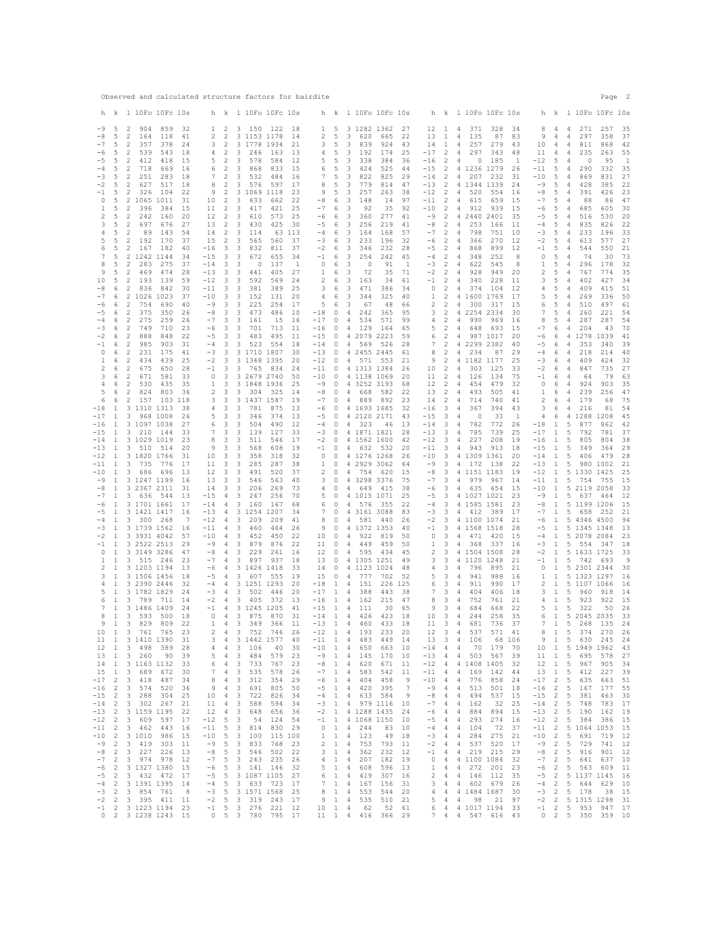| Observed and calculated structure factors for bairdite                                                                                                                                                                                                                                                                                                                                                                                                                                                                                                                                                                                                                                                         |                                                                                                                                                                                                                                                                                                                                                                                                                                                                                                                                                                                                                                                                                                                                                                                                                                                                 | Page<br>$\overline{\phantom{0}}^2$                                                                                                                                                                                                                                                                                                                                                                                                                                                                                                                                                                                                                                                                                                                                                                                                                                                                                                                                            |
|----------------------------------------------------------------------------------------------------------------------------------------------------------------------------------------------------------------------------------------------------------------------------------------------------------------------------------------------------------------------------------------------------------------------------------------------------------------------------------------------------------------------------------------------------------------------------------------------------------------------------------------------------------------------------------------------------------------|-----------------------------------------------------------------------------------------------------------------------------------------------------------------------------------------------------------------------------------------------------------------------------------------------------------------------------------------------------------------------------------------------------------------------------------------------------------------------------------------------------------------------------------------------------------------------------------------------------------------------------------------------------------------------------------------------------------------------------------------------------------------------------------------------------------------------------------------------------------------|-------------------------------------------------------------------------------------------------------------------------------------------------------------------------------------------------------------------------------------------------------------------------------------------------------------------------------------------------------------------------------------------------------------------------------------------------------------------------------------------------------------------------------------------------------------------------------------------------------------------------------------------------------------------------------------------------------------------------------------------------------------------------------------------------------------------------------------------------------------------------------------------------------------------------------------------------------------------------------|
| h k 1 10Fo 10Fc 10s                                                                                                                                                                                                                                                                                                                                                                                                                                                                                                                                                                                                                                                                                            | h k 1 10Fo 10Fc 10s<br>h k 1 10Fo 10Fc 10s                                                                                                                                                                                                                                                                                                                                                                                                                                                                                                                                                                                                                                                                                                                                                                                                                      | h k 1 10Fo 10Fc 10s<br>h k 1 10Fo 10Fc 10s                                                                                                                                                                                                                                                                                                                                                                                                                                                                                                                                                                                                                                                                                                                                                                                                                                                                                                                                    |
| $-9$<br>2<br>904<br>859<br>5<br>32<br>$1\quad 2$<br>5<br>164<br>$\overline{c}$<br>2<br>-8<br>2<br>118<br>41<br>$-7$<br>5<br>357<br>3<br>2<br>2<br>378<br>24<br>5<br>2<br>2<br>-6<br>539<br>543<br>18<br>4<br>412<br>5<br>$-5$<br>5<br>2<br>418<br>15<br>2<br>5<br>718<br>$\overline{c}$<br>2<br>669<br>-4<br>16<br>6<br>$-3$<br>5<br>2<br>251<br>283<br>18<br>7<br>2                                                                                                                                                                                                                                                                                                                                           | 3 150 122 18<br>3 1282 1362<br>$\mathbf{1}$<br>- 5<br>27<br>3 1153 1178<br>2<br>620<br>14<br>5<br>3<br>665<br>22<br>3 1778 1934<br>3<br>5<br>3<br>924<br>21<br>839<br>43<br>3 246<br>163<br>13<br>-5<br>3<br>192<br>174<br>25<br>4<br>3<br>578<br>3<br>338<br>584<br>12<br>5<br>-5<br>384<br>36<br>3<br>5<br>3<br>868<br>833<br>15<br>6<br>424<br>525<br>44<br>3<br>532<br>484<br>7<br>-5<br>3<br>822<br>825<br>29<br>16                                                                                                                                                                                                                                                                                                                                                                                                                                        | 371<br>271<br>257<br>12 1<br>$\frac{4}{3}$<br>328<br>34<br>8<br>4<br>$\overline{4}$<br>35<br>13<br>135<br>87<br>297<br>358<br>37<br>$\mathbf{1}$<br>4<br>83<br>4<br>4<br>9<br>14<br>$\mathbf{1}$<br>257<br>279<br>811<br>42<br>$\frac{4}{3}$<br>43<br>10<br>4<br>$\frac{4}{3}$<br>868<br>55<br>$-17$<br>2<br>$\overline{4}$<br>297<br>235<br>263<br>343<br>48<br>11<br>4<br>$\frac{4}{3}$<br>2<br>4<br>185<br>$-12$<br>5<br>95<br>$\,$ $\,$<br>$-16$<br>0<br>$\overline{4}$<br>$\Omega$<br>-1<br>2<br>5<br>290<br>35<br>$-15$<br>4 1236 1279<br>$-11$<br>332<br>26<br>-4<br>$-14$<br>2<br>4 207<br>232<br>31<br>$-10$<br>5<br>$\overline{4}$<br>869<br>831<br>27                                                                                                                                                                                                                                                                                                              |
| 5<br>$-2$<br>2<br>2<br>627<br>517<br>18<br>8<br>5<br>326 104<br>9<br>2<br>$-1$<br>2<br>22<br>5<br>0<br>2 1065 1011<br>31<br>10<br>2<br>5<br>2<br>396<br>384<br>-2<br>-1<br>15<br>11<br>5<br>$\overline{c}$<br>2<br>2<br>242<br>160<br>20<br>12<br>5<br>2<br>697<br>27<br>13<br>$\overline{c}$<br>3<br>676<br>5<br>2<br>89<br>143<br>54<br>2<br>4<br>14<br>5<br>2<br>192<br>170<br>2<br>5<br>37<br>15<br>5<br>167 182<br>6<br>2<br>40<br>$-16$<br>3<br>7<br>5<br>2 1242 1144<br>34<br>$-15$<br>3                                                                                                                                                                                                                | 3 576<br>5<br>3<br>597<br>17<br>8<br>779<br>814<br>47<br>3 1069 1118<br>9<br>-5<br>3<br>257<br>23<br>263<br>38<br>3 633<br>662<br>22<br>-8<br>-6<br>3<br>148<br>14<br>97<br>3<br>417<br>421<br>25<br>$-7$<br>6<br>3<br>92<br>35<br>92<br>573<br>3<br>3<br>610<br>25<br>-6<br>6<br>360<br>277<br>41<br>3<br>430<br>425<br>30<br>$-5$<br>3<br>256<br>219<br>6<br>41<br>3<br>114<br>63 113<br>$-4$<br>3<br>164<br>168<br>57<br>-6<br>3<br>565<br>560<br>37<br>$-3$<br>3<br>233<br>196<br>32<br>- 6<br>3<br>$-2$<br>832<br>811<br>37<br>- 6<br>-3<br>346<br>232<br>28<br>3<br>672<br>655<br>34<br>$-1$<br>3<br>254<br>242<br>45<br>-6                                                                                                                                                                                                                               | $-13$<br>4 1344 1339<br>$-9$<br>5<br>22<br>$\overline{\phantom{0}}^2$<br>24<br>$\frac{4}{3}$<br>428<br>385<br>$-12$ 2<br>4 520<br>554<br>5<br>391<br>426<br>23<br>$-8$<br>4<br>16<br>5<br>47<br>$-11$<br>2<br>4<br>615<br>659<br>15<br>$-7$<br>$\overline{4}$<br>88<br>86<br>$-10$<br>2<br>4<br>912<br>939<br>15<br>-5<br>$\overline{4}$<br>685<br>605<br>30<br>-6<br>$-9$<br>530<br>20<br>2<br>4 2440 2401<br>35<br>$-5$<br>-5<br>$\frac{4}{3}$<br>516<br>$-8$<br>$\overline{2}$<br>4<br>253<br>5<br>835<br>826<br>22<br>166<br>11<br>$-4$<br>$\overline{4}$<br>$-7$<br>2<br>4<br>798<br>751<br>10<br>$-3$<br>5<br>233<br>196<br>33<br>4<br>$-6$<br>$\overline{2}$<br>$\overline{4}$<br>366<br>270<br>12<br>$-2$<br>$-5$<br>577<br>27<br>$\frac{4}{3}$<br>613<br>$-5$<br>2<br>868<br>899<br>5<br>544<br>550<br>21<br>$\sim$ 4<br>12<br>$-1$<br>$\frac{4}{3}$<br>2<br>5<br>74<br>73<br>$-4$<br>4<br>348<br>252<br>$\circ$<br>30<br>-8<br>$\frac{4}{3}$                        |
| 5<br>283<br>275<br>$-14$<br>3<br>8<br>2<br>37<br>5<br>3<br>9<br>2<br>469<br>474<br>28<br>$-13$<br>5<br>2<br>193<br>139<br>59<br>$-12$<br>3<br>10<br>$-8$<br>6<br>2<br>836<br>842<br>30<br>$-11$<br>3<br>$-7$<br>6<br>2 1026 1023<br>$-10$<br>3<br>37<br>6<br>2<br>754<br>690<br>$-9$<br>3<br>-6<br>40<br>2<br>375<br>350<br>3<br>$-5$<br>6<br>26<br>-8<br>275<br>$-7$<br>3<br>$-4$<br>6<br>2<br>259<br>26<br>6<br>$\overline{c}$<br>749<br>710<br>-6<br>3<br>$-3$<br>23<br>$-2$<br>6<br>2<br>$-5$<br>3<br>888<br>848<br>22                                                                                                                                                                                     | 3<br>$\circ$<br>137<br>$\circ$<br>6<br>3<br>$\circ$<br>91<br><sup>1</sup><br>1<br>3<br>405<br>3<br>72<br>35<br>441<br>27<br>1<br>-6<br>71<br>3<br>592<br>569<br>24<br>$\overline{2}$<br>6<br>3<br>163<br>34<br>61<br>3<br>3<br>381<br>389<br>25<br>3<br>6<br>471<br>386<br>34<br>3<br>131<br>4<br>6<br>3<br>344<br>325<br>152<br>20<br>40<br>5<br>3<br>225<br>254<br>$\overline{\phantom{a}}$<br>66<br>17<br>- 6<br>67<br>48<br>3<br>473<br>486<br>10<br>$-18$<br>$\circ$<br>242<br>$\frac{4}{3}$<br>365<br>95<br>3<br>161<br>15<br>16<br>$-17$<br>0<br>4<br>534<br>571<br>99<br>3<br>701<br>713<br>$\circ$<br>$\overline{4}$<br>129<br>65<br>11<br>$-16$<br>164<br>3<br>495<br>$-15$<br>4 2079 2223<br>483<br>11<br>0<br>59                                                                                                                                    | $-3$<br>2<br>$\overline{4}$<br>$\mathbf{1}$<br>5<br>296<br>178<br>32<br>622<br>545<br>8<br>$\frac{4}{3}$<br>$-2$<br>$\overline{\phantom{0}}^2$<br>$\overline{4}$<br>928<br>949<br>-5<br>35<br>20<br>2<br>$\frac{4}{3}$<br>767<br>774<br>$-1$<br>2<br>4<br>340<br>228<br>3<br>-5<br>402<br>427<br>34<br>11<br>$\overline{4}$<br>2<br>374<br>5<br>$\circ$<br>4<br>104<br>12<br>409<br>415<br>51<br>4<br>-4<br>2<br>4 1600 1769<br>5<br>-5<br>269<br>336<br>50<br>$\mathbf{1}$<br>17<br>$\frac{4}{3}$<br>$2 \quad 2$<br>4 300<br>317<br>5<br>510<br>61<br>15<br>6<br>$\frac{4}{3}$<br>497<br>$\overline{2}$<br>4 2254 2334<br>7<br>-5<br>260<br>221<br>3<br>30<br>$\frac{4}{3}$<br>54<br>2<br>5<br>287<br>4<br>4 990<br>969<br>16<br>8<br>$\overline{4}$<br>287<br>54<br>5 <sub>2</sub><br>$\overline{4}$<br>648<br>693<br>15<br>$-7$<br>6<br>$\frac{4}{3}$<br>204<br>43<br>70<br>$\overline{\phantom{0}}$<br>987 1017<br>4 1278<br>1039<br>41<br>6<br>$\sim$ 4<br>20<br>-6<br>6 |
| $\overline{c}$<br>985<br>$-1$<br>6<br>903<br>31<br>$-4$<br>3<br>$\circ$<br>6<br>2<br>231<br>175<br>41<br>$-3$<br>3<br>6<br>2<br>434<br>439<br>25<br>$-2$<br>3<br>1<br>2<br>6<br>2<br>675<br>650<br>28<br>$-1$<br>3<br>671<br>3<br>3<br>6<br>2<br>581<br>33<br>0<br>6<br>2<br>530<br>4<br>435<br>35<br>1<br>3<br>5<br>6<br>2<br>824<br>2<br>3<br>803<br>36<br>2<br>3<br>3<br>6<br>6<br>157 103 118<br>3 1310 1313<br>3<br>1<br>38<br>4<br>-18<br>$\mathbf{1}$<br>968 1008<br>5<br>3<br>$-17$<br>3<br>26                                                                                                                                                                                                         | 3 523<br>569<br>526<br>554<br>18<br>$-14$<br>$\circ$<br>4<br>28<br>3 1710 1807<br>30<br>$-13$<br>$\circ$<br>4 2455 2445<br>61<br>3 1348 1395<br>20<br>$-12$<br>$\overline{0}$<br>4 571 553<br>21<br>3 765<br>834<br>24<br>$-11$<br>0<br>4 1313 1384<br>26<br>3 2679 2740<br>$-10$<br>4 1138 1069<br>50<br>$\circ$<br>20<br>3 1848 1936<br>$-9$<br>4 3252 3193<br>25<br>0<br>68<br>3 304 325<br>$-8$<br>582<br>22<br>14<br>$\Omega$<br>4<br>668<br>$-7$<br>3 1437 1587<br>19<br>0<br>4<br>889 892<br>23<br>875<br>3<br>781<br>13<br>-6<br>$\overline{0}$<br>4 1693 1685<br>32<br>3<br>346<br>374<br>$-5$<br>$\circ$<br>4 2120 2171<br>13<br>43                                                                                                                                                                                                                   | $7\quad 2$<br>4 2299 2382<br>353<br>340<br>39<br>40<br>$-5$<br>6<br>4<br>8<br>2<br>4 234<br>87<br>29<br>6<br>218<br>214<br>40<br>$-4$<br>$\frac{4}{3}$<br>9 <sub>2</sub><br>4 1182 1177<br>25<br>$-3$<br>6<br>409<br>424<br>32<br>$\frac{4}{3}$<br>10 <sub>2</sub><br>4 303<br>735<br>27<br>125<br>33<br>$-2$<br>-6<br>$\frac{4}{3}$<br>847<br>79<br>11 2<br>4<br>126<br>134<br>75<br>$-1$<br>6<br>64<br>63<br>-4<br>12<br>$\overline{\phantom{0}}^2$<br>454<br>479<br>6<br>924<br>903<br>35<br>-4<br>32<br>0<br>$\frac{4}{3}$<br>13<br>$\overline{\phantom{0}}$<br>$\overline{4}$<br>493<br>505<br>6<br>239<br>256<br>47<br>41<br>$\mathbf{1}$<br>$\frac{4}{3}$<br>75<br>14 2<br>714<br>740<br>2<br>179<br>$\frac{4}{3}$<br>41<br>-6<br>$\frac{4}{3}$<br>68<br>$-16$<br>3<br>367<br>216<br>54<br>$\frac{4}{3}$<br>394<br>3<br>6<br>4<br>81<br>43<br>$-15$<br>3<br>$\overline{4}$<br>$\overline{\phantom{0}}$<br>33<br>6<br>4 1288 1208<br>45<br>-1<br>4                      |
| 3 1097 1038<br>3<br>$-16$<br>1<br>27<br>6<br>3 210 144<br>$7^{\circ}$<br>3<br>$-15$<br>1<br>33<br>$-14$<br>1<br>3 1029 1019<br>23<br>8<br>3<br>$\mathbf{1}$<br>3 510 514<br>20<br>9<br>3<br>$-1.3$<br>3<br>$-12$<br>1<br>3 1820 1766<br>31<br>10<br>3 735 776<br>3<br>$-11$<br>1<br>17<br>11<br>$-10$<br>1<br>3 686 696<br>13<br>12<br>3<br>$-9$<br>3 1247 1199<br>3<br>1<br>16<br>13<br>3 2367 2311<br>3<br>$-8$<br>1<br>31<br>14                                                                                                                                                                                                                                                                             | 3 504<br>490<br>12<br>$-4$<br>$\overline{0}$<br>4 323<br>13<br>-46<br>3 139<br>127<br>33<br>$-3$<br>$\sim$ 0<br>4 1871 1821<br>28<br>3<br>511<br>546<br>17<br>$-2$<br>0<br>4 1562 1600<br>42<br>3<br>568<br>608<br>19<br>$-1$<br>$\overline{0}$<br>4 632 532<br>20<br>3<br>$\circ$<br>358<br>318<br>32<br>$\overline{0}$<br>4 1276 1268<br>26<br>3<br>285<br>287<br>$\mathbf{1}$<br>4 2929 3062<br>38<br>$\circ$<br>64<br>2<br>754<br>3<br>491<br>520<br>37<br>$\circ$<br>4<br>620<br>15<br>3<br>546<br>563<br>40<br>$3 \quad 0$<br>4 3298 3376<br>75<br>3<br>206<br>73<br>415<br>269<br>4<br>$\overline{0}$<br>4<br>649<br>38                                                                                                                                                                                                                                  | 3<br>$\overline{1}$<br>42<br>$-14$<br>$\frac{4}{3}$<br>782<br>772<br>$-18$<br>- 5<br>877<br>862<br>26<br>$-13$ 3<br>$\overline{4}$<br>785<br>739<br>25<br>$-17$<br>$\mathbf{1}$<br>-5<br>792<br>781<br>37<br>227<br>$-12$<br>3<br>4<br>208<br>19<br>$-16$<br>1<br>5<br>805<br>804<br>38<br>$-11$<br>3<br>$\overline{4}$<br>943<br>913<br>18<br>$-15$<br>1<br>- 5<br>349<br>364<br>29<br>$\overline{\phantom{a}}$<br>4 1309 1361<br>1<br>28<br>$-10$<br>20<br>$-14$<br>- 5<br>406<br>479<br>$-9$<br>3<br>4 172<br>138<br>$-13$<br>1<br>-5<br>980 1002<br>21<br>22<br>-8<br>3<br>4 1151 1183<br>19<br>$-12$<br>1<br>5 1330 1425<br>25<br>$-7$<br>3<br>4 979<br>967<br>$-11$<br>1 5 754<br>15<br>14<br>755<br>3<br>4 635<br>654<br>1 5 2119 2058<br>33<br>-6<br>15<br>$-10$                                                                                                                                                                                                      |
| $-7$<br>1<br>3 636 544<br>$-15$<br>4<br>13<br>3 1701 1661<br>-6<br>$\mathbf{1}$<br>17<br>$-14$<br>4<br>$\mathbf{1}$<br>$-5$<br>3 1421 1417<br>16<br>$-13$<br>$\overline{4}$<br>$-4$<br>1<br>3 300 268<br>7<br>$-12$<br>4<br>-3<br>1<br>3 1739 1562<br>$-11$<br>4<br>16<br>3 3931 4042<br>$-10$<br>$-2$<br>1<br>57<br>4<br>3 2522 2513<br>$-9$<br>4<br>$-1$<br>1<br>29<br>3 3149 3286<br>$-8$<br>4<br>0<br>1<br>47<br>$-7$<br>1<br>1<br>3 515 246<br>23<br>4<br>3 1203 1194<br>-6<br>$\overline{4}$<br>2<br>1<br>13<br>3<br>1<br>3 1506 1456<br>18<br>$-5$<br>4                                                                                                                                                 | 256<br>70<br>5<br>3<br>247<br>$\circ$<br>4 1015 1071<br>25<br>3 160<br>6<br>$\circ$<br>576<br>355<br>22<br>167<br>68<br>$\frac{4}{3}$<br>$7\phantom{.0}$<br>3 1254 1207<br>34<br>4 3161 3088<br>$\Omega$<br>83<br>3<br>209<br>209<br>41<br>8<br>$\circ$<br>4<br>581<br>-440<br>26<br>3<br>4 1372 1353<br>460<br>464<br>26<br>9<br>$\circ$<br>40<br>3<br>450<br>22<br>10<br>$\circ$<br>452<br>4<br>922<br>819<br>50<br>3<br>879<br>876<br>4<br>459<br>50<br>22<br>11<br>$\overline{0}$<br>449<br>3<br>229<br>261<br>12<br>$\circ$<br>595 434<br>16<br>$\overline{4}$<br>45<br>3<br>897<br>937<br>18<br>13<br>0<br>4 1305 1251<br>49<br>3 1426 1418<br>33<br>14<br>$\overline{0}$<br>4 1123 1024<br>48<br>15<br>3 607<br>555<br>19<br>0<br>4<br>777<br>702<br>52                                                                                                  | $-5$<br>3<br>4 1027 1021<br>$-9$<br>$\mathbf{1}$<br>5 637<br>464<br>12<br>23<br>$-4$<br>3<br>4 1585 1581<br>$-8$<br>$\mathbf{1}$<br>5 1199 1206<br>15<br>23<br>$-3$<br>3<br>4 412<br>$-7$<br>$\mathbf{1}$<br>5 658<br>252<br>21<br>389<br>17<br>$-2$<br>4 1100 1074<br>94<br>3<br>21<br>-6<br>1 5 4346 4500<br>3<br>4 1568 1518<br>$-5 \t 1$<br>5 1345 1348<br>$-1$<br>28<br>13<br>3<br>5 2078 2084<br>23<br>$\circ$<br>4 471<br>420<br>15<br>$-4$<br>$\mathbf{1}$<br>$-3$<br>1<br>3<br>4 368<br>337<br>16<br>1 5 554 347<br>18<br>2<br>3<br>4 1504 1508<br>1 5 1633 1725<br>33<br>28<br>$-2$<br>3<br>3<br>4 1120 1248<br>21<br>$-1$<br>1<br>5 742<br>693<br>9<br>3<br>$\overline{4}$<br>796<br>895<br>21<br>$\circ$<br><sup>1</sup><br>5 2301 2344<br>30<br>4<br>5<br>3<br>4<br>941<br>988<br>16<br>1<br>1<br>5 1323 1297<br>16                                                                                                                                              |
| 3 2390 2446<br>32<br>$-4$<br>4<br>4<br>1<br>5<br>1<br>3 1782 1829<br>24<br>$-3$<br>4<br>$-2$<br>1<br>3 789 711<br>$\overline{4}$<br>6<br>-14<br>$-1$ 4<br>7<br>1 3 1486 1409<br>24<br>3 593 500<br>18<br>$0 \quad 4$<br>1<br>9<br>$\mathbf{1}$<br>3 829 809<br>22<br>$\mathbf{1}$<br>$\frac{4}{3}$<br>$\overline{c}$<br>$\overline{4}$<br>10 1 3 761 765<br>23<br>$\ensuremath{\mathsf{3}}$<br>$\overline{4}$<br>11<br>$\mathbf{1}$<br>3 1410 1390<br>31<br>$\overline{4}$<br>12<br>$\mathbf{1}$<br>3 498<br>389<br>28<br>$\overline{4}$<br>5<br>13<br>$\mathbf{1}$<br>3 260<br>90<br>39<br>$\frac{4}{3}$                                                                                                      | 3 1251 1293<br>151<br>20<br>$-18$<br>1<br>226<br>125<br>4<br>3<br>502<br>446<br>20<br>$-17$<br>$\mathbf{1}$<br>4<br>388<br>443<br>38<br>3 405 372<br>13<br>$-16$<br>$\mathbf{1}$<br>$\overline{4}$<br>162<br>215<br>47<br>3 1245 1205<br>41<br>$-15$ 1 4 111<br>30<br>65<br>3 875 870<br>426 423<br>18<br>31<br>$-14$ 1 4<br>3 349 366<br>11<br>$-13$ 1<br>4<br>460<br>433<br>18<br>3 752 746<br>$-12$ 1<br>$\overline{4}$<br>193<br>233<br>26<br>20<br>3 1442 1577<br>$\mathbf{1}$<br>40<br>$-11$<br>$\overline{4}$<br>483<br>449<br>14<br>3 106<br>$-10$<br>$\mathbf{1}$<br>40<br>30<br>$\overline{4}$<br>650<br>663<br>10<br>$\overline{3}$<br>$-9$<br>$\mathbf{1}$<br>484<br>579<br>23<br>$\overline{4}$<br>145<br>170<br>10                                                                                                                                | 3<br>911<br>2<br>6<br>4<br>990<br>17<br>1<br>5 1107 1066<br>16<br>7<br>3<br>4<br>404<br>406<br>18<br>3<br>1<br>5<br>960<br>918<br>14<br>3 <sub>4</sub><br>8<br>752<br>761<br>21<br>$4\quad1\quad5$<br>923<br>922<br>15<br>9<br>$3 \quad 4$<br>$5 \t1 \t5$<br>26<br>684<br>668<br>22<br>322<br>50<br>$10 \t3 \t4$<br>244<br>258<br>35<br>6 1 5 2045 2035<br>33<br>7<br>$\mathbf{1}$<br>$11 \quad 3 \quad 4$<br>681<br>736<br>- 37<br>5<br>268<br>135<br>24<br>$\overline{\phantom{a}}$<br>$\overline{4}$<br>571 41<br>$\overline{1}$<br>5<br>270<br>12<br>537<br>8<br>374<br>26<br>$\overline{\mathbf{3}}$<br>106<br>9 <sub>1</sub><br>13<br>$\overline{4}$<br>68 106<br>5<br>630<br>245<br>24<br>$-14$<br>4<br>$\frac{4}{3}$<br>70<br>10 <sub>1</sub><br>179<br>70<br>5 1949 1962<br>43<br>$-13$ 4 4 503<br>567<br>39<br>$11 \quad 1$<br>-5<br>695<br>578<br>27                                                                                                               |
| 6<br>$\overline{4}$<br>14<br>1 3 1163 1132<br>33<br>$7\phantom{.0}$<br>15<br>$\mathbf{1}$<br>$\overline{\mathbf{3}}$<br>689<br>672<br>30<br>$\frac{4}{3}$<br>$\overline{2}$<br>8<br>$\overline{4}$<br>$-17$<br>$\mathbf{3}$<br>418<br>487<br>34<br>9<br>$\frac{4}{3}$<br>$-16$<br>$\overline{2}$<br>3 574<br>520<br>36<br>$\overline{2}$<br>$\overline{4}$<br>$-15$<br>3 288<br>304<br>25<br>10<br>$-14$ 2<br>3 302 267<br>21<br>11<br>$\overline{4}$<br>$-13$ 2<br>3 1159 1195<br>12<br>$\overline{4}$<br>22<br>$-12$ 2 3 609<br>$-12$ 5 3<br>597<br>17<br>$-11$ 2 3 462<br>$-11$ 5<br>443<br>16<br>$-10$<br>2 3 1 0 1 0<br>$-10$ 5<br>986<br>15<br>$\overline{c}$<br>$-9$ 5<br>$-9$<br>303<br>11<br>3<br>419 | $-8$<br>$\mathbf{1}$<br>$\overline{4}$<br>3 733<br>767<br>23<br>620<br>671<br>11<br>3 535<br>578<br>26<br>$-7$<br>$\mathbf{1}$<br>$\overline{4}$<br>583<br>542<br>11<br>3 312<br>354<br>29<br>$-6$<br>$\mathbf{1}$<br>$\frac{4}{3}$<br>404<br>458<br>9<br>3 691<br>$-\,5$<br>$\mathbf{1}$<br>395<br>$7\phantom{.0}$<br>805<br>50<br>$\overline{4}$<br>420<br>3 722<br>$-4$<br>$\mathbf{1}$<br>$\overline{4}$<br>9<br>826<br>34<br>633 584<br>3 588<br>$-3 \t1$<br>594<br>34<br>4 979 1116<br>10<br>$-2$<br>3<br>$\mathbf{1}$<br>4 1288 1435<br>648<br>656<br>36<br>24<br>$-1$ 1 4 1068 1150<br>54<br>124 54<br>10<br>3 814<br>830<br>29<br>$0 \t1 \t4 \t244$<br>83<br>10<br>3 100<br>$\mathbf{1}$<br>123<br>115 100<br>$\mathbf{1}$<br>$\overline{4}$<br>49<br>18<br>$\overline{c}$<br>3 833<br>$\mathbf{1}$<br>753<br>768<br>23<br>$\overline{4}$<br>793<br>11 | $-12$ 4 4 1408 1405<br>32<br>$12 \quad 1 \quad 5$<br>34<br>967<br>905<br>$-11$ 4 4 169<br>142<br>44<br>13<br>1 5<br>412<br>227<br>39<br>776<br>$-17$<br>$\overline{2}$<br>$-10$ 4<br>4<br>858<br>24<br>- 5<br>635<br>663<br>51<br>$-9 - 4$<br>4<br>513<br>501<br>$-16$<br>2 <sub>5</sub><br>18<br>167<br>177<br>55<br>$-8$ 4<br>$\overline{4}$<br>2 5<br>381<br>494<br>537<br>15<br>$-15$<br>463<br>30<br>$-7$<br>2 5<br>4<br>$\frac{4}{3}$<br>162<br>32<br>25<br>$-14$<br>748<br>783<br>17<br>$-6$<br>$\frac{4}{3}$<br>884<br>$-13$<br>2 <sub>5</sub><br>19<br>4<br>894<br>15<br>190<br>162<br>$-5$ 4 4 293<br>274<br>$-12$ 2 5 384<br>16<br>386 15<br>$-4$<br>15<br>$4\quad 4$<br>104<br>72<br>37<br>$-11$ 2 5 1064 1053<br>$-3$<br>$\frac{4}{3}$<br>284<br>275<br>$-10$<br>$\overline{2}$<br>691<br>719<br>$\frac{4}{3}$<br>21<br>- 5<br>12<br>$2^{\circ}$<br>$-2$ 4<br>$-9$<br>5<br>729<br>741<br>12<br>4<br>537<br>520<br>17                                             |
| $-8$<br>2<br>3 227<br>226 13<br>$-8$<br>5<br>$\overline{c}$<br>$-7$<br>5<br>$-7$<br>3 974 978<br>12<br>$\overline{c}$<br>3 1327 1380<br>$-6$ 5<br>$-6$<br>15<br>$-5$ 5<br>$\overline{2}$<br>$-5$<br>3 432 472<br>17<br>2<br>3 1391 1395<br>14<br>$-4$<br>$-3$ 5<br>$-3$<br>$\overline{2}$<br>3 854 761<br>8<br>2 3 395 411<br>$-2$ 5<br>$-2$<br>11<br>$-1$ 2 3 1223 1194 23<br>0 2 3 1238 1243 15                                                                                                                                                                                                                                                                                                              | 3 546 502<br>22<br>$3 \quad 1 \quad 4$<br>362<br>232<br>12<br>3 243 235<br>26<br>$4 \quad 1$<br>$\overline{4}$<br>207<br>182<br>19<br>3 141 146<br>5<br>$\mathbf{1}$<br>596<br>32<br>$\overline{4}$<br>608<br>13<br>3 1087 1105<br>$6 \quad 1$<br>27<br>$\overline{4}$<br>419<br>307<br>16<br>$7 \quad 1 \quad 4$<br>$-4$ 5 3 633 723 17<br>156<br>31<br>167<br>3 1571 1568<br>25<br>8 1 4<br>553<br>544<br>20<br>$9 \quad 1 \quad 4$<br>3 319 243<br>17<br>535<br>510<br>21<br>$-1$ 5 3 276 221 12<br>$10 \t1 \t4$<br>52 61<br>62<br>0 5 3 780 795 17<br>11 1 4 416 366 29                                                                                                                                                                                                                                                                                     | $-1$ 4<br>4 219 215<br>29<br>$-8$<br>2 5<br>916<br>901<br>12<br>$0 \quad 4$<br>4 1100 1084<br>32<br>$-7$<br>2 <sub>5</sub><br>641<br>637<br>10<br>4 272<br>$-6$<br>$2^{\circ}$<br>5 563<br>$\mathbf{1}$<br>$\overline{4}$<br>201<br>23<br>609<br>11<br>2 5 1137 1145<br>2 4 4 146<br>112<br>35<br>$-5$<br>16<br>3 4 4 602 679<br>$-4$ 2 5 644<br>629<br>10<br>26<br>4 4 4 1484 1687<br>30<br>$-3$ 2 5 178<br>38<br>15<br>$-2$ 2 5 1315 1298<br>$5 \quad 4 \quad 4$<br>98<br>21<br>97<br>31<br>6 4 4 1017 1194 33<br>$-1$ 2 5 953<br>947<br>17<br>7 4 4 547 616 43<br>0 2 5 350 359 10                                                                                                                                                                                                                                                                                                                                                                                         |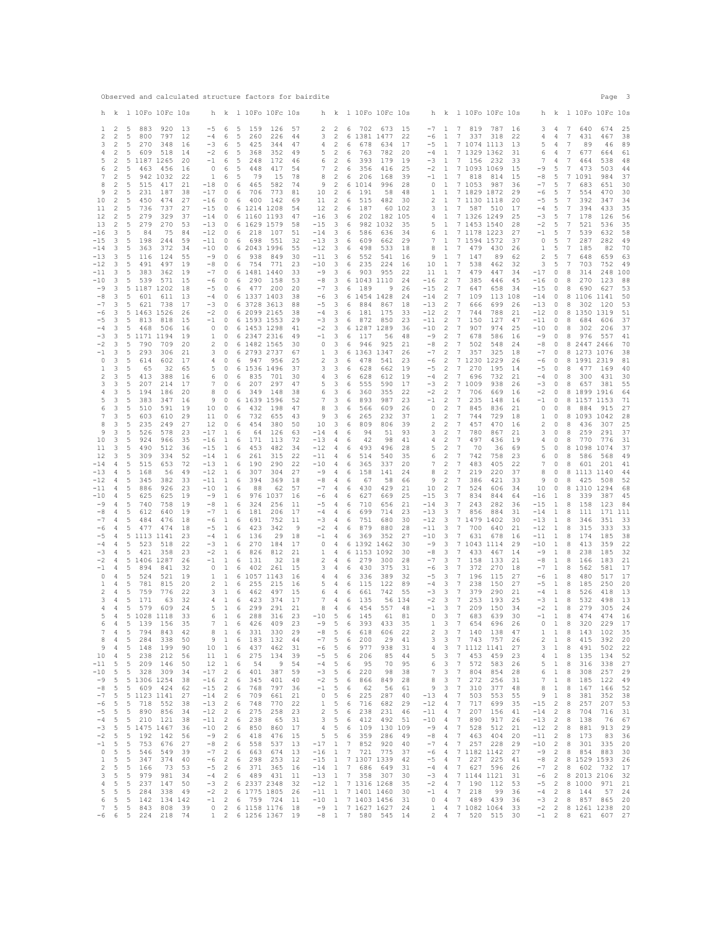|                                                                                                                                                                                                                                                                                                                                                                                                                                                                                                        | h k 1 10Fo 10Fc 10s                                                                                                                                                                                                                                                                                                                                                                                                                                                                                                                                                                                                                                                                                                                                                           | h k 1 10Fo 10Fc 10s                                                                                                                                                                                                                                                                                                                                                                                                                                                                                                                                                                                                                                                                                                                                                                                                                                                                                                                                                                                                       |                                                                                                                                                                                                                                                       | h k 1 10Fo 10Fc 10s                                                                                                                                                                                                                                                                                                                                                                                                                                                                                                                                                                                                                                                                                                                                                                                                  |                                                                                                                                                                                                                                                                                                                                                                     |                                                                                                                                                                                                                                                                                                                                                                                                                                                                                                                                                       | h k 1 10Fo 10Fc 10s                                                                                                                                                                                                                                                                                                                                                                                                                                                                                                                                                                                                                                                                                                                                        |                                                                                                                                                                                                                                                                                                                                                                                                                       |                                                                                                                                                                                                                                                                                                                                                                                                                                 | h k 1 10Fo 10Fc 10s                                                                                                                                                                                                                                                                                                                                                         |
|--------------------------------------------------------------------------------------------------------------------------------------------------------------------------------------------------------------------------------------------------------------------------------------------------------------------------------------------------------------------------------------------------------------------------------------------------------------------------------------------------------|-------------------------------------------------------------------------------------------------------------------------------------------------------------------------------------------------------------------------------------------------------------------------------------------------------------------------------------------------------------------------------------------------------------------------------------------------------------------------------------------------------------------------------------------------------------------------------------------------------------------------------------------------------------------------------------------------------------------------------------------------------------------------------|---------------------------------------------------------------------------------------------------------------------------------------------------------------------------------------------------------------------------------------------------------------------------------------------------------------------------------------------------------------------------------------------------------------------------------------------------------------------------------------------------------------------------------------------------------------------------------------------------------------------------------------------------------------------------------------------------------------------------------------------------------------------------------------------------------------------------------------------------------------------------------------------------------------------------------------------------------------------------------------------------------------------------|-------------------------------------------------------------------------------------------------------------------------------------------------------------------------------------------------------------------------------------------------------|----------------------------------------------------------------------------------------------------------------------------------------------------------------------------------------------------------------------------------------------------------------------------------------------------------------------------------------------------------------------------------------------------------------------------------------------------------------------------------------------------------------------------------------------------------------------------------------------------------------------------------------------------------------------------------------------------------------------------------------------------------------------------------------------------------------------|---------------------------------------------------------------------------------------------------------------------------------------------------------------------------------------------------------------------------------------------------------------------------------------------------------------------------------------------------------------------|-------------------------------------------------------------------------------------------------------------------------------------------------------------------------------------------------------------------------------------------------------------------------------------------------------------------------------------------------------------------------------------------------------------------------------------------------------------------------------------------------------------------------------------------------------|------------------------------------------------------------------------------------------------------------------------------------------------------------------------------------------------------------------------------------------------------------------------------------------------------------------------------------------------------------------------------------------------------------------------------------------------------------------------------------------------------------------------------------------------------------------------------------------------------------------------------------------------------------------------------------------------------------------------------------------------------------|-----------------------------------------------------------------------------------------------------------------------------------------------------------------------------------------------------------------------------------------------------------------------------------------------------------------------------------------------------------------------------------------------------------------------|---------------------------------------------------------------------------------------------------------------------------------------------------------------------------------------------------------------------------------------------------------------------------------------------------------------------------------------------------------------------------------------------------------------------------------|-----------------------------------------------------------------------------------------------------------------------------------------------------------------------------------------------------------------------------------------------------------------------------------------------------------------------------------------------------------------------------|
| 2<br>1<br>2<br>2<br>3<br>2<br>2<br>4<br>5<br>$\overline{\mathbf{c}}$<br>2<br>6<br>$\overline{2}$<br>7<br>$\overline{2}$<br>8<br>9<br>$\overline{\mathbf{c}}$<br>2<br>10<br>$\overline{2}$<br>11<br>$\overline{2}$<br>12<br>13<br>$\overline{\mathbf{c}}$<br>3<br>$-16$<br>$-15$<br>3<br>$-14$<br>3<br>$-13$<br>3<br>3<br>$-12$<br>$-11$<br>3<br>$-10$<br>3<br>$-9$<br>3<br>$-8$<br>3<br>$-7$<br>3<br>3<br>-6<br>$-5$<br>3<br>3<br>$-4$<br>3<br>-3<br>$-2$<br>3<br>3<br>$-1$<br>3<br>$\Omega$<br>1<br>3 | 5<br>883<br>920<br>13<br>797<br>5<br>800<br>12<br>5<br>270<br>348<br>16<br>5<br>609<br>518<br>14<br>5 1187 1265<br>20<br>5<br>463<br>- 456<br>16<br>5<br>942 1032<br>22<br>5<br>515<br>417<br>21<br>231<br>5<br>187<br>38<br>5<br>450<br>474<br>27<br>5<br>736<br>737<br>27<br>279<br>5<br>329<br>37<br>5<br>279<br>270<br>53<br>5<br>84<br>75<br>84<br>198<br>5<br>244<br>59<br>5<br>363<br>372<br>34<br>5<br>116<br>124<br>55<br>5<br>491<br>497<br>19<br>5<br>383<br>362<br>19<br>539<br>571<br>5<br>1.5<br>5 1187 1202<br>18<br>5<br>601 611<br>13<br>5<br>621<br>738<br>17<br>5 1463 1526<br>26<br>5<br>813<br>818<br>15<br>5<br>468<br>506<br>16<br>5 1171 1194<br>19<br>790<br>5<br>709<br>20<br>5<br>293<br>306<br>21<br>602<br>5<br>614<br>17<br>5<br>65<br>32<br>65 | $-5$<br>-6<br>-5<br>159<br>126<br>226<br>$-4$<br>6<br>5<br>260<br>$-3$<br>5<br>6<br>425<br>344<br>5<br>352<br>$-2$<br>6<br>368<br>$-1$<br>-5<br>248<br>172<br>-6<br>0<br>5<br>448<br>417<br>6<br>-6<br>5<br>79<br>15<br>1<br>$-18$<br>0<br>6<br>465<br>582<br>706<br>773<br>$-17$<br>0<br>6<br>$-16$<br>0<br>6<br>400<br>142<br>$-15$<br>$\circ$<br>6 1214 1208<br>$-14$<br>0<br>6 1160 1193<br>6 1629 1579<br>$-13$<br>$\circ$<br>218<br>107<br>$-12$<br>$\overline{\phantom{0}}$<br>6<br>698<br>551<br>$-11$<br>$\circ$<br>6<br>6 2043 1996<br>$-10$<br>0<br>$-9$<br>0<br>6<br>938<br>849<br>$-8$<br>6<br>754<br>771<br>0<br>$-7$<br>6 1481 1440<br>$\Omega$<br>6<br>290<br>158<br>-6<br>$\Omega$<br>$-5$<br>0<br>477<br>200<br>6<br>$-4$<br>$\circ$<br>6 1337 1403<br>$-3$<br>6 3728 3613<br>0<br>$-2$<br>6 2099 2165<br>0<br>$-1$<br>0<br>6 1593 1553<br>$\circ$<br>$\circ$<br>6 1453 1298<br>1<br>0<br>6 2347 2316<br>6 1482 1565<br>2<br>0<br>3<br>6 2793 2737<br>0<br>6 947 956<br>4<br>0<br>5<br>6 1536 1496<br>0 | 57<br>44<br>47<br>49<br>46<br>54<br>78<br>74<br>81<br>69<br>54<br>47<br>$-16$<br>$-15$<br>58<br>$-14$<br>51<br>$-13$<br>32<br>$-12$<br>55<br>30<br>$-11$<br>$-10$<br>23<br>33<br>53<br>20<br>38<br>88<br>38<br>29<br>41<br>49<br>30<br>67<br>25<br>37 | 2<br>$\overline{\phantom{0}}^2$<br>6 702 673<br>3<br>2<br>6 1381 1477<br>2<br>4<br>6<br>678<br>5<br>763<br>2<br>6<br>393<br>2<br>6<br>6<br>356<br>7<br>2<br>6<br>8<br>-2<br>6 206<br>9<br>2<br>6 1014<br>10<br>2<br>191<br>6<br>2<br>11<br>6<br>515<br>12<br>2<br>- 6<br>187<br>$\overline{\mathbf{3}}$<br>6<br>202<br>3<br>6<br>3<br>-6<br>586<br>3<br>- 6<br>609<br>3<br>6<br>498<br>3<br>6<br>552<br>3<br>6<br>235<br>$-9$<br>$3\quad 6$<br>903<br>3<br>6 1043 1110<br>-8<br>$-7$<br>3<br>189<br>6<br>3<br>-6<br>6 1454 1428<br>$-5$<br>3<br>6<br>884<br>$-4$<br>3<br>6<br>181<br>-3<br>3<br>6<br>872<br>$-2$<br>$\overline{\mathbf{3}}$<br>6 1287 1289<br>-1<br>$\overline{\mathbf{3}}$<br>6<br>117<br>3<br>946<br>0<br>6<br>$\mathbf{1}$<br>3<br>6 1363 1347<br>2<br>$_{3}$<br>- 6<br>478<br>3<br>3<br>6<br>628 | -15<br>22<br>634<br>17<br>782<br>20<br>179<br>19<br>25<br>416<br>168<br>39<br>996<br>28<br>58<br>48<br>482<br>30<br>60 102<br>182 105<br>982 1032<br>35<br>636<br>34<br>662<br>29<br>533<br>18<br>541<br>16<br>224<br>16<br>955<br>22<br>2.4<br>9<br>26<br>24<br>867<br>18<br>175<br>33<br>850<br>23<br>36<br>56<br>48<br>925<br>21<br>26<br>23<br>541<br>662<br>19 | $-7$<br>$\overline{1}$<br>-6<br>1<br>$-5$<br>1<br>$-4$<br>1<br>$-3$<br>$\overline{1}$<br>$-2$<br>-1<br>$-1$<br>1<br>$\circ$<br>1<br>1<br>-1<br>2<br>1<br>1<br>3<br>4<br>-1<br>5<br>1<br><sup>1</sup><br>6<br>7<br>1<br>8<br>1<br>9<br>1<br>10<br>1<br>11<br>1<br>$-16$<br>$\overline{2}$<br>$-15$<br>$\overline{c}$<br>$\overline{2}$<br>$-14$<br>$\overline{2}$<br>$-13$<br>$\overline{2}$<br>$-12$<br>2<br>$-11$<br>$-10$<br>$\overline{2}$<br>$-9$<br>$\overline{2}$<br>$\overline{c}$<br>$-8$<br>$-7$<br>$\overline{2}$<br>$-6$<br>2<br>$-5$<br>2 | 7<br>819<br>787<br>16<br>7<br>337<br>318<br>22<br>7 1074 1113<br>13<br>7 1329 1362<br>31<br>7 156 232<br>33<br>7 1093 1069<br>15<br>7 818<br>15<br>814<br>7 1053<br>987<br>36<br>29<br>7 1829 1872<br>7 1130 1118<br>20<br>7 587 510<br>17<br>7 1326 1249<br>25<br>7 1453 1540<br>28<br>7 1178 1223<br>27<br>7 1594 1572<br>37<br>7<br>479<br>430<br>26<br>$7\phantom{.0}$<br>147<br>89<br>62<br>7<br>538<br>462<br>32<br>7<br>34<br>479<br>447<br>7<br>385<br>446<br>45<br>7<br>647<br>658<br>34<br>-7<br>109<br>113 108<br>- 7<br>666<br>699<br>26<br>7<br>744<br>788<br>21<br>7<br>150<br>127<br>47<br>7<br>907<br>974<br>25<br>-7<br>678<br>586<br>16<br>502<br>548<br>-7<br>24<br>7<br>357<br>325<br>18<br>7 1230 1229<br>26<br>7<br>270<br>195<br>14 | 3<br>4<br>4<br>4<br>5<br>4<br>6<br>4<br>7<br>4<br>-9<br>5<br>$-8$<br>5<br>$-7$<br>5<br>5<br>-6<br>$-5$<br>5<br>$-4$<br>5<br>-3<br>5<br>5<br>$-2$<br>$-1$<br>5<br>5<br>0<br>5<br>1<br>2<br>5<br>3<br>5<br>$-17$<br>$\circ$<br>$\circ$<br>$-16$<br>$-15$<br>0<br>$-14$<br>$-13$<br>0<br>$-12$<br>0<br>$-11$<br>0<br>$-10$<br>$\circ$<br>$-9$<br>0<br>$-8$<br>$\circ$<br>$-7$<br>$\circ$<br>$-6$<br>$\circ$<br>$-5$<br>0 | -7<br>640<br>7<br>431<br>7<br>89<br>7<br>677<br>7<br>464<br>7<br>473<br>7 1091<br>-7<br>683<br>7<br>554<br>$7\phantom{.0}$<br>392<br>7<br>394<br>-7<br>178<br>7<br>521<br>7<br>539<br>-7<br>287<br>-7<br>185<br>$7\phantom{.0}$<br>648<br>7<br>703<br>8<br>314<br>8<br>270<br>8<br>690<br>0 8 1106 1141<br>8<br>302<br>8 1350 1319<br>8<br>684<br>8<br>302<br>8<br>976<br>8 2447 2466<br>8 1273 1076<br>8 1991 2319<br>8<br>477 | 674<br>25<br>38<br>467<br>89<br>46<br>61<br>664<br>48<br>538<br>503<br>44<br>984<br>37<br>651<br>30<br>30<br>470<br>34<br>347<br>433<br>35<br>56<br>126<br>536<br>35<br>632<br>58<br>282<br>49<br>70<br>82<br>659<br>63<br>752<br>49<br>248<br>100<br>123<br>88<br>53<br>627<br>50<br>53<br>120<br>51<br>37<br>606<br>206<br>37<br>557<br>41<br>70<br>38<br>81<br>40<br>169 |
| 2<br>3<br>3<br>3<br>3<br>4<br>5<br>3<br>3<br>6<br>3<br>7<br>3<br>8<br>9<br>3<br>10<br>3<br>3<br>11<br>3<br>12<br>$-14$<br>4<br>$-13$<br>4                                                                                                                                                                                                                                                                                                                                                              | 5<br>413<br>388<br>16<br>5<br>207<br>214<br>17<br>194<br>5<br>186<br>20<br>5<br>383<br>347<br>16<br>5<br>510<br>591<br>19<br>5<br>603<br>29<br>610<br>5<br>235<br>249<br>27<br>5<br>526<br>578<br>23<br>5<br>924<br>966<br>35<br>5<br>490<br>512<br>36<br>5<br>309<br>334<br>52<br>515<br>5<br>653<br>72<br>5<br>168<br>56<br>49                                                                                                                                                                                                                                                                                                                                                                                                                                              | 0<br>6<br>835<br>701<br>6<br>7<br>6<br>207<br>297<br>0<br>8<br>$\circ$<br>349<br>148<br>-6<br>9<br>0<br>6 1639 1596<br>10<br>$\circ$<br>6<br>432<br>198<br>655<br>11<br>$\circ$<br>6<br>732<br>454<br>380<br>12<br>0<br>6<br>$-17$<br>126<br>1<br>6<br>64<br>$-16$<br>1<br>6<br>171<br>113<br>$-15$<br>6<br>453<br>482<br>-1<br>$-14$<br>1<br>6<br>261<br>315<br>190<br>290<br>$-13$<br>6<br>-1<br>$-12$<br>1<br>6<br>307<br>304                                                                                                                                                                                                                                                                                                                                                                                                                                                                                                                                                                                          | 30<br>47<br>38<br>52<br>47<br>43<br>50<br>63<br>$-14$<br>72<br>$-13$<br>34<br>$-12$<br>22<br>$-11$<br>$-10$<br>22<br>27                                                                                                                               | 3<br>6<br>628<br>4<br>3<br>5<br>-6<br>555<br>6<br>$\overline{\mathbf{3}}$<br>- 6<br>360<br>7<br>3<br>- 6<br>893<br>8<br>3<br>566<br>6<br>9<br>3<br>-6<br>265<br>10<br>3<br>- 6<br>809<br>$\overline{4}$<br>94<br>6<br>4<br>6<br>42<br>$\sim$ 4<br>6<br>493<br>4<br>6<br>514<br>4<br>6<br>365<br>-9<br>4<br>6<br>158                                                                                                                                                                                                                                                                                                                                                                                                                                                                                                  | 612<br>19<br>590<br>17<br>355<br>22<br>987<br>23<br>609<br>26<br>37<br>232<br>806<br>39<br>51<br>93<br>98<br>41<br>496<br>28<br>35<br>540<br>337<br>20<br>141<br>24                                                                                                                                                                                                 | 2<br>$-4$<br>$-3$<br>$\overline{2}$<br>$-2$<br>$\overline{2}$<br>$-1$<br>-2<br>$\overline{c}$<br>$\circ$<br>$\overline{2}$<br>$\mathbf{1}$<br>$\overline{2}$<br>2<br>$\overline{2}$<br>3<br>$\overline{2}$<br>4<br>5<br>$\overline{2}$<br>$\overline{2}$<br>6<br>7<br>$\overline{2}$<br>$\overline{2}$<br>8                                                                                                                                                                                                                                           | 7<br>696<br>732<br>21<br>7 1009<br>938<br>26<br>7<br>706<br>669<br>16<br>7<br>235<br>148<br>16<br>7<br>845<br>836<br>21<br>7<br>744<br>729<br>18<br>- 7<br>457<br>470<br>16<br>7<br>780<br>21<br>867<br>7<br>497<br>436<br>19<br>7<br>70<br>36<br>69<br>-7<br>742<br>758<br>23<br>7<br>405<br>22<br>483<br>219<br>7<br>220<br>37                                                                                                                                                                                                                                                                                                                                                                                                                           | $-4$<br>0<br>$-3$<br>$\circ$<br>$-2$<br>$\circ$<br>$-1$<br>$\circ$<br>0<br>$\circ$<br>1<br>$\circ$<br>$\overline{c}$<br>0<br>3<br>0<br>4<br>0<br>5<br>$\circ$<br>6<br>0<br>7<br>0<br>8<br>0                                                                                                                                                                                                                           | 8<br>300<br>8<br>657<br>8 1899 1916<br>8 1157 1153<br>8<br>8 1093 1042<br>8<br>436<br>8<br>259<br>8<br>770<br>8 1098 1074<br>8<br>586<br>8<br>601<br>8 1113 1140                                                                                                                                                                                                                                                                | 431<br>30<br>55<br>381<br>-64<br>71<br>27<br>884 915<br>28<br>25<br>307<br>291<br>37<br>31<br>776<br>37<br>49<br>568<br>201<br>41<br>44                                                                                                                                                                                                                                     |
| $-12$<br>4<br>$-11$<br>4<br>$-10$<br>4<br>$-9$<br>4<br>$-8$<br>4<br>$-7$<br>4<br>4<br>-6<br>$-5$<br>4<br>4<br>$-4$<br>$-3$<br>4<br>-2<br>4<br>4<br>$-1$<br>0<br>4<br>1<br>4<br>2<br>4<br>4<br>з<br>4<br>4                                                                                                                                                                                                                                                                                              | 345<br>382<br>33<br>5<br>5<br>23<br>886<br>926<br>5<br>625<br>625<br>19<br>5<br>740<br>758<br>19<br>5<br>612<br>640<br>19<br>5<br>484<br>476<br>18<br>477<br>474<br>5<br>18<br>5 1113 1141<br>23<br>5<br>523<br>518<br>22<br>358<br>23<br>5<br>421<br>5 1406 1287<br>26<br>5<br>894<br>841<br>32<br>5<br>524<br>521<br>19<br>781<br>5<br>815<br>20<br>5<br>759<br>776<br>22<br>171<br>5<br>63<br>32<br>5<br>579<br>609<br>24                                                                                                                                                                                                                                                                                                                                                  | 394<br>369<br>$-11$<br><sup>1</sup><br>6<br>$-10$<br>1<br>6<br>88<br>62<br>$-9$<br>976 1037<br>-1<br>6<br>$-8$<br>6<br>256<br>1<br>324<br>$-7$<br>181<br>206<br>6<br>-1<br>752<br>-6<br>1<br>6<br>691<br>$-5$<br>423<br>342<br>-1<br>6<br>$-4$<br>29<br>1<br>6<br>136<br>$-3$<br>270<br>6<br>184<br>- 1<br>$-2$<br>826<br>812<br>$\overline{1}$<br>6<br>$-1$<br>1<br>6<br>131<br>32<br>$\circ$<br>6<br>402<br>261<br>$\mathbf{1}$<br>1<br>1<br>6 1057 1143<br>2<br>255<br>6<br>215<br>-1<br>3<br>1<br>6<br>462<br>497<br>374<br>4<br>6<br>423<br>-1<br>5<br>291<br>1<br>6<br>299                                                                                                                                                                                                                                                                                                                                                                                                                                          | 18<br>57<br>16<br>11<br>17<br>11<br>9<br>18<br>17<br>21<br>18<br>15<br>16<br>16<br>15<br>17<br>21                                                                                                                                                     | $-8$<br>6<br>$\overline{4}$<br>67<br>$-7$<br>4<br>6<br>430<br>-6<br>$\frac{4}{3}$<br>6<br>627<br>$-5$<br>710<br>$\frac{4}{3}$<br>6<br>$-4$<br>4<br>6<br>699<br>$-3$<br>751<br>4<br>6<br>$-2$<br>879<br>4<br>6<br>-1<br>4<br>6<br>369<br>0<br>6 1392 1462<br>4<br>$\mathbf{1}$<br>4<br>6 1153 1092<br>2<br>4<br>6<br>279<br>3<br>$\overline{4}$<br>6<br>430<br>4<br>4<br>6<br>336<br>5<br>4<br>115<br>6<br>6<br>4<br>6<br>661<br>7<br>4<br>6<br>135<br>8<br>4<br>6<br>454                                                                                                                                                                                                                                                                                                                                             | 58<br>66<br>429<br>21<br>669<br>25<br>656<br>21<br>714<br>23<br>680<br>30<br>880<br>28<br>352<br>27<br>30<br>30<br>300<br>28<br>375<br>31<br>389<br>32<br>122<br>89<br>742<br>55<br>56<br>134<br>557<br>48                                                                                                                                                          | 9<br>$\overline{c}$<br>$\overline{2}$<br>10<br>$-15$<br>3<br>3<br>$-14$<br>3<br>$-13$<br>$-12$<br>3<br>$-11$<br>3<br>-10<br>3<br>$-9$<br>3<br>$-8$<br>3<br>$-7$<br>3<br>3<br>$-6$<br>$-5$<br>3<br>3<br>$-4$<br>$-3$<br>3<br>$-2$<br>3<br>3<br>$-1$                                                                                                                                                                                                                                                                                                    | -7<br>386<br>421<br>33<br>7<br>34<br>524<br>606<br>7<br>834<br>844<br>64<br>7<br>243<br>282<br>36<br>$7\phantom{.0}$<br>31<br>856<br>884<br>7 1479 1402<br>30<br>7<br>700<br>640<br>21<br>7<br>678<br>631<br>16<br>7 1043 1114<br>29<br>7<br>433<br>467<br>14<br>7<br>158<br>133<br>21<br>7<br>372<br>270<br>18<br>7<br>196<br>115<br>27<br>238<br>7<br>150<br>27<br>7<br>379<br>290<br>21<br>7<br>253<br>193<br>25<br>7<br>34<br>209<br>150                                                                                                                                                                                                                                                                                                               | 9<br>$\circ$<br>10<br>$\circ$<br>$-16$<br>1<br>$-15$<br>$\mathbf{1}$<br>$-14$<br>1 8<br>$-13$<br>$\mathbf{1}$<br>$-12$<br>$\mathbf{1}$<br>$-11$<br>$\mathbf{1}$<br>$-10$<br>$\mathbf{1}$<br>$-9$<br>$\mathbf{1}$<br>-8<br>1<br>$-7$<br>1<br>-6<br>1<br>$-5$<br>$\mathbf{1}$<br>$-4$<br>1<br>-3<br>1<br>$-2$<br>1                                                                                                      | 425<br>8<br>8 1310 1294<br>8<br>339<br>8<br>158<br>111<br>8<br>346<br>315<br>8<br>174<br>8<br>8<br>413<br>8<br>238<br>8<br>166<br>8<br>562<br>8<br>480<br>8<br>185<br>8<br>526<br>8<br>532<br>279<br>8                                                                                                                                                                                                                          | 508<br>52<br>68<br>387<br>45<br>123<br>84<br>171<br>111<br>351<br>33<br>333<br>33<br>38<br>185<br>22<br>359<br>185<br>32<br>21<br>183<br>581<br>17<br>17<br>517<br>250<br>20<br>418<br>13<br>498<br>13<br>24<br>305                                                                                                                                                         |
| 5<br>4<br>4<br>6<br>$\boldsymbol{7}$<br>4<br>8<br>4<br>9<br>$\frac{4}{3}$<br>10<br>$\overline{4}$<br>$-11$<br>5<br>5<br>$-10$<br>5<br>$-9$<br>$-8$<br>5<br>5<br>$-7$<br>$5\phantom{.0}$<br>$-6$<br>5<br>$-5$<br>5<br>$-4$<br>$\overline{5}$<br>$-3$<br>5<br>$-2$<br>$\overline{5}$<br>$-1$<br>5<br>$\circ$                                                                                                                                                                                             | 5 1028 1118<br>33<br>5<br>139<br>156<br>35<br>5<br>794<br>843<br>42<br>5<br>284<br>338<br>50<br>5<br>148<br>199<br>90<br>5<br>238<br>212<br>56<br>5<br>209 146<br>- 50<br>5 328<br>309<br>34<br>5 1306 1254<br>38<br>5 609 424<br>62<br>5 1123 1141<br>27<br>5<br>718<br>552<br>38<br>5 890 856<br>34<br>5 210 121<br>38<br>5 1475 1467<br>36<br>192<br>142<br>5<br>56<br>5<br>753<br>676<br>27<br>5<br>39<br>546<br>549                                                                                                                                                                                                                                                                                                                                                      | 6<br>1<br>6<br>288<br>316<br>7<br>$\mathbf{1}$<br>6<br>426<br>409<br>8<br><sup>1</sup><br>6 331<br>330<br>9 <sub>1</sub><br>6<br>183<br>132<br>10<br>$\mathbf{1}$<br>6<br>437<br>462<br>$\mathbf{1}$<br>11<br>6<br>275<br>134<br>1<br>6<br>54<br>12<br>9<br>$\overline{c}$<br>$-17$<br>6<br>401<br>387<br>$\overline{c}$<br>6<br>$-16$<br>345<br>401<br>$-15$ 2<br>6<br>768<br>797<br>$-14$ 2<br>6<br>709<br>661<br>$\overline{2}$<br>$-13$<br>6<br>748<br>770<br>2<br>275<br>$-12$<br>6<br>258<br>$-11$ 2<br>6<br>238<br>65<br>$\overline{2}$<br>6<br>$-10$<br>850<br>860<br>$-9$<br>$\overline{c}$<br>6<br>418<br>476<br>$\overline{c}$<br>$-8$<br>6<br>558<br>537<br>$-7$<br>2<br>6<br>663<br>674                                                                                                                                                                                                                                                                                                                      | $-10$<br>23<br>23<br>29<br>44<br>31<br>39<br>54<br>59<br>40<br>36<br>21<br>22<br>23<br>31<br>17<br>15<br>$-17$<br>13<br>13                                                                                                                            | 5<br>6<br>145<br>$-9$<br>5<br>6<br>393<br>$-8$<br>5<br>6<br>618<br>5<br>-7<br>6<br>200<br>-6<br>5<br>6<br>977<br>5<br>$-5$<br>6<br>206<br>$-4$<br>5<br>6<br>95<br>$-3$<br>5<br>6<br>220<br>$-2$<br>5<br>6<br>866<br>$-1$<br>5<br>- 6<br>62<br>$5\quad 6$<br>0<br>225<br>5<br>$\mathbf{1}$<br>6<br>716<br>$\overline{c}$<br>5<br>6<br>238<br>3 <sub>5</sub><br>6<br>412<br>$\overline{4}$<br>5<br>- 6<br>109<br>5<br>- 6<br>359<br>5<br>$\mathbf{1}$<br>7<br>852<br>$-16$ 1 7 721                                                                                                                                                                                                                                                                                                                                     | 61<br>81<br>433<br>35<br>606<br>22<br>29<br>41<br>938<br>31<br>85<br>44<br>70<br>95<br>98<br>38<br>849<br>28<br>56<br>61<br>287<br>40<br>682<br>29<br>231<br>46<br>492<br>51<br>130 109<br>286<br>49<br>920<br>40<br>37<br>775                                                                                                                                      | 3<br>$\circ$<br>$\overline{1}$<br>3<br>2<br>3<br>3<br>3<br>$\overline{4}$<br>3<br>5<br>$\overline{\mathbf{3}}$<br>6<br>$7\phantom{.0}$<br>3<br>8<br>3<br>9<br>3<br>$-13$<br>$\frac{4}{3}$<br>$-12$<br>$\frac{4}{3}$<br>$-11$<br>$\frac{4}{3}$<br>$-10$<br>$\overline{4}$<br>$-9$<br>$\frac{4}{3}$<br>$-8$<br>$\frac{4}{3}$<br>$-7$<br>$\overline{4}$<br>$-6$                                                                                                                                                                                          | 7<br>683<br>639<br>30<br>7<br>654<br>696<br>26<br>7 140 138<br>47<br>3 7 743 757<br>26<br>7 1112 1141<br>27<br>7<br>453<br>459<br>23<br>7<br>572<br>583<br>26<br>$7\phantom{.0}$<br>804<br>854<br>28<br>$7\phantom{.0}$<br>272<br>256<br>31<br>$7\phantom{.0}$<br>310<br>377<br>48<br>7<br>503<br>553<br>55<br>-7<br>717<br>699<br>35<br>7<br>207<br>156<br>41<br>7<br>890<br>917<br>26<br>7<br>528<br>512<br>21<br>7<br>20<br>463<br>404<br>7<br>257<br>228<br>29<br>4 7 1182 1142<br>27                                                                                                                                                                                                                                                                  | $-1$<br>1<br>0<br>-1<br>$1\quad1$<br>$2 \quad 1$<br>3<br>$\mathbf{1}$<br>4<br>$\mathbf{1}$<br>$5 \quad 1$<br>6<br>$\mathbf{1}$<br>$7\phantom{.0}$<br>$\mathbf{1}$<br>$\mathbf{1}$<br>8<br>9<br>$\mathbf{1}$<br>$2 \quad 8$<br>$-15$<br>$\overline{2}$<br>$-14$<br>$-13$<br>2 8<br>$2^{\circ}$<br>$-12$<br>$-11$<br>$\overline{2}$<br>$2^{\circ}$<br>$-10$                                                             | 8<br>474<br>8<br>320<br>8 143 102<br>8<br>415<br>491<br>8<br>8<br>135<br>8<br>316<br>8<br>308<br>8<br>185<br>8<br>167<br>8<br>381<br>257<br>8<br>704<br>138<br>8<br>881<br>8<br>173<br>8<br>301<br>$-9$ 2 8 854 883<br>$-8$ 2 8 1529 1593                                                                                                                                                                                       | 474<br>16<br>229<br>17<br>35<br>392<br>20<br>502<br>22<br>134<br>52<br>27<br>338<br>29<br>257<br>122<br>49<br>166<br>52<br>352<br>38<br>207<br>53<br>716<br>31<br>76<br>67<br>29<br>913<br>36<br>83<br>20<br>335<br>30                                                                                                                                                      |
| 5<br>$\mathbf{1}$<br>$\overline{c}$<br>5<br>5<br>3<br>5<br>4<br>5<br>5<br>5<br>6<br>5<br>7<br>-6                                                                                                                                                                                                                                                                                                                                                                                                       | -5<br>347<br>374<br>40<br>73<br>5<br>166<br>53<br>5<br>979<br>981<br>- 34<br>5<br>237<br>147<br>50<br>5<br>284<br>338 49<br>5<br>142<br>134 142<br>5<br>843 808 39<br>6 5 224 218 74                                                                                                                                                                                                                                                                                                                                                                                                                                                                                                                                                                                          | $-6$ 2<br>6<br>298<br>253<br>$-5$ 2<br>6 371<br>365<br>$-4$ 2<br>6 489 431<br>$-3$ 2<br>6 2337 2348<br>$-2$ 2<br>6 1775 1805<br>2<br>6 759 724 11<br>$-1$<br>0 2 6 1158 1176 18<br>1 2 6 1256 1367 19                                                                                                                                                                                                                                                                                                                                                                                                                                                                                                                                                                                                                                                                                                                                                                                                                     | 12<br>16<br>11<br>32<br>26<br>$-11$                                                                                                                                                                                                                   | $-15$ 1 7 1307 1339<br>$-14$ 1 7 686<br>$-13$ 1 7 358<br>$-12$ 1 7 1316 1268<br>1 7 1401 1460<br>$-10$ 1 7 1403 1456<br>$-9$ 1 7 1627 1627 24<br>$-8$ 1 7 580 545 14                                                                                                                                                                                                                                                                                                                                                                                                                                                                                                                                                                                                                                                 | 42<br>649<br>31<br>307<br>30<br>35<br>30<br>31                                                                                                                                                                                                                                                                                                                      | $-5$<br>$\overline{4}$<br>$-4$<br>$\overline{4}$<br>$-3$<br>$\overline{4}$<br>$-2$<br>$\frac{4}{3}$<br>$-1$<br>$\overline{4}$<br>$\circ$<br>$\frac{4}{3}$<br>$\mathbf{1}$                                                                                                                                                                                                                                                                                                                                                                             | 7 227<br>225<br>41<br>7 627<br>596<br>26<br>7 1144 1121<br>31<br>7<br>190<br>112<br>53<br>7<br>218<br>99<br>36<br>7 489 439<br>36<br>4 7 1082 1064<br>33<br>2 4 7 520 515 30                                                                                                                                                                                                                                                                                                                                                                                                                                                                                                                                                                               | $-7$<br>$-4$<br>$-3$                                                                                                                                                                                                                                                                                                                                                                                                  | 2 8 602 732<br>$-6$ 2 8 2013 2106<br>$-5$ 2 8 1000 971<br>2 8 144<br>2 8 857 865<br>$-2$ 2 8 1261 1238                                                                                                                                                                                                                                                                                                                          | 26<br>17<br>32<br>21<br>57<br>24<br>20<br>20<br>$-1$ 2 8 621 607 27                                                                                                                                                                                                                                                                                                         |

Observed and calculated structure factors for bairdite **Page 3** and the Page 3 and the Page 3 and the Page 3 and the Page 3 and the Page 3 and the Page 3 and the Page 3 and the Page 3 and the Page 3 and the Page 3 and the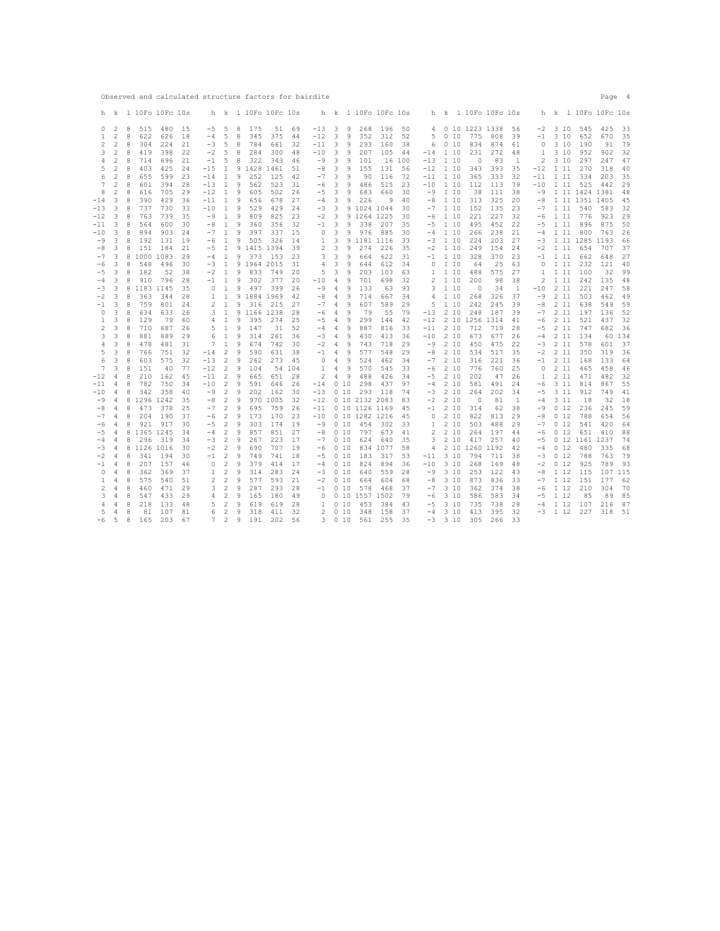|                |                          |        |                    |                     |          |            |                   |        |                  |                     |          | Observed and calculated structure factors for bairdite |                |        |                |                     |          |        |                            |                |           |          |                   |                    |                     | Page       | 4        |
|----------------|--------------------------|--------|--------------------|---------------------|----------|------------|-------------------|--------|------------------|---------------------|----------|--------------------------------------------------------|----------------|--------|----------------|---------------------|----------|--------|----------------------------|----------------|-----------|----------|-------------------|--------------------|---------------------|------------|----------|
|                |                          |        |                    | h k 1 10Fo 10Fc 10s |          |            |                   |        |                  | h k 1 10Fo 10Fc 10s |          |                                                        |                |        |                | h k 1 10Fo 10Fc 10s |          |        | h k 1 10Fo 10Fc 10s        |                |           |          |                   |                    | h k 1 10Fo 10Fc 10s |            |          |
| 0              | 2                        | 8      | 515                | 480                 | 15       | $-5$       | 5                 | 8      | 175              | 51                  | 69       | $-13$                                                  | 3              | 9      | 268            | 196                 | 50       | 4      |                            | 0 10 1223 1338 |           | 56       | $-2$              | 3 10               | 545                 | 425        | 33       |
|                | $\overline{\mathcal{L}}$ | 8      | 622                | 626                 | 18       | $-4$       | 5                 | 8      | 345              | 375                 | 44       | $-12$                                                  | 3              | 9      | 352            | 312                 | 52       | 5      | 010                        | 775            | 808       | 39       | $-1$              | 3 10               | 652                 | 670        | 35       |
|                | $\overline{2}$           | 8      | 304                | 224                 | 21       | $-3$       | 5                 | 8      | 784              | 661                 | 32       | $-11$                                                  | 3              | 9      | 293            | 160                 | 38       | 6      | 010                        | 834            | 874       | 61       | $\Omega$          | 310                | 190                 | 91         | 79       |
| 3              | 2                        | 8      | 419                | 398                 | 22       | $-2$       | 5                 | 8      | 284              | 300                 | 48       | $-10$                                                  | 3              | 9      | 207            | 105                 | 44       | $-14$  | 1 10                       | 231            | 272       | 48       | $\mathbf{1}$      | 3 10               | 952                 | 902        | 32       |
| 4              | 2                        | 8      | 714                | 696                 | 21       | $-1$       | 5                 | 8      | 322              | 343                 | 46       | $-9$                                                   | 3              | 9      | 101            |                     | 16 100   | $-13$  | 1 10                       | 0              | 83        | 1        | 2                 | 3 10               | 297                 | 247        | 47       |
| 5              | 2                        | 8      | 403                | 425                 | 24       | $-15$      | 1                 |        | 9 1428 1461      |                     | 51       | $-8$                                                   | 3              | 9      | 155            | 131                 | 56       | $-12$  | 1 10                       | 343            | 393       | 35       | $-12$             | 1 1 1              | 270                 | 318        | 40       |
| 6              | $\overline{2}$           | 8      | 655                | 599                 | 23       | $-14$      | 1                 | 9      | 252              | 125                 | 42       | $-7$                                                   | 3              | 9      | 90             | 116                 | 72       | $-11$  | 1 10                       | 365            | 333       | 32       | $-11$             | 1 1 1              | 334                 | 203        | 35       |
| 7              | $\overline{c}$           | 8      | 601                | 394                 | 28       | $-13$      | 1                 | 9      | 562              | 523                 | 31       | $-6$                                                   | 3              | 9      | 486            | 515                 | 23       | $-10$  | 1 10                       | 112            | 113       | 79       | $-10$             | 1 1 1              | 525                 | 442        | 29       |
| 8              | 2                        | 8      | 616                | 705                 | 29       | $-12$      | 1                 | 9      | 605              | 502                 | 26       | $-5$                                                   | 3              | 9      | 683            | 660                 | 30       | $-9$   | 1 10                       | 38             | 111       | 38       | $-9$              |                    | 1 11 1424 1381      |            | 48       |
| $-14$          | 3                        | 8      | 390                | 429                 | 36       | $-11$      | 1                 | 9      | 656              | 678                 | 27       | $-4$                                                   | 3              | 9      | 226            | 9                   | 40       | $-8$   | 1 10                       | 313            | 325       | 20       | $-8$              |                    | 1 11 1351           | 1405       | 45       |
| $-13$          | 3                        | 8      | 737                | 730                 | 33       | $-10$      | $\mathbf{1}$      | 9      | 529              | 429                 | 24       | $-3$                                                   | 3              |        | 9 1024 1044    |                     | 30       | $-7$   | 1 10                       | 152            | 135       | 23       | $-7$              | 111                | 540                 | 583        | 32       |
| $-12$          | 3                        | 8      | 763                | 739                 | 35       | $-9$       | 1                 | 9      | 809              | 825                 | 23       | $-2$                                                   | 3              | 9      | 1264 1225      |                     | 30       | $-6$   | 1 10                       | 221            | 227       | 32       | $-6$              | $\mathbf{1}$<br>11 | 776                 | 923        | 29       |
| $-11$          | 3                        | 8      | 564                | 600                 | 30       | $-8$       | $\mathbf{1}$      | 9      | 360              | 356                 | 32       | $-1$                                                   | 3              | 9      | 338            | 207                 | 35       | $-5$   | 1 10                       | 495            | 452       | 22       | $-5$              | 1 1 1              | 896                 | 875        | 50       |
| $-10$          | 3                        | 8      | 894                | 903                 | 24       | $-7$       | $\mathbf{1}$      | 9      | 397              | 337                 | 15       | $\circ$                                                | 3              | 9      | 976            | 885                 | 30       | $-4$   | 1 10                       | 266            | 238       | 21       | $-4$              | 1 1 1              | 800                 | 763        | 26       |
| $-9$           | 3                        | 8      | 192                | 131                 | 19       | $-6$       | $\mathbf{1}$      | 9      | 505              | 326                 | 14       | 1                                                      | 3              | 9      | 1181 1116      |                     | 33       | $-3$   | 1 10                       | 224            | 203       | 27       | $-3$              |                    | 1 11 1285 1193      |            | 66       |
| $-8$           | 3                        | 8      | 151                | 184                 | 21       | $-5$       | 1                 |        | 9 1415 1394      |                     | 39       | $\overline{c}$                                         | 3              | 9      | 274            | 226                 | 35       | $-2$   | 1 10                       | 249            | 154       | 24       | $-2$              | 1 1 1              | 654                 | 707        | 37       |
| $-7$           | 3                        |        | 8 1000 1083        |                     | 29       | $-4$       | 1                 | 9      | 373              | 153                 | 23       | 3                                                      | 3              | 9      | 664            | 622                 | 31       | $-1$   | 1 10                       | 328            | 370       | 23       | $-1$              | 1 1 1              | 662                 | 648        | 27       |
| $-6$           | 3<br>3                   | 8<br>8 | 548<br>182         | 496<br>52           | 30<br>38 | -3<br>$-2$ | 1<br>1            | 9      | 9 1 9 6 4<br>833 | 2015<br>749         | 31<br>20 | 4<br>5                                                 | 3<br>3         | 9<br>9 | 644<br>203     | 612<br>103          | 34<br>63 | 0      | $\mathbf{1}$<br>10<br>1 10 | 64<br>488      | 25<br>575 | 63<br>27 | 0<br>$\mathbf{1}$ | 1 1 1<br>111       | 232<br>100          | 121<br>32  | 40<br>99 |
| $-5$           |                          |        |                    |                     |          |            |                   |        |                  |                     |          |                                                        |                |        |                |                     |          | 1      |                            |                |           |          |                   |                    |                     |            |          |
| $-4$<br>$-3$   | 3<br>3                   | 8      | 910<br>8 1183 1145 | 796                 | 28<br>35 | $-1$<br>0  | 1<br>$\mathbf{1}$ | 9<br>9 | 302<br>497       | 377<br>399          | 20<br>26 | $-10$<br>$-9$                                          | 4<br>4         | 9<br>9 | 701<br>133     | 698<br>63           | 32<br>93 | 2<br>3 | 1 10<br>1 10               | 200<br>$\circ$ | 98<br>34  | 38<br>1  | 2<br>$-10$        | 1 1 1<br>2 1 1     | 242<br>221          | 135<br>247 | 48<br>58 |
| $-2$           | 3                        | 8      | 363                | 344                 | 28       | 1          | 1                 |        | 9 1884 1969      |                     | 42       | -8                                                     | 4              | 9      | 714            | 667                 | 34       | 4      | 110                        | 268            | 326       | 37       | -9                | 2 1 1              | 503                 | 462        | 49       |
| $-1$           | 3                        | 8      | 759                | 801                 | 24       | 2          | $\mathbf{1}$      | 9      | 316              | 215                 | 27       | $-7$                                                   | $\overline{4}$ | 9      | 607            | 589                 | 29       | 5      | 1 10                       | 242            | 245       | 39       | $-8$              | 2 1 1              | 638                 | 549        | 59       |
| 0              | 3                        | 8      | 634                | 633                 | 26       | 3          | 1                 |        | 9 1166 1238      |                     | 28       | $-6$                                                   | 4              | 9      | 79             | 55                  | 79       | $-13$  | 2 10                       | 248            | 187       | 39       | $-7$              | 2 1 1              | 197                 | 136        | 52       |
| 1              | 3                        | 8      | 129                | 79                  | 60       | 4          | 1                 | 9      | 395              | 274                 | 25       | $-5$                                                   | 4              | 9      | 299            | 144                 | 42       | $-12$  |                            | 2 10 1256 1314 |           | 41       | -6                | 2 1 1              | 521                 | 437        | 32       |
| 2              | 3                        | 8      | 710                | 687                 | 26       | 5          | 1                 | 9      | 147              | 31                  | 52       | $-4$                                                   | 4              | 9      | 887            | 816                 | 33       | $-11$  | 210                        | 712            | 719       | 28       | $-5$              | 2 1 1              | 747                 | 682        | 36       |
| 3              | 3                        | 8      | 881                | 889                 | 29       | 6          | $\mathbf{1}$      | 9      | 314              | 261                 | 36       | $-3$                                                   | 4              | 9      | 430            | 413                 | 36       | $-10$  | 2 10                       | 673            | 677       | 26       | $-4$              | 2 1 1              | 134                 | 60         | 134      |
| 4              | 3                        | 8      | 478                | 481                 | 31       | 7          | 1                 | 9      | 674              | 742                 | 30       | $-2$                                                   | 4              | 9      | 743            | 718                 | 29       | $-9$   | 2 10                       | 450            | 475       | 22       | $-3$              | 2 1 1              | 578                 | 601        | 37       |
| 5              | 3                        | 8      | 766                | 751                 | 32       | $-14$      | 2                 | 9      | 590              | 631                 | 38       | $-1$                                                   | 4              | 9      | 577            | 548                 | 29       | $-8$   | 2 10                       | 534            | 517       | 35       | $-2$              | 2 1 1              | 350                 | 319        | 36       |
| 6              | 3                        | 8      | 603                | 575                 | 32       | $-13$      | $\overline{2}$    | 9      | 262              | 273                 | 45       | 0                                                      | 4              | 9      | 524            | 462                 | 34       | $-7$   | 2 10                       | 316            | 221       | 36       | $-1$              | 2 1 1              | 168                 | 133        | 64       |
| 7              | 3                        | 8      | 151                | 40                  | 77       | $-12$      | 2                 | 9      | 104              |                     | 54 104   | 1                                                      | 4              | 9      | 570            | 545                 | 33       | $-6$   | 2 10                       | 776            | 760       | 25       | 0                 | 2 1 1              | 465                 | 458        | 46       |
| $-12$          | 4                        | 8      | 210                | 162                 | 45       | $-11$      | $\overline{2}$    | 9      | 665              | 651                 | 28       | $\overline{2}$                                         | 4              | 9      | 488            | 426                 | 34       | $-5$   | 2 10                       | 202            | 47        | 26       | 1                 | 2 1 1              | 471                 | 482        | 32       |
| $-11$          | 4                        | 8      | 782                | 750                 | 34       | $-10$      | 2                 | 9      | 591              | 646                 | 26       | $-14$                                                  |                | 010    | 298            | 437                 | 97       | $-4$   | 2 10                       | 581            | 491       | 24       | -6                | 3 1 1              | 814                 | 867        | 55       |
| $-10$          | 4                        | 8      | 342                | 358                 | 40       | $-9$       | $\overline{2}$    | 9      | 202              | 162                 | 30       | $-13$                                                  |                | 010    | 293            | 118                 | 74       | $-3$   | 210                        | 264            | 202       | 34       | $-5$              | 3 1 1              | 912                 | 749        | 41       |
| $-9$           | 4                        |        | 8 1296 1242        |                     | 35       | $-8$       | 2                 | 9      |                  | 970 1005            | 32       | $-12$                                                  |                |        | 0 10 2132 2083 |                     | 83       | $-2$   | 210                        | $\circ$        | 81        | 1        | $-4$              | 3 1 1              | 18                  | 32         | 18       |
| $-8$           | 4                        | 8      | 473                | 378                 | 25       | $-7$       | $\overline{2}$    | 9      | 695              | 759                 | 26       | $-11$                                                  |                |        | 0 10 1126 1169 |                     | 45       | $-1$   | 2 10                       | 314            | 62        | 38       | $-9$              | 0, 12              | 236                 | 245        | 59       |
| $-7$           | 4                        | 8      | 204                | 190                 | 37       | $-6$       | $\overline{c}$    | 9      | 173              | 170                 | 23       | $-10$                                                  |                |        | 0 10 1282 1216 |                     | 45       | 0      | 2 10                       | 822            | 813       | 29       | $-8$              | 0, 12              | 788                 | 654        | 56       |
| $-6$           | 4                        | 8      | 921                | 917                 | 30       | $-5$       | 2                 | 9      | 303              | 174                 | 19       | $-9$                                                   |                | 010    | 454            | 302                 | 33       | 1      | 2 10                       | 503            | 488       | 29       | $-7$              | 012                | 541                 | 420        | 64       |
| $-5$           | 4                        | 8      | 1365 1245          |                     | 34       | $-4$       | $\overline{c}$    | 9      | 857              | 851                 | 27       | -8                                                     |                | 010    | 797            | 673                 | 41       | 2      | 2 10                       | 264            | 197       | 44       | -6                | 0, 12              | 651                 | 410        | 88       |
| $-4$           | 4                        | 8      | 296                | 319                 | 34       | $-3$       | 2                 | 9      | 267              | 223                 | 17       | $-7$                                                   |                | 010    | 624            | 640                 | 35       | 3      | 2 10                       | 417            | 257       | 40       | $-5$              |                    | 0 12 1161 1237      |            | 74       |
| -3             | 4                        |        | 8 1126 1016        |                     | 30       | $-2$       | 2                 | 9      | 690              | 707                 | 19       | -6                                                     |                | 010    |                | 834 1077            | 58       | 4      |                            | 2 10 1260      | 1192      | 42       | $-4$              | 0, 12              | 480                 | 335        | 68       |
| $-2$           | 4                        | 8      | 341                | 194                 | 30       | $-1$       | 2                 | 9      | 749              | 741                 | 18       | $-5$                                                   |                | 010    | 183            | 317                 | 53       | $-11$  | 310                        | 794            | 711       | 38       | -3                | 0, 12              | 788                 | 763        | 79       |
| $-1$           | 4                        | 8      | 207                | 157                 | 46       | 0          | $\overline{2}$    | 9      | 379              | 414                 | 17       | $-4$                                                   |                | 010    | 824            | 894                 | 36       | $-10$  | 3 10                       | 268            | 169       | 48       | $-2$              | 012                | 925                 | 789        | 93       |
| 0              | 4                        | 8      | 362                | 369                 | 37       | 1          | $\overline{2}$    | 9      | 314              | 283                 | 24       | -3                                                     |                | 010    | 640            | 559                 | 28       | $-9$   | 3 10                       | 253            | 122       | 43       | $-8$              | 1 12               | 115                 | 107        | 115      |
| 1              | 4                        | 8      | 575                | 540                 | 51       | 2          | $\overline{2}$    | 9      | 577              | 593                 | 21       | $-2$                                                   |                | 010    | 664            | 604                 | 68       | $-8$   | 310                        | 873            | 836       | 33       | $-7$              | 1 12               | 151                 | 177        | 62       |
| $\overline{2}$ | 4                        | 8      | 460                | 471                 | 29       | 3          | 2                 | 9      | 287              | 293                 | 28       | $-1$                                                   |                | 010    | 578            | 468                 | 37       | $-7$   | 3 10                       | 362            | 374       | 38       | -6                | 1 12               | 210                 | 304        | 70       |
| 3              | 4                        | 8      | 547                | 433                 | 29       | 4          | 2                 | 9      | 165              | 180                 | 49       | $\circ$                                                |                | 010    | 1557           | 1502                | 79       | $-6$   | 3 10                       | 586            | 583       | 34       | $-5$              | 1 12               | 85                  | 89         | 85       |
| 4              | 4                        | 8      | 218                | 133                 | 48       | 5          | 2                 | 9      | 619              | 619                 | 28       | 1                                                      |                | 010    | 453            | 384                 | 43       | $-5$   | 310                        | 735            | 738       | 28       | $-4$              | 1 12               | 107                 | 216        | 87       |
| 5              | 4                        | 8      | 81                 | 107                 | 81       | 6          | 2                 | 9      | 318              | 411                 | 32       | 2                                                      |                | 010    | 348            | 158                 | 37       | $-4$   | 310                        | 413            | 395       | 32       |                   | $-3$ 1 12          | 227                 | 318        | 51       |
| -6             | 5                        | 8      | 165                | 203                 | 67       | 7          | $\mathfrak{D}$    | 9      | 191              | 202                 | 56       | 3                                                      |                | 010    | 561            | 255                 | 35       | $-3$   | 310                        | 305            | 266       | 33       |                   |                    |                     |            |          |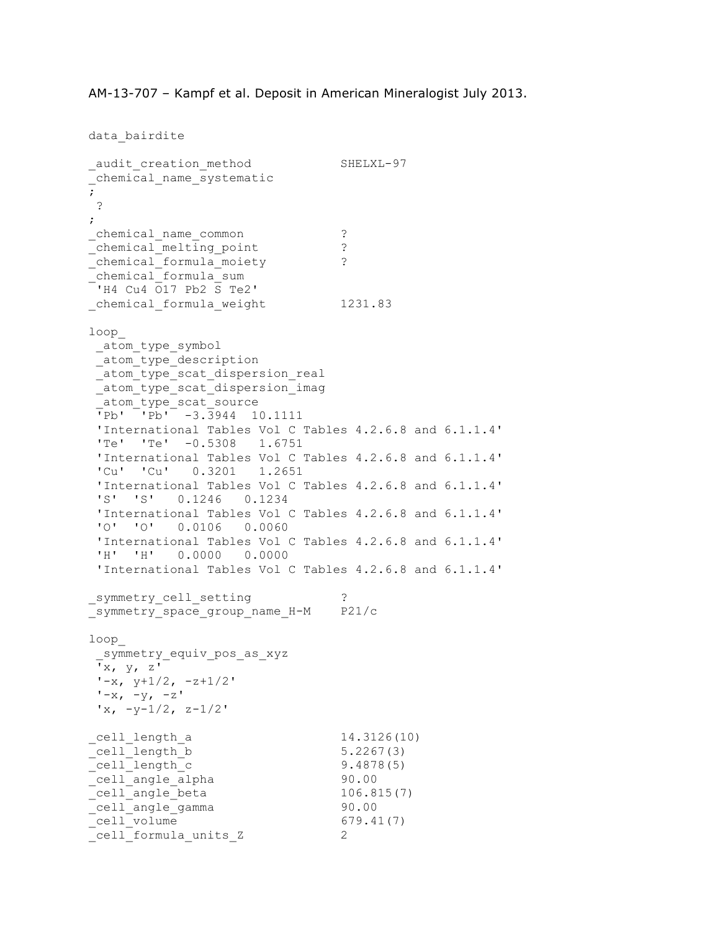AM-13-707 – Kampf et al. Deposit in American Mineralogist July 2013.

```
data bairdite
_audit_creation_method SHELXL-97 
_chemical_name_systematic 
; 
? 
; 
_chemical_name_common ?<br>
chemical melting point ?
_chemical_melting_point ? 
_chemical_formula_moiety ? 
_chemical_formula_sum 
'H4 Cu4 O17 Pb2 S Te2' 
_chemical_formula_weight 1231.83 
loop_ 
 _atom_type_symbol 
_atom_type_description 
_atom_type_scat_dispersion_real 
 _atom_type_scat_dispersion_imag 
 _atom_type_scat_source 
 \frac{1}{1}Pb' \frac{1}{1} -3.3944 10.1111
 'International Tables Vol C Tables 4.2.6.8 and 6.1.1.4' 
 'Te' 'Te' -0.5308 1.6751 
 'International Tables Vol C Tables 4.2.6.8 and 6.1.1.4' 
 'Cu' 'Cu' 0.3201 1.2651 
 'International Tables Vol C Tables 4.2.6.8 and 6.1.1.4' 
 'S' 'S' 0.1246 0.1234 
 'International Tables Vol C Tables 4.2.6.8 and 6.1.1.4' 
 'O' 'O' 0.0106 0.0060 
 'International Tables Vol C Tables 4.2.6.8 and 6.1.1.4' 
 'H' 'H' 0.0000 0.0000 
 'International Tables Vol C Tables 4.2.6.8 and 6.1.1.4' 
symmetry cell setting \gamma ?
_symmetry_space_group_name_H-M P21/c 
loop_ 
 _symmetry_equiv_pos_as_xyz 
 'x, y, z'y-y+1/2, -z+1/2'
 '-x, -y, -z'
 x, -y-1/2, z-1/2'_cell_length_a 14.3126(10)<br>cell length b 5.2267(3)
\sqrt{\text{cell}} length \bar{\text{b}}_cell_length_c 9.4878(5) 
_cell_angle_alpha 90.00 
\text{cell\_angle\_beta} 106.815(7)
_cell_angle_gamma 90.00 
_cell_volume 679.41(7) 
_cell_formula_units_Z 2
```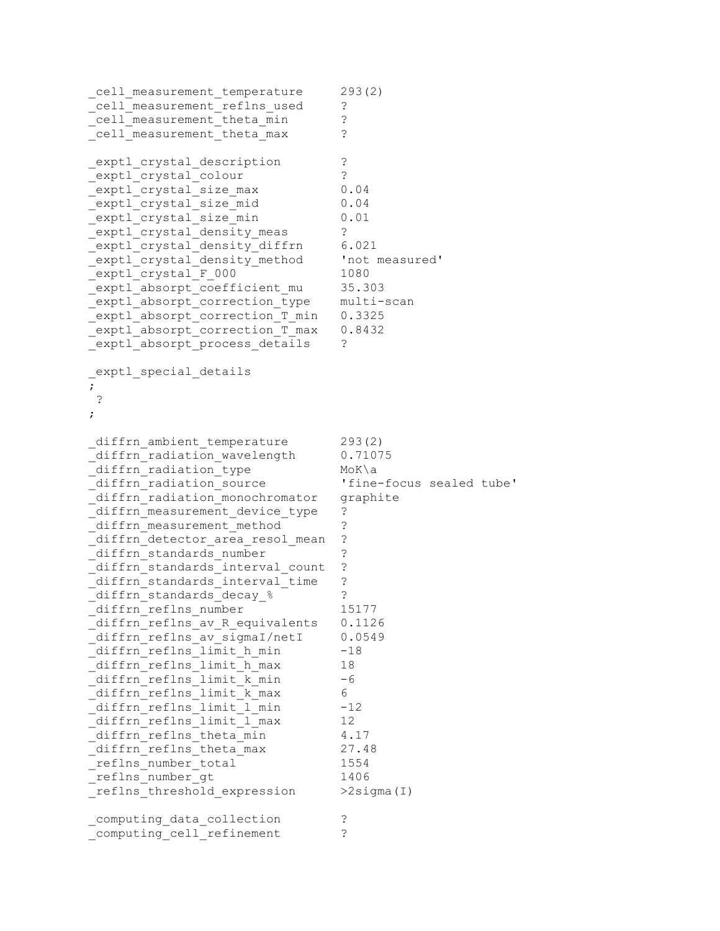\_cell\_measurement temperature 293(2) cell measurement reflns used ? cell measurement theta min ? cell measurement theta max ? \_exptl\_crystal\_description ? exptl crystal colour ? exptl crystal size max 0.04 \_exptl\_crystal\_size\_mid 0.04 \_exptl\_crystal\_size\_min 0.01 exptl crystal density meas ? \_exptl\_crystal\_density\_diffrn 6.021 exptl crystal density method 'not measured' \_exptl\_crystal\_F\_000 1080 exptl absorpt coefficient mu 35.303 exptl absorpt correction type multi-scan \_exptl\_absorpt\_correction\_T\_min 0.3325 exptl absorpt correction T max 0.8432 exptl absorpt process details ? \_exptl\_special\_details ; ? ; diffrn ambient temperature 293(2) diffrn radiation wavelength 0.71075 \_diffrn\_radiation\_type MoK\a \_diffrn\_radiation\_source 'fine-focus sealed tube' \_diffrn\_radiation\_monochromator graphite diffrn measurement device type ? diffrn measurement method ? \_diffrn\_detector area resol mean ? \_diffrn\_standards\_number ? \_diffrn\_standards\_interval\_count ? \_diffrn\_standards\_interval\_time ? \_diffrn\_standards<sup>-decay %</sup> ? diffrn reflns number 15177 diffrn reflns av R equivalents 0.1126 \_diffrn\_reflns\_av\_sigmaI/netI 0.0549 \_diffrn\_reflns\_limit\_h\_min -18 \_diffrn\_reflns\_limit\_h\_max 18 diffrn reflns limit k min -6 diffrn reflns limit k max 6 \_diffrn\_reflns\_limit\_l\_min -12 \_diffrn\_reflns\_limit\_l\_max 12 diffrn reflns theta min 4.17 diffrn reflns theta max 27.48 \_reflns\_number\_total 1554 reflns number gt 1406 reflns threshold expression  $>2$ sigma(I) \_computing\_data\_collection ? computing cell refinement ?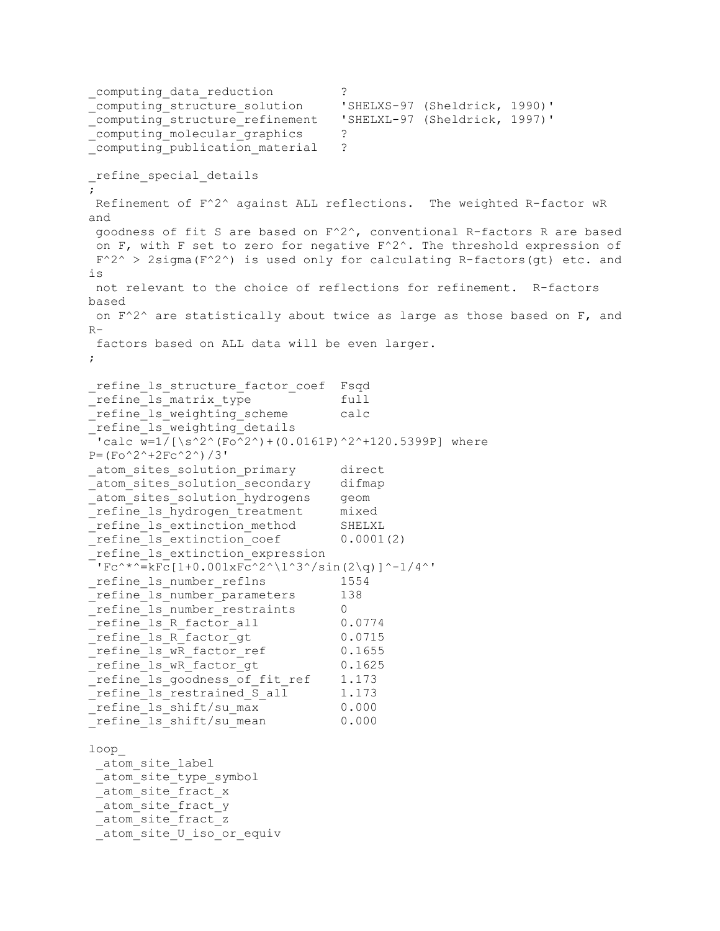```
_computing_data_reduction ? 
_computing_structure_solution 'SHELXS-97 (Sheldrick, 1990)' 
computing structure refinement 'SHELXL-97 (Sheldrick, 1997)'
computing molecular graphics ?
_computing_publication_material ? 
_refine_special_details 
; 
Refinement of F^2^ against ALL reflections. The weighted R-factor wR 
and 
goodness of fit S are based on F^2^, conventional R-factors R are based 
on F, with F set to zero for negative F^2^. The threshold expression of 
F^2 > 2sigma(F<sup>\textdegree2^) is used only for calculating R-factors(gt) etc. and</sup>
is 
not relevant to the choice of reflections for refinement. R-factors 
based 
 on F^2 are statistically about twice as large as those based on F, and
R-factors based on ALL data will be even larger. 
; 
refine ls structure factor coef Fsqd
refine ls matrix type full
refine 1s weighting scheme calc
refine ls weighting details
'calc w=1/[\s^2^(Fo^2^)+(0.0161P)^2^+120.5399P] where
P = (Fo^2^+2Fc^2^*)/3'_atom_sites_solution_primary direct 
_atom_sites_solution_secondary difmap 
_atom_sites_solution_hydrogens geom 
refine 1s hydrogen treatment mixed
_refine_ls_extinction_method SHELXL 
_refine_ls_extinction_coef 0.0001(2) 
_refine_ls_extinction_expression 
'Fc^*^*=kFc[1+0.001xFc^2^\l^3^/sin(2\q)]^-1/4^'
_refine_ls_number_reflns 1554 
_refine_ls_number_parameters 138 
refine ls number restraints 0
refine 1s R factor all 0.0774refine 1s R factor gt 0.0715
_refine_ls_wR_factor_ref 0.1655 
_refine_ls_wR_factor_gt 0.1625 
refine 1s goodness of fit ref 1.173
refine 1s restrained S all 1.173
_refine_ls_shift/su_max 0.000 
refine ls shift/su mean 0.000
loop_ 
 _atom_site_label 
 atom site type symbol
 _atom_site_fract_x 
 _atom_site_fract_y 
 _atom_site_fract_z 
 atom site U iso or equiv
```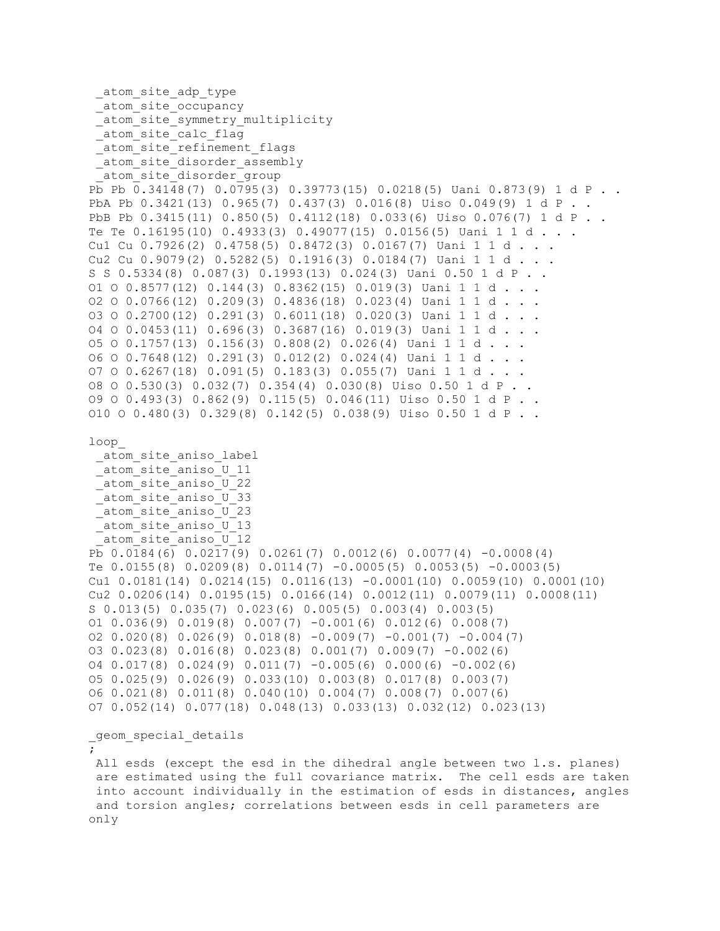```
_atom_site adp type
 _atom_site_occupancy 
 atom site symmetry multiplicity
 atom site calc flag
 _atom_site_refinement_flags 
 atom site disorder assembly
 atom site disorder group
Pb Pb 0.34148(7) 0.0795(3) 0.39773(15) 0.0218(5) Uani 0.873(9) 1 d P . . 
PbA Pb 0.3421(13) 0.965(7) 0.437(3) 0.016(8) Uiso 0.049(9) 1 d P . . 
PbB Pb 0.3415(11) 0.850(5) 0.4112(18) 0.033(6) Uiso 0.076(7) 1 d P . . 
Te Te 0.16195(10) 0.4933(3) 0.49077(15) 0.0156(5) Uani 1 1 d . . . 
Cu1 Cu 0.7926(2) 0.4758(5) 0.8472(3) 0.0167(7) Uani 1 1 d . . . 
Cu2 Cu 0.9079(2) 0.5282(5) 0.1916(3) 0.0184(7) Uani 1 1 d . .
S S 0.5334(8) 0.087(3) 0.1993(13) 0.024(3) Uani 0.50 1 d P . . 
O1 O 0.8577(12) 0.144(3) 0.8362(15) 0.019(3) Uani 1 1 d . . .
O2 O 0.0766(12) 0.209(3) 0.4836(18) 0.023(4) Uani 1 1 d . . .
O3 O 0.2700(12) 0.291(3) 0.6011(18) 0.020(3) Uani 1 1 d . . . 
O4 O 0.0453(11) 0.696(3) 0.3687(16) 0.019(3) Uani 1 1 d . . . 
O5 O 0.1757(13) 0.156(3) 0.808(2) 0.026(4) Uani 1 1 d . . . 
O6 O 0.7648(12) 0.291(3) 0.012(2) 0.024(4) Uani 1 1 d . . . 
O7 O 0.6267(18) 0.091(5) 0.183(3) 0.055(7) Uani 1 1 d . . . 
O8 O 0.530(3) 0.032(7) 0.354(4) 0.030(8) Uiso 0.50 1 d P . . 
O9 O 0.493(3) 0.862(9) 0.115(5) 0.046(11) Uiso 0.50 1 d P . . 
O10 O 0.480(3) 0.329(8) 0.142(5) 0.038(9) Uiso 0.50 1 d P . . 
loop_ 
 atom site aniso label
 _atom_site_aniso_U_11 
 _atom_site_aniso_U_22 
 _atom_site_aniso_U_33 
 _atom_site_aniso_U_23 
 _atom_site<sup>_</sup>aniso<sup>-U-13</sup>
 atom site aniso U 12
Pb 0.0184(6) 0.0217(9) 0.0261(7) 0.0012(6) 0.0077(4) -0.0008(4) 
Te 0.0155(8) 0.0209(8) 0.0114(7) -0.0005(5) 0.0053(5) -0.0003(5)Cu1 0.0181(14) 0.0214(15) 0.0116(13) -0.0001(10) 0.0059(10) 0.0001(10) 
Cu2 0.0206(14) 0.0195(15) 0.0166(14) 0.0012(11) 0.0079(11) 0.0008(11) 
S 0.013(5) 0.035(7) 0.023(6) 0.005(5) 0.003(4) 0.003(5) 
O1 0.036(9) 0.019(8) 0.007(7) -0.001(6) 0.012(6) 0.008(7) 
02 0.020(8) 0.026(9) 0.018(8) -0.009(7) -0.001(7) -0.004(7)O3 0.023(8) 0.016(8) 0.023(8) 0.001(7) 0.009(7) -0.002(6) 
O4 0.017(8) 0.024(9) 0.011(7) -0.005(6) 0.000(6) -0.002(6) 
O5 0.025(9) 0.026(9) 0.033(10) 0.003(8) 0.017(8) 0.003(7) 
O6 0.021(8) 0.011(8) 0.040(10) 0.004(7) 0.008(7) 0.007(6) 
O7 0.052(14) 0.077(18) 0.048(13) 0.033(13) 0.032(12) 0.023(13)
```
\_geom\_special\_details

;

All esds (except the esd in the dihedral angle between two l.s. planes) are estimated using the full covariance matrix. The cell esds are taken into account individually in the estimation of esds in distances, angles and torsion angles; correlations between esds in cell parameters are only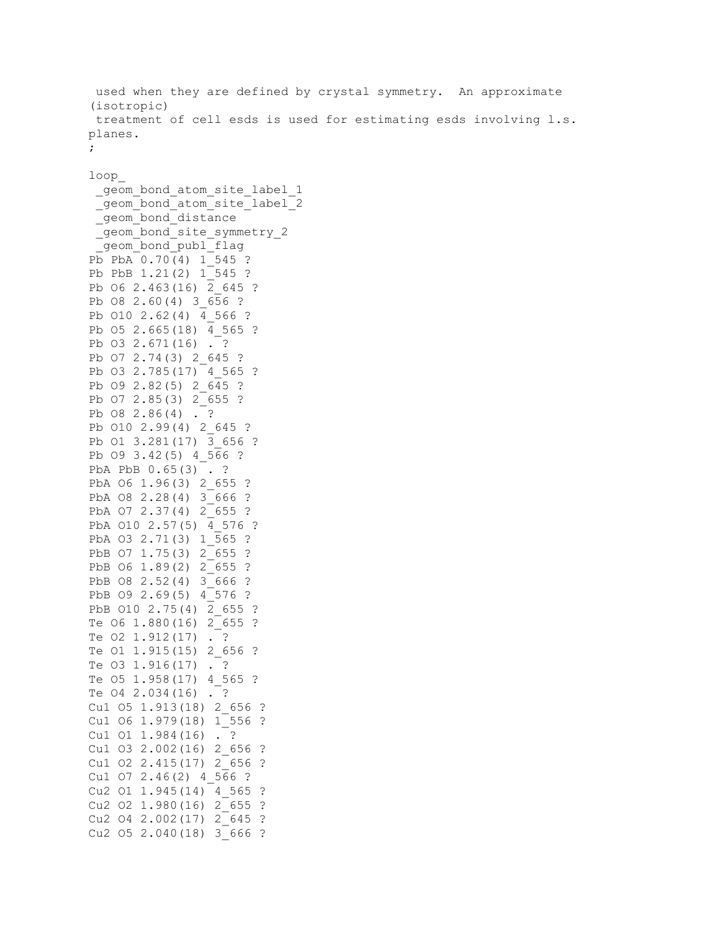```
used when they are defined by crystal symmetry. An approximate 
(isotropic) 
treatment of cell esds is used for estimating esds involving l.s. 
planes. 
; 
loop_ 
 geom bond atom site label 1
 _geom_bond_atom_site_label_2 
_geom_bond_distance 
_geom_bond_site_symmetry_2 
 _geom_bond_publ_flag 
Pb PbA 0.70(4) 1 545 ?
Pb PbB 1.21(2) 1 545 ?
Pb 06 2.463(16) 2 645 ?
Pb 08 2.60(4) 3 656 ?
Pb 010 2.62(4) 4 566 ?
Pb 05 2.665(18) 4 565 ?
Pb 03 2.671(16) . ?
Pb 07 2.74(3) 2 645 ?
Pb 03 2.785(17) 4 565 ?
Pb 09 2.82(5) 2 645 ?
Pb 07 2.85(3) 2 655 ?
Pb O8 2.86(4) . ? 
Pb 010 2.99(4) 2 645 ?
Pb 01 3.281(17) 3 656 ?
Pb 09 3.42(5) 4 566 ?
PbA PbB 0.65(3) . ? 
PbA O6 1.96(3) 2_655 ? 
PbA 08 2.28(4) 3 666 ?
PbA 07 2.37(4) 2 655 ?
PbA 010 2.57(5) 4 576 ?
PbA 03 2.71(3) 1 565 ?
PbB 07 1.75(3) 2 655 ?
PbB 06 1.89(2) 2 655 ?
PbB 08 2.52(4) 3 666 ?
PbB 09 2.69(5) 4\overline{576} ?
PbB 010 2.75(4) 2 655 ?
Te 06 1.880(16) 2 655 ?
Te O2 1.912(17) . ? 
Te 01 1.915(15) 2 656 ?
Te 03 1.916(17) . ?
Te 05 1.958(17) 4 565 ?
Te O4 2.034(16) . ? 
Cu1 05 1.913(18) 2 656 ?
Cu1 06 1.979(18) 1 556 ?
Cu1 01 1.984(16) . ?
Cu1 03 2.002 (16) 2 656 ?
Cu1 02 2.415(17) 2 656 ?
Cu1 07 2.46(2) 4 566 ?
Cu2 01 1.945(14) 4 565 ?
Cu2 02 1.980 (16) 2 655 ?
Cu2 04 2.002 (17) 2 645 ?
Cu2 05 2.040 (18) 3 666 ?
```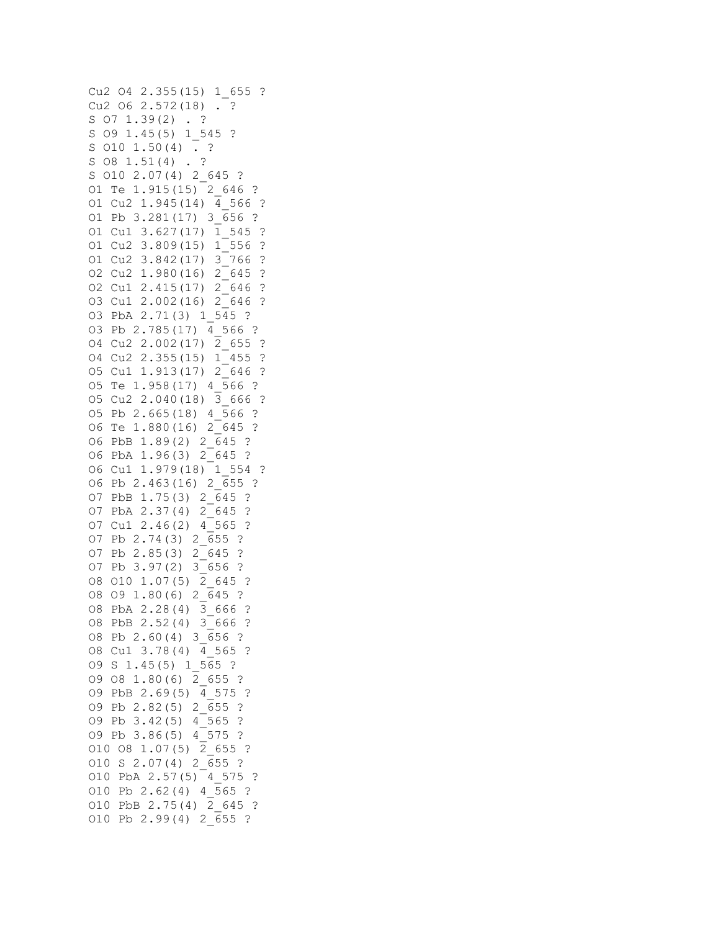```
Cu2 04 2.355 (15) 1 655 ?
Cu2 06 2.572(18) . ?
S O7 1.39(2) . ?
S O9 1.45(5) 1_545 ? 
S O10 1.50(4) . ? 
S O8 1.51(4) . ? 
S O10 2.07(4) 2_645 ? 
O1 Te 1.915(15) 2_646 ? 
O1 Cu2 1.945(14) \overline{4} 566 ?
O1 Pb 3.281(17) 3_656 ? 
O1 Cu1 3.627(17) 1_545 ? 
O1 Cu2 3.809(15) 1_556 ? 
O1 Cu2 3.842(17) 3_766 ? 
O2 Cu2 1.980(16) 2_645 ? 
O2 Cu1 2.415(17) 2_646 ? 
O3 Cu1 2.002(16) 2_646 ? 
O3 PbA 2.71(3) 1_545 ? 
O3 Pb 2.785(17) 4_566 ? 
O4 Cu2 2.002(17) 2_655 ? 
O4 Cu2 2.355(15) 1_455 ? 
O5 Cu1 1.913(17) 2_646 ? 
O5 Te 1.958(17) 4_566 ? 
O5 Cu2 2.040(18) 3_666 ? 
O5 Pb 2.665(18) 4_566 ? 
O6 Te 1.880(16) 2_645 ? 
O6 PbB 1.89(2) 2_645 ? 
O6 PbA 1.96(3) 2_645 ? 
O6 Cu1 1.979(18) 1_554 ? 
O6 Pb 2.463(16) 2_655 ? 
O7 PbB 1.75(3) 2_645 ? 
O7 PbA 2.37(4) 2_645 ? 
O7 Cu1 2.46(2) 4_565 ? 
O7 Pb 2.74(3) 2_655 ? 
O7 Pb 2.85(3) 2_645 ? 
O7 Pb 3.97(2) 3_656 ? 
O8 O10 1.07(5) 2_645 ? 
O8 O9 1.80(6) 2_645 ? 
O8 PbA 2.28(4) \overline{3} 666 ?
O8 PbB 2.52(4) 3_666 ? 
O8 Pb 2.60(4) 3_656 ? 
O8 Cu1 3.78(4) 4_565 ? 
O9 S 1.45(5) 1_565 ? 
O9 O8 1.80(6) 2_655 ? 
O9 PbB 2.69(5) 4_575 ? 
O9 Pb 2.82(5) 2_655 ? 
O9 Pb 3.42(5) 4_565 ? 
O9 Pb 3.86(5) 4_575 ? 
O10 O8 1.07(5) 2_655 ? 
O10 S 2.07(4) 2_655 ? 
O10 PbA 2.57(5) 4_575 ? 
O10 Pb 2.62(4) 4_565 ? 
O10 PbB 2.75(4) 2_645 ? 
O10 Pb 2.99(4) 2_655 ?
```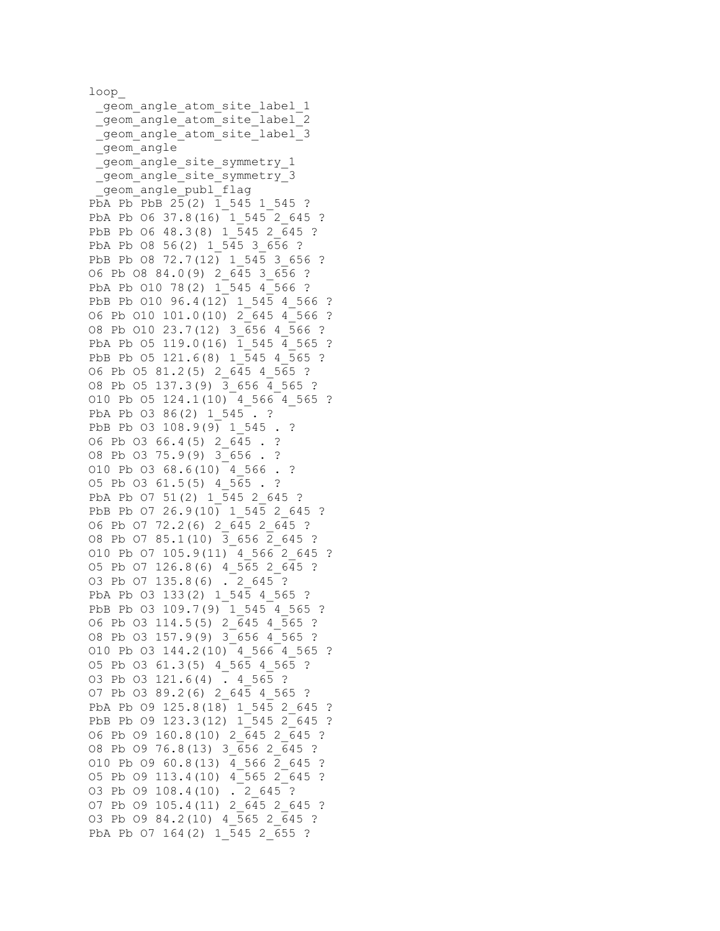```
loop_ 
 geom angle atom site label 1
 geom angle atom site label 2
 _geom_angle_atom_site_label_3 
 _geom_angle 
 geom angle site symmetry 1
 qeom angle site symmetry 3
 qeom angle publ flag
PbA Pb PbB 2\overline{5}(2) 1 545 1 545 ?
PbA Pb 06 37.8(16) 1 545 2 645 ?
PbB Pb 06 48.3(8) 1 545 2 645 ?
PbA Pb O8 56(2) 1_545 3_656 ? 
PbB Pb 08 72.7(12) 1 545 3 656 ?
O6 Pb O8 84.0(9) 2_645 3_656 ? 
PbA Pb 010 78(2) 1 545 4 566 ?
PbB Pb 010 96.4(12) 1 545 4 566 ?
O6 Pb O10 101.0(10) 2_645 4_566 ? 
O8 Pb O10 23.7(12) 3_656 4_566 ? 
PbA Pb 05 119.0(16) 1 545 4 565 ?
PbB Pb 05 121.6(8) 1 545 4 565 ?
O6 Pb O5 81.2(5) 2_645 4_565 ? 
O8 Pb O5 137.3(9) 3_656 4_565 ? 
O10 Pb O5 124.1(10) 4 566 4 565 ?
PbA Pb 03 86(2) 1 545 . ?
PbB Pb 03 108.9(9) 1 545 . ?
O6 Pb 03 66.4(5) 2 645 . ?
O8 Pb 03 75.9(9) 3 656 . ?
O10 Pb O3 68.6(10) 4_566 . ? 
O5 Pb O3 61.5(5) 4_565 . ? 
PbA Pb 07 51(2) 1 545 2 645 ?
PbB Pb 07 26.9(10) 1 545 2 645 ?
O6 Pb 07 72.2(6) 2 645 2 645 ?
O8 Pb O7 85.1(10) \overline{3} 656 \overline{2} 645 ?
O10 Pb O7 105.9(11) 4_566 2_645 ? 
O5 Pb O7 126.8(6) 4_565 2_645 ? 
O3 Pb O7 135.8(6) . 2_645 ? 
PbA Pb 03 133(2) 1 545 4 565 ?
PbB Pb 03 109.7(9) 1 545 4 565 ?
O6 Pb O3 114.5(5) 2_645 4_565 ? 
O8 Pb 03 157.9(9) 3 656 4 565 ?
O10 Pb O3 144.2(10) 4_566 4_565 ? 
O5 Pb O3 61.3(5) 4_565 4_565 ? 
O3 Pb O3 121.6(4) . 4_565 ? 
O7 Pb 03 89.2(6) 2 645 4 565 ?
PbA Pb 09 125.8(18) 1 545 2 645 ?
PbB Pb 09 123.3(12) 1 545 2 645 ?
O6 Pb O9 160.8(10) 2_645 2_645 ? 
O8 Pb O9 76.8(13) 3_656 2_645 ? 
O10 Pb O9 60.8(13) 4_566 2_645 ? 
O5 Pb O9 113.4(10) 4_565 2_645 ? 
O3 Pb O9 108.4(10) . 2_645 ? 
O7 Pb O9 105.4(11) 2_645 2_645 ? 
O3 Pb O9 84.2(10) 4_565 2_645 ? 
PbA Pb 07 164 (2) 1 545 2 655 ?
```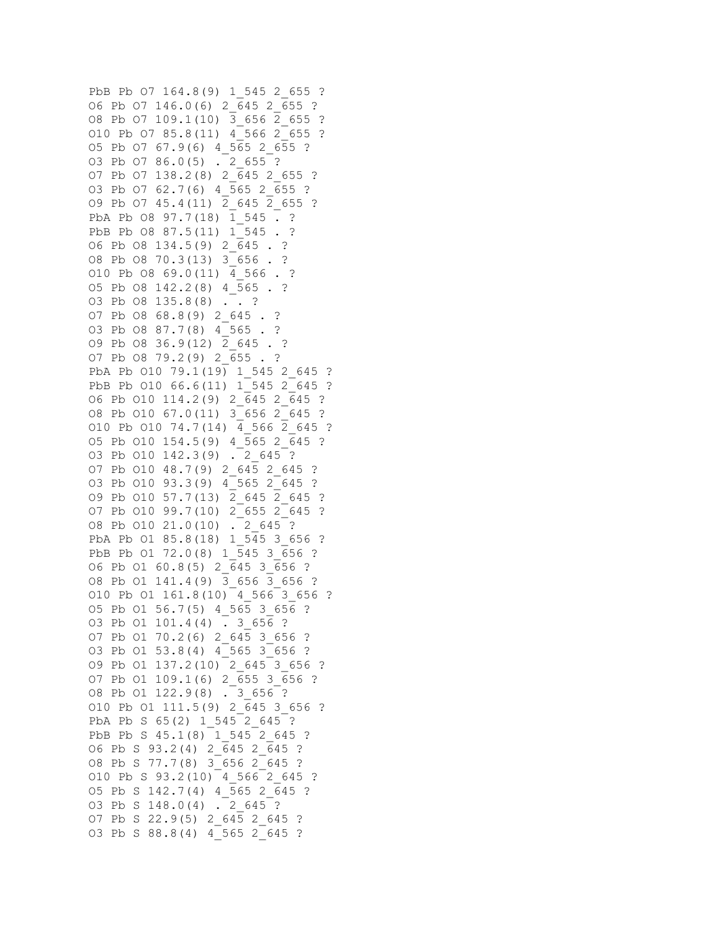```
PbB Pb 07 164.8(9) 1 545 2 655 ?
O6 Pb 07 146.0(6) 2 645 2 655 ?
O8 Pb O7 109.1(10) 3_656 2_655 ? 
O10 Pb O7 85.8(11) 4 566 2 655 ?
O5 Pb O7 67.9(6) 4\_565 2 655 ?
O3 Pb O7 86.0(5) . 2_655 ? 
O7 Pb 07 138.2(8) 2 645 2 655 ?
O3 Pb O7 62.7(6) 4 565 2 655 ?
O9 Pb 07 45.4(11) 2 645 2 655 ?
PbA Pb 08 97.7(18) 1 545 . ?
PbB Pb 08 87.5(11) 1 545 . ?
O6 Pb O8 134.5(9) 2_645 . ? 
O8 Pb O8 70.3(13) 3 656 . ?
O10 Pb O8 69.0(11) 4_566 . ? 
05 Pb 08 142.2(8) 4 \overline{565} . ?
O3 Pb O8 135.8(8) . . ? 
O7 Pb O8 68.8(9) 2 645 . ?
O3 Pb O8 87.7(8) 4 565. ?
O9 Pb O8 36.9(12) 2 645 . ?
O7 Pb O8 79.2(9) 2 655 . ?
PbA Pb 010 79.1(19) 1 545 2 645 ?
PbB Pb 010 66.6(11) 1 545 2 645 ?
O6 Pb O10 114.2(9) 2_645 2_645 ? 
O8 Pb O10 67.0(11) 3_656 2_645 ? 
O10 Pb O10 74.7(14) 4 566 2 645 ?
O5 Pb O10 154.5(9) 4_565 2_645 ? 
O3 Pb O10 142.3(9) . 2_645 ? 
O7 Pb O10 48.7(9) 2_645 2_645 ? 
O3 Pb O10 93.3(9) 4_565 2_645 ? 
O9 Pb 010 57.7(13) 2 645 2 645 ?
O7 Pb O10 99.7(10) 2_655 2_645 ? 
O8 Pb O10 21.0(10) . 2_645 ? 
PbA Pb 01 85.8(18) 1 545 3 656 ?
PbB Pb 01 72.0(8) 1 545 3 656 ?
O6 Pb O1 60.8(5) 2_645 3_656 ? 
O8 Pb 01 141.4(9) 3 656 3 656 ?
O10 Pb O1 161.8(10) 4 566 3 656 ?
O5 Pb 01 56.7(5) 4 565 3 656 ?
O3 Pb O1 101.4(4) . 3_656 ? 
O7 Pb O1 70.2(6) 2_645 3_656 ? 
O3 Pb O1 53.8(4) 4_565 3_656 ? 
O9 Pb O1 137.2(10) 2_645 3_656 ? 
O7 Pb O1 109.1(6) 2_655 3_656 ? 
O8 Pb O1 122.9(8) . 3_656 ? 
O10 Pb O1 111.5(9) 2_645 3_656 ? 
PbA Pb S 65(2) 1 545 2 645 ?
PbB Pb S 45.1(8) 1 545 2 645 ?
O6 Pb S 93.2(4) 2 645 2 645 ?
O8 Pb S 77.7(8) 3_656 2_645 ? 
O10 Pb S 93.2(10) 4_566 2_645 ? 
O5 Pb S 142.7(4) 4 565 2 645 ?
O3 Pb S 148.0(4) . 2_645 ? 
O7 Pb S 22.9(5) 2 645 2 645 ?
O3 Pb S 88.8(4) 4 565 2 645 ?
```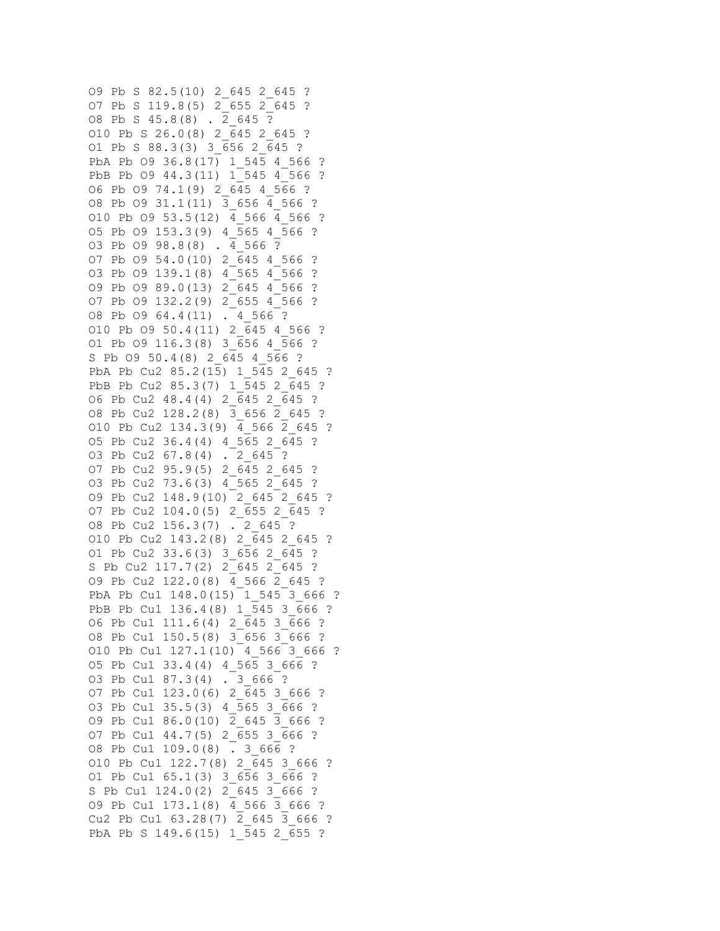```
O9 Pb S 82.5(10) 2_645 2_645 ? 
O7 Pb S 119.8(5) 2_655 2_645 ? 
O8 Pb S 45.8(8) . 2_645 ? 
O10 Pb S 26.0(8) 2 645 2 645 ?
O1 Pb S 88.3(3) 3 656 2 645 ?
PbA Pb 09 36.8(17) 1 545 4 566 ?
PbB Pb 09 44.3(11) 1 545 4 566 ?
O6 Pb 09 74.1(9) 2 645 4 566 ?
O8 Pb 09 31.1(11) 3 656 4 566 ?
O10 Pb 09 53.5(12) 4 566 4 566 ?
O5 Pb O9 153.3(9) 4_565 4_566 ? 
O3 Pb O9 98.8(8) . 4_566 ? 
O7 Pb O9 54.0(10) 2_645 4_566 ? 
03 Pb 09 139.1(8) 4 565 4 566 ?
O9 Pb O9 89.0(13) 2_645 4_566 ? 
O7 Pb O9 132.2(9) 2_655 4_566 ? 
O8 Pb O9 64.4(11) . 4_566 ? 
O10 Pb O9 50.4(11) 2 645 4 566 ?
O1 Pb 09 116.3(8) 3 656 4 566 ?
S Pb 09 50.4(8) 2 645 4 566 ?
PbA Pb Cu2 85.2(15) 1 545 2 645 ?
PbB Pb Cu2 85.3(7) 1 545 2 645 ?
O6 Pb Cu2 48.4(4) 2 645 2 645 ?
O8 Pb Cu2 128.2(8) 3_656 2_645 ? 
O10 Pb Cu2 134.3(9) 4_566 2_645 ? 
O5 Pb Cu2 36.4(4) 4_565 2_645 ? 
O3 Pb Cu2 67.8(4) . 2_645 ? 
O7 Pb Cu2 95.9(5) 2 645 2 645 ?
O3 Pb Cu2 73.6(3) 4_565 2_645 ? 
O9 Pb Cu2 148.9(10) 2 645 2 645 ?
O7 Pb Cu2 104.0(5) 2_655 2_645 ? 
O8 Pb Cu2 156.3(7) . 2_645 ? 
O10 Pb Cu2 143.2(8) 2_645 2_645 ? 
O1 Pb Cu2 33.6(3) 3 656 2 645 ?
S Pb Cu2 117.7(2) 2 645 2 645 ?
O9 Pb Cu2 122.0(8) 4_566 2_645 ? 
PbA Pb Cu1 148.0(15) 1 545 3 666 ?
PbB Pb Cu1 136.4(8) 1 545 3 666 ?
O6 Pb Cu1 111.6(4) 2_645 3_666 ? 
O8 Pb Cu1 150.5(8) 3_656 3_666 ? 
O10 Pb Cu1 127.1(10) 4_566 3_666 ? 
O5 Pb Cu1 33.4(4) 4_565 3_666 ? 
O3 Pb Cu1 87.3(4) . 3_666 ? 
O7 Pb Cu1 123.0(6) 2_645 3_666 ? 
O3 Pb Cu1 35.5(3) 4_565 3_666 ? 
O9 Pb Cu1 86.0(10) 2_645 3_666 ? 
O7 Pb Cu1 44.7(5) 2_655 3_666 ? 
O8 Pb Cu1 109.0(8) . 3_666 ? 
O10 Pb Cu1 122.7(8) 2_645 3_666 ? 
O1 Pb Cu1 65.1(3) 3_656 3_666 ? 
S Pb Cu1 124.0(2) 2 645 3 666 ?
O9 Pb Cu1 173.1(8) 4_566 3_666 ? 
Cu2 Pb Cu1 63.28(7) \overline{2} 645 \overline{3} 666 ?
PbA Pb S 149.6(15) 1 545 2 655 ?
```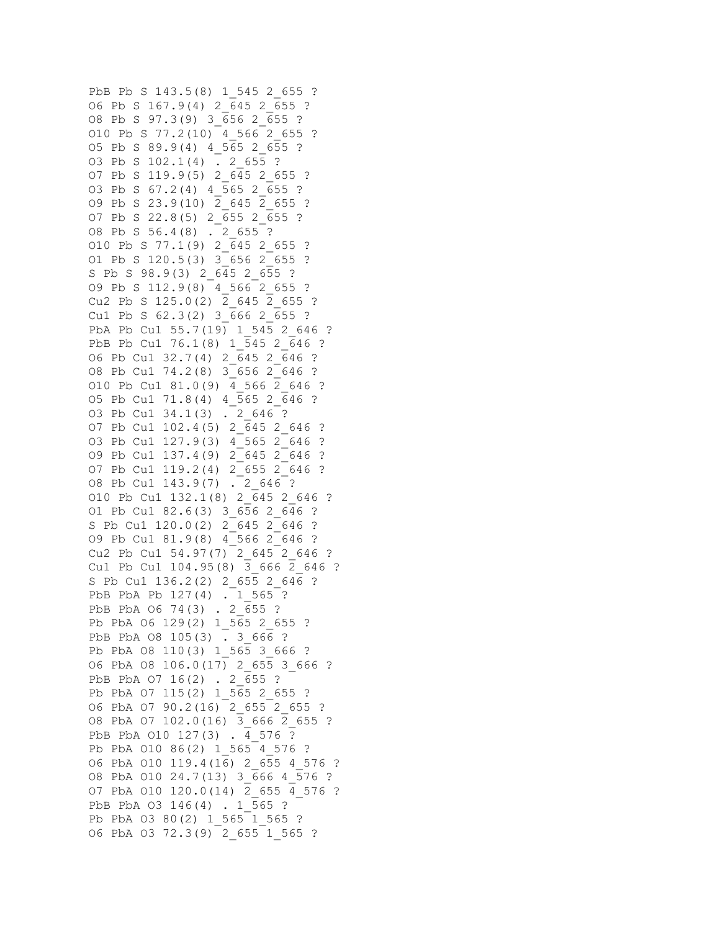```
PbB Pb S 143.5(8) 1 545 2 655 ?
O6 Pb S 167.9(4) 2 645 2 655 ?
O8 Pb S 97.3(9) 3_656 2_655 ? 
O10 Pb S 77.2(10) 4_566 2_655 ? 
O5 Pb S 89.9(4) 4_565 2_655 ? 
O3 Pb S 102.1(4) . 2_655 ? 
O7 Pb S 119.9(5) 2_645 2_655 ? 
O3 Pb S 67.2(4) 4 565 2 655 ?
O9 Pb S 23.9(10) \overline{2} 645 \overline{2} 655 ?
O7 Pb S 22.8(5) 2 655 2 655 ?
O8 Pb S 56.4(8) . 2 655 ?
O10 Pb S 77.1(9) 2 645 2 655 ?
O1 Pb S 120.5(3) 3 656 2 655 ?
S Pb S 98.9(3) 2 645 2 655 ?
O9 Pb S 112.9(8) 4_566 2_655 ? 
Cu2 Pb S 125.0(2) 2 645 2 655 ?
Cu1 Pb S 62.3(2) 3 666 2 655 ?
PbA Pb Cu1 55.7(19) 1 545 2 646 ?
PbB Pb Cu1 76.1(8) 1 545 2 646 ?
O6 Pb Cu1 32.7(4) 2 645 2 646 ?
O8 Pb Cu1 74.2(8) 3_656 2_646 ? 
O10 Pb Cu1 81.0(9) 4_566 2_646 ? 
O5 Pb Cu1 71.8(4) 4_565 2_646 ? 
O3 Pb Cu1 34.1(3) . 2_646 ? 
O7 Pb Cu1 102.4(5) 2_645 2_646 ? 
O3 Pb Cu1 127.9(3) 4_565 2_646 ? 
O9 Pb Cu1 137.4(9) 2_645 2_646 ? 
O7 Pb Cu1 119.2(4) 2_655 2_646 ? 
O8 Pb Cu1 143.9(7) . 2_646 ? 
O10 Pb Cu1 132.1(8) 2_645 2_646 ? 
O1 Pb Cu1 82.6(3) 3_656 2_646 ? 
S Pb Cu1 120.0(2) 2\overline{645} 2\overline{646} ?
09 Pb Cu1 81.9(8) 4 566 2 646 ?
Cu2 Pb Cu1 54.97(7) 2_645 2_646 ? 
Cu1 Pb Cu1 104.95(8) 3 666 2 646 ?
S Pb Cu1 136.2(2) 2_655 2_646 ? 
PbB PbA Pb 127(4) . 1_565 ?
PbB PbA 06 74(3) . 2 655 ?
Pb PbA 06 129(2) 1 565 2 655 ?
PbB PbA 08 105(3) . 3 666 ?
Pb PbA O8 110(3) 1_565 3_666 ? 
O6 PbA O8 106.0(17) 2_655 3_666 ? 
PbB PbA 07 16(2) . 2 655 ?
Pb PbA 07 115(2) 1 565 2 655 ?
O6 PbA O7 90.2(16) 2_655 2_655 ? 
O8 PbA O7 102.0(16) 3_666 2_655 ? 
PbB PbA 010 127(3) . 4 576 ?
Pb PbA 010 86(2) 1 565 4 576 ?
O6 PbA O10 119.4(16) 2_655 4_576 ? 
O8 PbA O10 24.7(13) 3_666 4_576 ? 
O7 PbA O10 120.0(14) 2_655 4_576 ? 
PbB PbA 03 146(4) . 1 565 ?
Pb PbA O3 80(2) 1_565 1_565 ? 
O6 PbA O3 72.3(9) 2_655 1_565 ?
```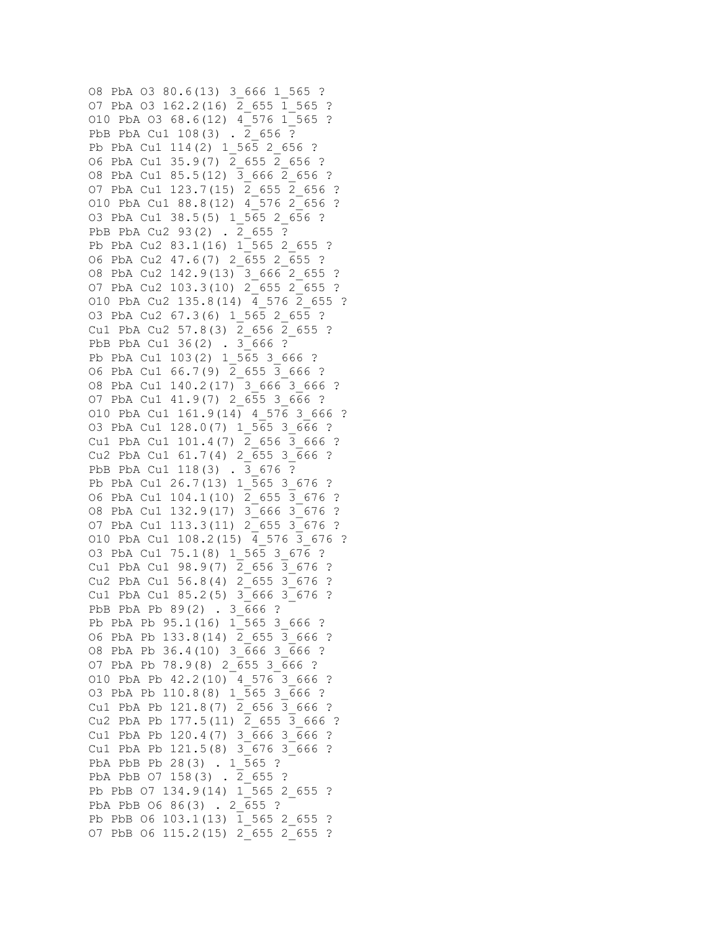O8 PbA O3 80.6(13) 3\_666 1\_565 ? O7 PbA O3  $162.2(16)$   $\overline{2}$  655  $\overline{1}$  565 ? O10 PbA O3 68.6(12) 4\_576 1\_565 ? PbB PbA Cu1 108(3) . 2 656 ? Pb PbA Cu1 114(2) 1 565 2 656 ? O6 PbA Cu1 35.9(7) 2\_655 2\_656 ? O8 PbA Cu1 85.5(12) 3\_666 2\_656 ? O7 PbA Cu1 123.7(15) 2\_655 2\_656 ? O10 PbA Cu1 88.8(12) 4\_576 2\_656 ? O3 PbA Cu1 38.5(5) 1\_565 2\_656 ? PbB PbA Cu2 93(2) . 2 655 ? Pb PbA Cu2 83.1(16) 1 565 2 655 ? O6 PbA Cu2 47.6(7) 2\_655 2\_655 ? O8 PbA Cu2 142.9(13) 3\_666 2\_655 ? O7 PbA Cu2 103.3(10) 2\_655 2\_655 ? O10 PbA Cu2 135.8(14) 4\_576 2\_655 ? O3 PbA Cu2 67.3(6) 1\_565 2\_655 ? Cu1 PbA Cu2 57.8(3) 2 656 2 655 ? PbB PbA Cu1 36(2) . 3 666 ? Pb PbA Cu1 103(2) 1 565 3 666 ? O6 PbA Cu1 66.7(9) 2\_655 3\_666 ? O8 PbA Cu1 140.2(17) 3 666 3 666 ? O7 PbA Cu1 41.9(7) 2\_655 3\_666 ? O10 PbA Cu1 161.9(14) 4\_576 3\_666 ? O3 PbA Cu1 128.0(7) 1\_565 3\_666 ? Cu1 PbA Cu1 101.4(7)  $\overline{2}$  656  $\overline{3}$  666 ? Cu2 PbA Cu1 61.7(4) 2 655 3 666 ? PbB PbA Cu1 118(3) . 3\_676 ? Pb PbA Cu1 26.7(13) 1\_565 3\_676 ? O6 PbA Cu1 104.1(10) 2 655 3 676 ? O8 PbA Cu1 132.9(17) 3\_666 3\_676 ? O7 PbA Cu1 113.3(11) 2\_655 3\_676 ? O10 PbA Cu1 108.2(15) 4\_576 3\_676 ? O3 PbA Cu1 75.1(8) 1\_565 3\_676 ? Cu1 PbA Cu1 98.9(7) 2 656 3 676 ? Cu2 PbA Cu1 56.8(4) 2 655 3 676 ? Cu1 PbA Cu1 85.2(5)  $3\overline{666}$   $3\overline{676}$  ? PbB PbA Pb 89(2) . 3 666 ? Pb PbA Pb 95.1(16) 1 565 3 666 ? O6 PbA Pb 133.8(14) 2\_655 3\_666 ? O8 PbA Pb 36.4(10) 3\_666 3\_666 ? O7 PbA Pb 78.9(8) 2\_655 3\_666 ? O10 PbA Pb 42.2(10) 4\_576 3\_666 ? 03 PbA Pb  $110.8(8)$  1  $\overline{5}65$  3  $\overline{6}66$  ? Cu1 PbA Pb  $121.8(7)$   $\overline{2}$  656  $\overline{3}$  666 ? Cu2 PbA Pb 177.5(11) 2 655 3 666 ? Cu1 PbA Pb 120.4(7) 3 666 3 666 ? Cu1 PbA Pb 121.5(8) 3 676 3 666 ? PbA PbB Pb 28(3) . 1 565 ? PbA PbB 07 158(3) . 2 655 ? Pb PbB 07 134.9(14) 1 565 2 655 ? PbA PbB 06 86(3) . 2 655 ? Pb PbB 06 103.1(13) 1 565 2 655 ? O7 PbB O6 115.2(15) 2\_655 2\_655 ?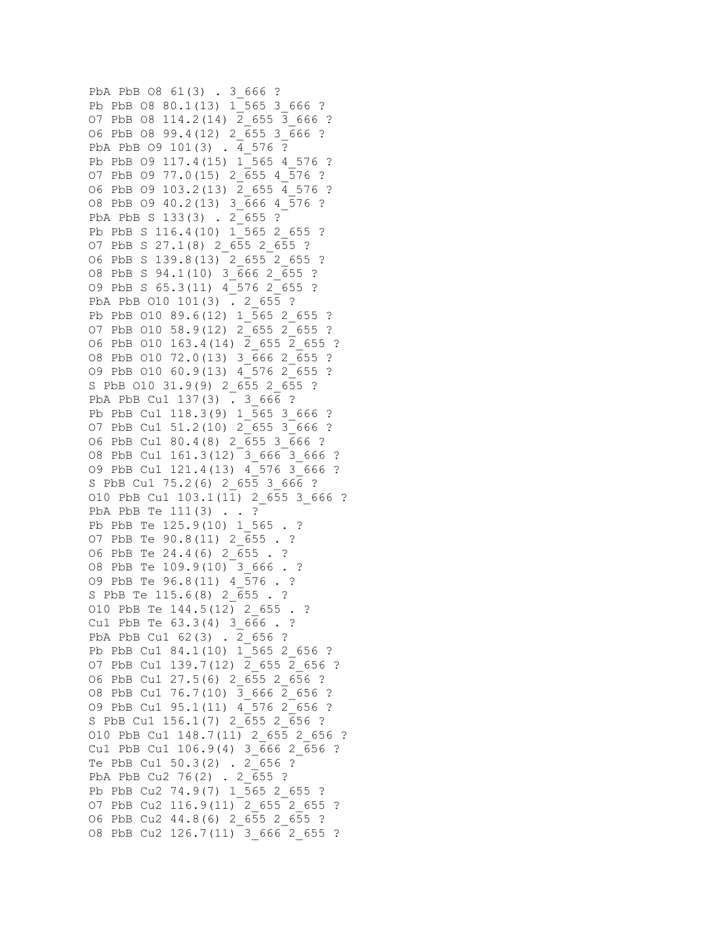PbA PbB 08 61(3) . 3 666 ? Pb PbB 08 80.1(13) 1 565 3 666 ? O7 PbB O8 114.2(14)  $\overline{2}$  655  $\overline{3}$  666 ? O6 PbB O8 99.4(12) 2\_655 3\_666 ? PbA PbB 09 101(3) . 4 576 ? Pb PbB 09 117.4(15) 1 565 4 576 ? O7 PbB O9 77.0(15) 2\_655 4\_576 ? O6 PbB O9 103.2(13) 2\_655 4\_576 ? O8 PbB O9 40.2(13) 3\_666 4\_576 ? PbA PbB S 133(3) . 2 655 ? Pb PbB S 116.4(10) 1 565 2 655 ? O7 PbB S 27.1(8) 2\_655 2\_655 ? O6 PbB S 139.8(13) 2\_655 2\_655 ? O8 PbB S 94.1(10) 3 666 2 655 ? O9 PbB S 65.3(11) 4\_576 2\_655 ? PbA PbB 010 101(3) . 2 655 ? Pb PbB 010 89.6(12) 1 565 2 655 ? O7 PbB O10 58.9(12) 2\_655 2\_655 ? O6 PbB 010 163.4(14) 2 655 2 655 ? O8 PbB 010 72.0(13) 3 666 2 655 ? O9 PbB O10 60.9(13) 4\_576 2\_655 ? S PbB 010 31.9(9) 2 655 2 655 ? PbA PbB Cu1 137(3) . 3 666 ? Pb PbB Cu1 118.3(9) 1 565 3 666 ? O7 PbB Cu1 51.2(10)  $2\overline{6}55\overline{3}666$  ? O6 PbB Cu1 80.4(8) 2\_655 3\_666 ? O8 PbB Cu1 161.3(12) 3 666 3 666 ? O9 PbB Cu1 121.4(13) 4\_576 3\_666 ? S PbB Cu1 75.2(6) 2 655 3 666 ? O10 PbB Cu1 103.1(11) 2 655 3 666 ? PbA PbB Te 111(3) . . ? Pb PbB Te 125.9(10) 1 565 . ? O7 PbB Te 90.8(11) 2\_655 . ? O6 PbB Te 24.4(6) 2 655 . ? O8 PbB Te 109.9(10) 3\_666 . ? O9 PbB Te 96.8(11) 4\_576 . ? S PbB Te 115.6(8) 2 655 . ? O10 PbB Te 144.5(12) 2\_655 . ? Cu1 PbB Te 63.3(4) 3 666 . ? PbA PbB Cu1 62(3) . 2 656 ? Pb PbB Cu1 84.1(10) 1\_565 2\_656 ? O7 PbB Cu1 139.7(12) 2\_655 2\_656 ? O6 PbB Cu1 27.5(6) 2\_655 2\_656 ? O8 PbB Cu1 76.7(10) 3\_666 2\_656 ? O9 PbB Cu1 95.1(11) 4\_576 2\_656 ? S PbB Cu1 156.1(7) 2 655 2 656 ? O10 PbB Cu1 148.7(11) 2\_655 2\_656 ? Cu1 PbB Cu1 106.9(4) 3 666 2 656 ? Te PbB Cu1 50.3(2) . 2 656 ? PbA PbB Cu2 76(2) . 2 655 ? Pb PbB Cu2 74.9(7) 1 565 2 655 ? O7 PbB Cu2 116.9(11) 2\_655 2\_655 ? O6 PbB Cu2 44.8(6) 2\_655 2\_655 ? O8 PbB Cu2 126.7(11) 3 666 2 655 ?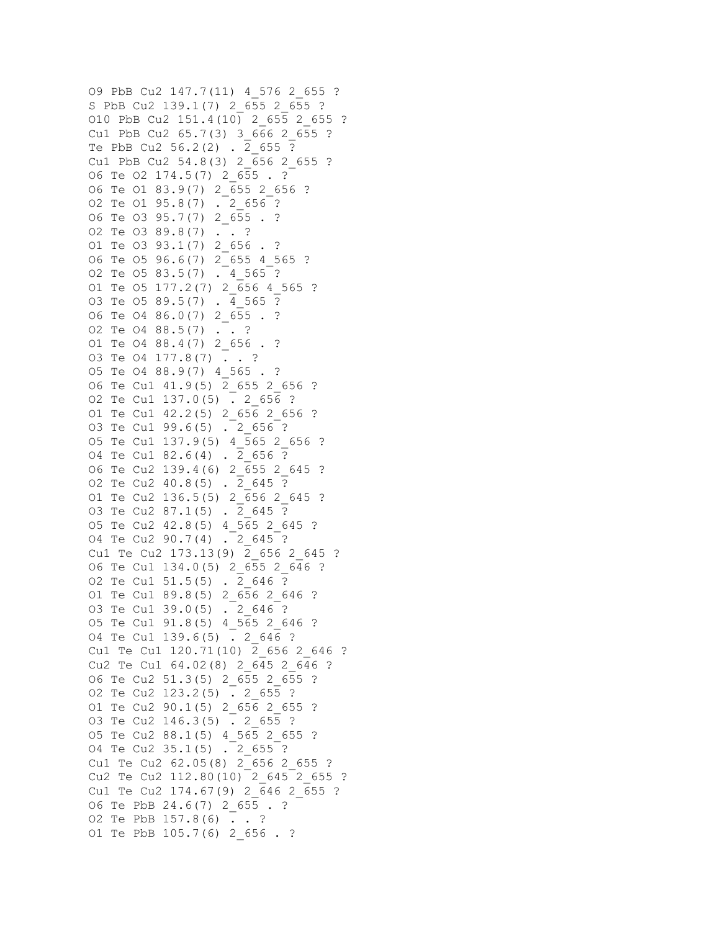```
O9 PbB Cu2 147.7(11) 4_576 2_655 ? 
S PbB Cu2 139.1(7) 2 655 2 655 ?
O10 PbB Cu2 151.4(10) 2 655 2 655 ?
Cu1 PbB Cu2 65.7(3) 3 666 2 655 ?
Te PbB Cu2 56.2(2) . 2_655 ? 
Cu1 PbB Cu2 54.8(3) 2 656 2 655 ?
O6 Te O2 174.5(7) 2_655 . ? 
O6 Te O1 83.9(7) 2_655 2_656 ? 
O2 Te O1 95.8(7) . 2656 ?
O6 Te O3 95.7(7) 2 655 . ?
O2 Te O3 89.8(7) . . ? 
O1 Te O3 93.1(7) 2_656 . ? 
O6 Te O5 96.6(7) 2_655 4_565 ? 
O2 Te O5 83.5(7) . 4_565 ? 
O1 Te O5 177.2(7) 2_656 4_565 ? 
O3 Te O5 89.5(7) . 4 565 ?
O6 Te O4 86.0(7) 2_655 . ? 
O2 Te O4 88.5(7) . . ? 
O1 Te 04 88.4(7) 2 656 . ?
O3 Te O4 177.8(7) . . ? 
O5 Te 04 88.9(7) 4 565 . ?
O6 Te Cu1 41.9(5) 2_655 2_656 ? 
O2 Te Cu1 137.0(5) . 2_656 ? 
O1 Te Cu1 42.2(5) 2_656 2_656 ? 
03 Te Cu1 99.6(5) . 2 656 ?
O5 Te Cu1 137.9(5) 4_565 2_656 ? 
O4 Te Cu1 82.6(4) . 2_656 ? 
O6 Te Cu2 139.4(6) 2_655 2_645 ? 
O2 Te Cu2 40.8(5) . 2_645 ? 
O1 Te Cu2 136.5(5) 2_656 2_645 ? 
O3 Te Cu2 87.1(5) . 2_645 ? 
O5 Te Cu2 42.8(5) 4_565 2_645 ? 
O4 Te Cu2 90.7(4) . 2_645 ? 
Cu1 Te Cu2 173.13(9) 2 656 2 645 ?
O6 Te Cu1 134.0(5) 2_655 2_646 ? 
O2 Te Cu1 51.5(5) . 2_646 ? 
O1 Te Cu1 89.8(5) 2_656 2_646 ? 
O3 Te Cu1 39.0(5) . 2_646 ? 
O5 Te Cu1 91.8(5) 4_565 2_646 ? 
O4 Te Cu1 139.6(5) . 2_646 ? 
Cu1 Te Cu1 120.71(10) \overline{2} 656 2 646 ?
Cu2 Te Cu1 64.02(8) 2 645 2 646 ?
O6 Te Cu2 51.3(5) 2_655 2_655 ? 
O2 Te Cu2 123.2(5) . 2_655 ? 
O1 Te Cu2 90.1(5) 2_656 2_655 ? 
O3 Te Cu2 146.3(5) . 2_655 ? 
O5 Te Cu2 88.1(5) 4_565 2_655 ? 
O4 Te Cu2 35.1(5) . 2_655 ? 
Cu1 Te Cu2 62.05(8) 2_656 2_655 ? 
Cu2 Te Cu2 112.80(10) 2 645 2 655 ?
Cu1 Te Cu2 174.67(9) 2 646 2 655 ?
O6 Te PbB 24.6(7) 2_655 . ? 
O2 Te PbB 157.8(6) . . ? 
O1 Te PbB 105.7(6) 2_656 . ?
```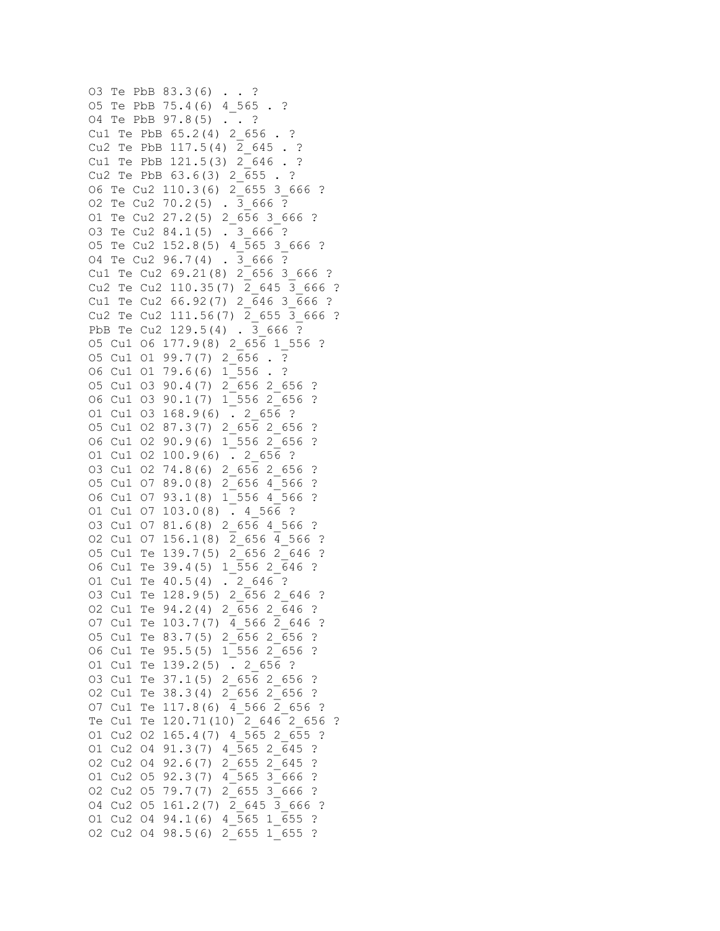```
O3 Te PbB 83.3(6) . . ? 
O5 Te PbB 75.4(6) 4 565 . ?
O4 Te PbB 97.8(5) . . ? 
Cu1 Te PbB 65.2(4) 2 656 . ?
Cu2 Te PbB 117.5(4) 2 645 . ?
Cu1 Te PbB 121.5(3) 2 646 . ?
Cu2 Te PbB 63.6(3) 2 655 . ?
O6 Te Cu2 110.3(6) 2_655 3_666 ? 
02 Te Cu2 70.2(5) \sqrt{3} 666 ?
O1 Te Cu2 27.2(5) 2_656 3_666 ? 
O3 Te Cu2 84.1(5) . 3_666 ? 
O5 Te Cu2 152.8(5) 4_565 3_666 ? 
O4 Te Cu2 96.7(4) . 3_666 ? 
Cu1 Te Cu2 69.21(8) 2 656 3 666 ?
Cu2 Te Cu2 110.35(7) 2 645 3 666 ?
Cu1 Te Cu2 66.92(7) 2 646 3 666 ?
Cu2 Te Cu2 111.56(7) 2 655 3 666 ?
PbB Te Cu2 129.5(4) . 3 666 ?
O5 Cu1 O6 177.9(8) 2_656 1_556 ? 
O5 Cu1 O1 99.7(7) 2_656 . ? 
O6 Cu1 O1 79.6(6) 1_556 . ? 
O5 Cu1 O3 90.4(7) 2_656 2_656 ? 
O6 Cu1 O3 90.1(7) 1_556 2_656 ? 
O1 Cu1 O3 168.9(6) . 2_656 ? 
O5 Cu1 O2 87.3(7) 2_656 2_656 ? 
O6 Cu1 O2 90.9(6) 1_556 2_656 ? 
O1 Cu1 O2 100.9(6) . 2_656 ? 
O3 Cu1 O2 74.8(6) 2_656 2_656 ? 
O5 Cu1 O7 89.0(8) 2_656 4_566 ? 
O6 Cu1 O7 93.1(8) 1_556 4_566 ? 
O1 Cu1 O7 103.0(8) . 4_566 ? 
03 Cu1 07 81.6(8) 2 656 4 566 ?
O2 Cu1 O7 156.1(8) 2_656 4_566 ? 
O5 Cu1 Te 139.7(5) 2_656 2_646 ? 
O6 Cu1 Te 39.4(5) 1_556 2_646 ? 
O1 Cu1 Te 40.5(4) . 2_646 ? 
O3 Cu1 Te 128.9(5) 2_656 2_646 ? 
O2 Cu1 Te 94.2(4) 2_656 2_646 ? 
O7 Cu1 Te 103.7(7) 4_566 2_646 ? 
O5 Cu1 Te 83.7(5) 2_656 2_656 ? 
O6 Cu1 Te 95.5(5) 1_556 2_656 ? 
O1 Cu1 Te 139.2(5) . 2_656 ? 
O3 Cu1 Te 37.1(5) 2_656 2_656 ? 
O2 Cu1 Te 38.3(4) 2_656 2_656 ? 
O7 Cu1 Te 117.8(6) 4_566 2_656 ? 
Te Cu1 Te 120.71(10) 2 646 2 656 ?
O1 Cu2 O2 165.4(7) 4_565 2_655 ? 
O1 Cu2 O4 91.3(7) 4_565 2_645 ? 
02 Cu2 04 92.6(7) 2 655 2 645 ?
O1 Cu2 O5 92.3(7) 4_565 3_666 ? 
O2 Cu2 05 79.7(7) 2 655 3 666 ?
O4 Cu2 O5 161.2(7) 2_645 3_666 ? 
O1 Cu2 04 94.1(6) 4 565 1 655 ?
O2 Cu2 04 98.5(6) 2 655 1 655 ?
```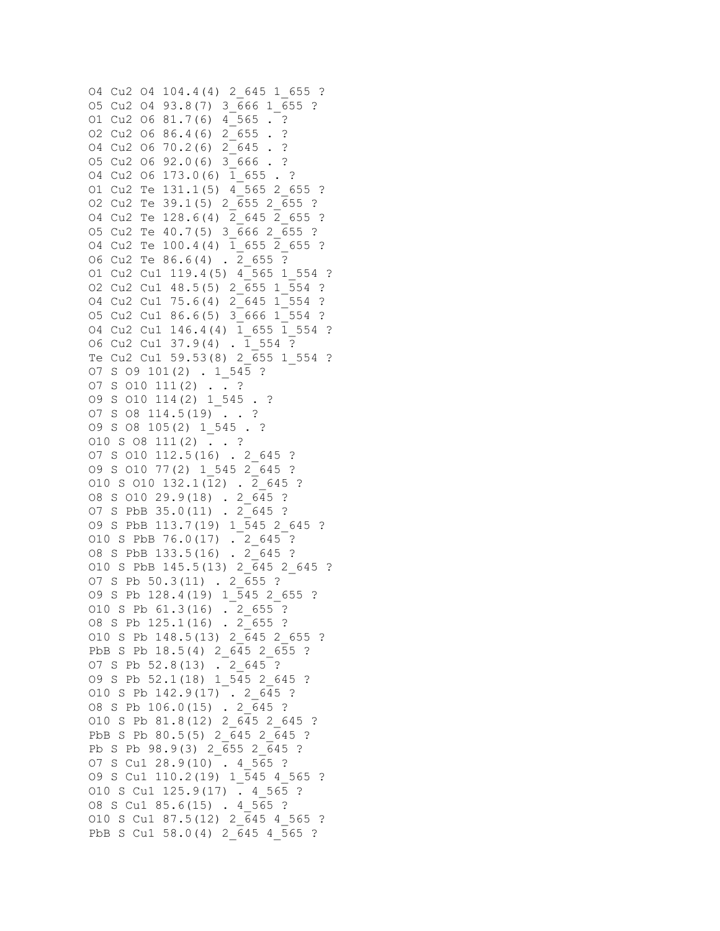```
O4 Cu2 04 104.4(4) 2 645 1 655 ?
O5 Cu2 O4 93.8(7) 3_666 1_655 ? 
O1 Cu2 O6 81.7(6) 4_565 . ? 
O2 Cu2 O6 86.4(6) 2 655 . ?
O4 Cu2 06 70.2(6) 2 645 . ?
O5 Cu2 O6 92.0(6) 3_666 . ? 
04 Cu2 06 173.0(6) 1 655 . ?
O1 Cu2 Te 131.1(5) 4_565 2_655 ? 
O2 Cu2 Te 39.1(5) 2 655 2 655 ?
O4 Cu2 Te 128.6(4) 2_645 2_655 ? 
O5 Cu2 Te 40.7(5) 3_666 2_655 ? 
O4 Cu2 Te 100.4(4) 1_655 2_655 ? 
O6 Cu2 Te 86.6(4) . 2_655 ? 
O1 Cu2 Cu1 119.4(5) 4_565 1_554 ? 
O2 Cu2 Cu1 48.5(5) 2_655 1_554 ? 
O4 Cu2 Cu1 75.6(4) 2 645 1 554 ?
O5 Cu2 Cu1 86.6(5) 3_666 1_554 ? 
O4 Cu2 Cu1 146.4(4) 1_655 1_554 ? 
O6 Cu2 Cu1 37.9(4) . 1_554 ? 
Te Cu2 Cu1 59.53(8) 2 655 1 554 ?
O7 S O9 101(2) . 1_545 ? 
O7 S O10 111(2) . . ? 
O9 S O10 114(2) 1_545 . ? 
O7 S O8 114.5(19) . . ? 
O9 S O8 105(2) 1_545 . ? 
O10 S O8 111(2) . . ? 
O7 S O10 112.5(16) . 2_645 ? 
O9 S O10 77(2) 1_545 2_645 ? 
O10 S O10 132.1(12) . 2_645 ? 
O8 S O10 29.9(18) . 2_645 ? 
O7 S PbB 35.0(11) . 2_645 ? 
O9 S PbB 113.7(19) 1_545 2_645 ? 
O10 S PbB 76.0(17) . 2_645 ? 
O8 S PbB 133.5(16) . 2_645 ? 
O10 S PbB 145.5(13) 2_645 2_645 ? 
O7 S Pb 50.3(11) . 2_655 ? 
O9 S Pb 128.4(19) 1 545 2 655 ?
O10 S Pb 61.3(16) . 2_655 ? 
O8 S Pb 125.1(16) . 2_655 ? 
O10 S Pb 148.5(13) 2_645 2_655 ? 
PbB S Pb 18.5(4) 2_645 2_655 ? 
O7 S Pb 52.8(13) . 2_645 ? 
O9 S Pb 52.1(18) 1_545 2_645 ? 
O10 S Pb 142.9(17) . 2_645 ? 
O8 S Pb 106.0(15) . 2_645 ? 
O10 S Pb 81.8(12) 2 645 2 645 ?
PbB S Pb 80.5(5) 2 645 2 645 ?
Pb S Pb 98.9(3) 2 655 2 645 ?
O7 S Cu1 28.9(10) . 4_565 ? 
O9 S Cu1 110.2(19) 1_545 4_565 ? 
O10 S Cu1 125.9(17) . 4_565 ? 
O8 S Cu1 85.6(15) . 4_565 ? 
O10 S Cu1 87.5(12) 2\overline{6}45 4 565 ?
PbB S Cu1 58.0(4) 2 645 4 565 ?
```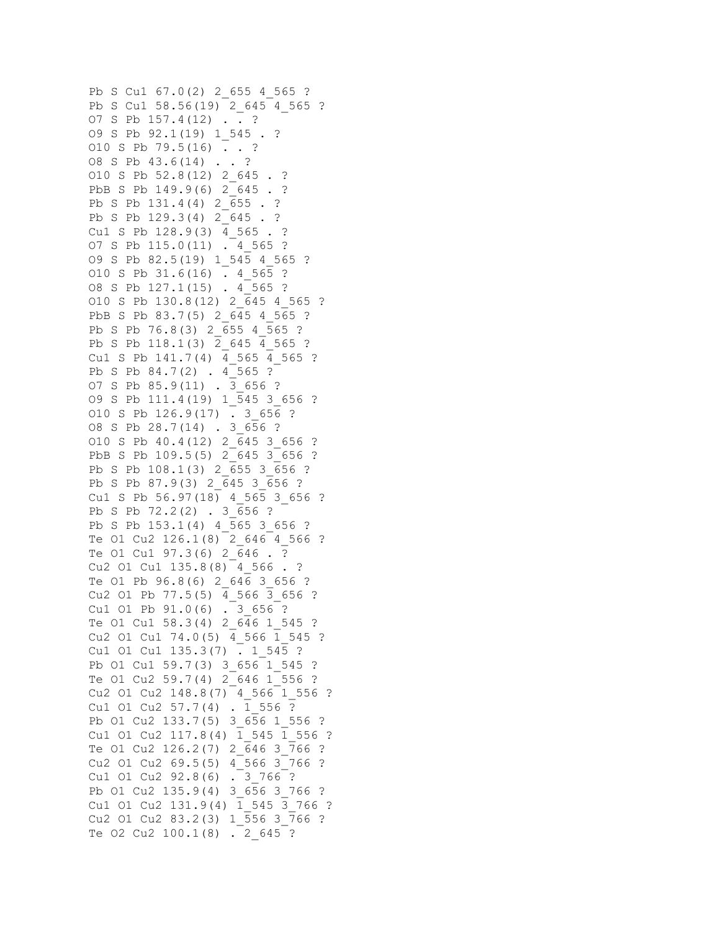```
Pb S Cu1 67.0(2) 2 655 4 565 ?
Pb S Cu1 58.56(19) 2 645 4 565 ?
O7 S Pb 157.4(12) . . ? 
O9 S Pb 92.1(19) 1_545 . ? 
O10 S Pb 79.5(16) . . ? 
O8 S Pb 43.6(14) . . ? 
O10 S Pb 52.8(12) 2_645 . ? 
PbB S Pb 149.9(6) 2 645 . ?
Pb S Pb 131.4(4) 2 655 . ?
Pb S Pb 129.3(4) 2 645 . ?
Cu1 S Pb 128.9(3) 4 565 . ?
O7 S Pb 115.0(11) . 4_565 ? 
O9 S Pb 82.5(19) 1_545 4_565 ? 
O10 S Pb 31.6(16) . 4_565 ? 
O8 S Pb 127.1(15) . 4_565 ? 
O10 S Pb 130.8(12) 2_645 4_565 ? 
PbB S Pb 83.7(5) 2 645 4 565 ?
Pb S Pb 76.8(3) 2 655 4 565 ?
Pb S Pb 118.1(3) 2 645 4 565 ?
Cu1 S Pb 141.7(4) 4 565 4 565 ?
Pb S Pb 84.7(2) . 4 565 ?
O7 S Pb 85.9(11) . 3_656 ? 
O9 S Pb 111.4(19) 1_545 3_656 ? 
O10 S Pb 126.9(17) . 3_656 ? 
O8 S Pb 28.7(14) . 3_656 ? 
O10 S Pb 40.4(12) 2_645 3_656 ? 
PbB S Pb 109.5(5) 2 645 3 656 ?
Pb S Pb 108.1(3) 2 655 3 656 ?
Pb S Pb 87.9(3) 2_645 3_656 ? 
Cu1 S Pb 56.97(18) 4 565 3 656 ?
Pb S Pb 72.2(2) . 3 656 ?
Pb S Pb 153.1(4) 4 565 3 656 ?
Te O1 Cu2 126.1(8) 2_646 4_566 ? 
Te 01 Cu1 97.3(6) 2 646 . ?
Cu2 01 Cu1 135.8(8) 4 566 . ?
Te O1 Pb 96.8(6) 2 646 3 656 ?
Cu2 O1 Pb 77.5(5) \overline{4} 566 \overline{3} 656 ?
Cu1 01 Pb 91.0(6) . 3 656 ?
Te 01 Cu1 58.3(4) 2 646 1 545 ?
Cu2 01 Cu1 74.0(5) 4 566 1 545 ?
Cu1 O1 Cu1 135.3(7) . 1_545 ? 
Pb O1 Cu1 59.7(3) 3 656 1 545 ?
Te 01 Cu2 59.7(4) 2 646 1 556 ?
Cu2 01 Cu2 148.8(7) 4 566 1 556 ?
Cu1 O1 Cu2 57.7(4) . \overline{1} 556 ?
Pb 01 Cu2 133.7(5) 3 656 1 556 ?
Cu1 01 Cu2 117.8(4) 1 545 1 556 ?
Te O1 Cu2 126.2(7) 2_646 3_766 ? 
Cu2 01 Cu2 69.5(5) 4 566 3 766 ?
Cu1 01 Cu2 92.8(6) . 3 766 ?
Pb 01 Cu2 135.9(4) 3 656 3 766 ?
Cu1 01 Cu2 131.9(4) 1 545 3 766 ?
Cu2 01 Cu2 83.2(3) 1 556 3 766 ?
Te 02 Cu2 100.1(8) . 2 645 ?
```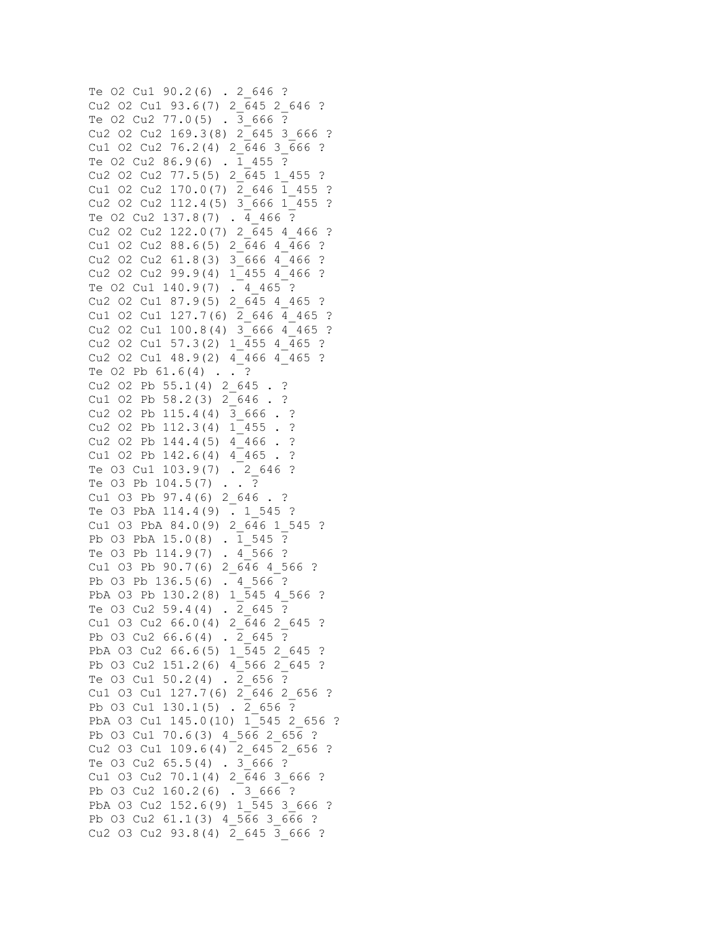```
Te 02 Cu1 90.2(6) . 2 646 ?
Cu2 02 Cu1 93.6(7) 2 645 2 646 ?
Te 02 Cu2 77.0(5) . 3 666 ?
Cu2 02 Cu2 169.3(8) 2 645 3 666 ?
Cu1 O2 Cu2 76.2(4) 2_646 3_666 ? 
Te 02 Cu2 86.9(6) . 1 455 ?
Cu2 O2 Cu2 77.5(5) 2 645 1 455 ?
Cu1 02 Cu2 170.0(7) 2 646 1 455 ?
Cu2 O2 Cu2 112.4(5) 3\overline{666} 1 455 ?
Te O2 Cu2 137.8(7) . 4_466 ? 
Cu2 02 Cu2 122.0(7) 2 645 4 466 ?
Cu1 O2 Cu2 88.6(5) 2_646 4_466 ? 
Cu2 02 Cu2 61.8(3) 3 666 4 466 ?
Cu2 O2 Cu2 99.9(4) 1_455 4_466 ? 
Te 02 Cu1 140.9(7) . 4 465 ?
Cu2 O2 Cu1 87.9(5) 2 645 4 465 ?
Cu1 02 Cu1 127.7(6) 2 646 4 465 ?
Cu2 02 Cu1 100.8(4) 3 666 4 465 ?
Cu2 02 Cu1 57.3(2) 1 455 4 465 ?
Cu2 O2 Cu1 48.9(2) 4 466 4 465 ?
Te O2 Pb 61.6(4) . . ? 
Cu2 O2 Pb 55.1(4) 2 645 . ?
Cu1 02 Pb 58.2(3) 2 646 . ?
Cu2 02 Pb 115.4(4) 3 666 . ?
Cu2 O2 Pb 112.3(4) 1 455 . ?
Cu2 O2 Pb 144.4(5) 4 466 . ?
Cu1 02 Pb 142.6(4) 4 465 . ?
Te O3 Cu1 103.9(7) . 2_646 ? 
Te 03 Pb 104.5(7) . . ?
Cu1 03 Pb 97.4(6) 2 646 . ?
Te 03 PbA 114.4(9) . 1 545 ?
Cu1 03 PbA 84.0(9) 2 646 1 545 ?
Pb 03 PbA 15.0(8) . 1 545 ?
Te 03 Pb 114.9(7) . 4 566 ?
Cu1 03 Pb 90.7(6) 2 646 4 566 ?
Pb 03 Pb 136.5(6) . 4 566 ?
PbA 03 Pb 130.2(8) 1 \overline{5}45 4 566 ?
Te 03 Cu2 59.4(4) . 2 645 ?
Cu1 03 Cu2 66.0(4) 2 646 2 645 ?
Pb 03 Cu2 66.6(4) . 2 645 ?
PbA 03 Cu2 66.6(5) 1 545 2 645 ?
Pb 03 Cu2 151.2(6) 4 566 2 645 ?
Te 03 Cu1 50.2(4) . 2 656 ?
Cu1 03 Cu1 127.7(6) 2 646 2 656 ?
Pb 03 Cu1 130.1(5) . \overline{2} 656 ?
PbA 03 Cu1 145.0(10) 1 545 2 656 ?
Pb 03 Cu1 70.6(3) 4 566 2 656 ?
Cu2 03 Cu1 109.6(4) 2 645 2 656 ?
Te O3 Cu2 65.5(4) . 3_666 ? 
Cu1 03 Cu2 70.1(4) 2 646 3 666 ?
Pb 03 Cu2 160.2(6) . 3 666 ?
PbA 03 Cu2 152.6(9) 1 545 3 666 ?
Pb O3 Cu2 61.1(3) 4_566 3_666 ? 
Cu2 03 Cu2 93.8(4) 2 645 3 666 ?
```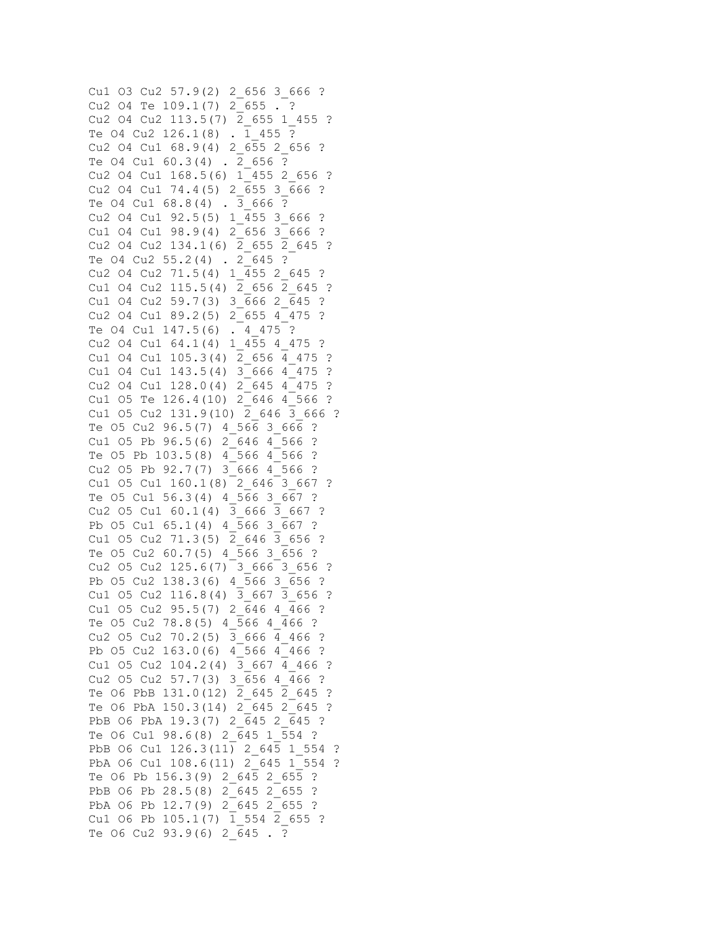```
Cu1 03 Cu2 57.9(2) 2 656 3 666 ?
Cu2 04 Te 109.1(7) 2 655 . ?
Cu2 04 Cu2 113.5(7) 2 655 1 455 ?
Te 04 Cu2 126.1(8) . 1 455 ?
Cu2 04 Cu1 68.9(4) 2 655 2 656 ?
Te 04 Cu1 60.3(4) . 2 656 ?
Cu2 04 Cu1 168.5(6) 1 455 2 656 ?
Cu2 04 Cu1 74.4(5) 2 655 3 666 ?
Te 04 Cu1 68.8(4). \overline{3} 666 ?
Cu2 04 Cu1 92.5(5) 1 455 3 666 ?
Cu1 04 Cu1 98.9(4) 2 656 3 666 ?
Cu2 04 Cu2 134.1(6) 2 655 2 645 ?
Te 04 Cu2 55.2(4) . 2\overline{645} ?
Cu2 04 Cu2 71.5(4) 1 455 2 645 ?
Cu1 04 Cu2 115.5(4) 2 656 2 645 ?
Cu1 04 Cu2 59.7(3) 3 666 2 645 ?
Cu2 04 Cu1 89.2(5) 2 655 4 475 ?
Te 04 Cu1 147.5(6) . 4 475 ?
Cu2 04 Cu1 64.1(4) 1 455 4 475 ?
Cu1 04 Cu1 105.3(4) 2\overline{6} 656 \overline{4} 475 ?
Cu1 04 Cu1 143.5(4) 3\overline{666} 4\overline{475} ?
Cu2 04 Cu1 128.0(4) 2 645 4 475 ?
Cu1 05 Te 126.4(10) 2 646 4 566 ?
Cu1 05 Cu2 131.9(10) 2 646 3 666 ?
Te 05 Cu2 96.5(7) 4 566 3 666 ?
Cu1 05 Pb 96.5(6) 2 646 4 566 ?
Te 05 Pb 103.5(8) 4 566 4 566 ?
Cu2 O5 Pb 92.7(7) 3 666 4 566 ?
Cu1 05 Cu1 160.1(8) 2 646 3 667 ?
Te 05 Cu1 56.3(4) 4 566 3 667 ?
Cu2 05 Cu1 60.1(4) \overline{3} 666 \overline{3} 667 ?
Pb 05 Cu1 65.1(4) 4 \overline{5}66 3 \overline{6}67 ?
Cu1 05 Cu2 71.3(5) 2 646 3 656 ?
Te 05 Cu2 60.7(5) 4 566 3 656 ?
Cu2 05 Cu2 125.6(7) 3 666 3 656 ?
Pb 05 Cu2 138.3(6) 4 566 3 656 ?
Cu1 05 Cu2 116.8(4) \overline{3} 667 \overline{3} 656 ?
Cu1 05 Cu2 95.5(7) 2 646 4 466 ?
Te O5 Cu2 78.8(5) 4_566 4_466 ? 
Cu2 05 Cu2 70.2(5) 3 666 4 466 ?
Pb O5 Cu2 163.0(6) 4_566 4_466 ? 
Cu1 05 Cu2 104.2(4) 3 667 4 466 ?
Cu2 05 Cu2 57.7(3) 3 656 4 466 ?
Te 06 PbB 131.0(12) 2 645 2 645 ?
Te 06 PbA 150.3(14) 2\overline{645} 2\overline{645} ?
PbB 06 PbA 19.3(7) 2 645 2 645 ?
Te 06 Cu1 98.6(8) 2 645 1 554 ?
PbB 06 Cu1 126.3(11) 2 645 1 554 ?
PbA 06 Cu1 108.6(11) 2 645 1 554 ?
Te 06 Pb 156.3(9) 2 645 2 655 ?
PbB 06 Pb 28.5(8) 2 645 2 655 ?
PbA 06 Pb 12.7(9) 2 645 2 655 ?
Cu1 06 Pb 105.1(7) 1 554 2 655 ?
Te 06 Cu2 93.9(6) 2 645 . ?
```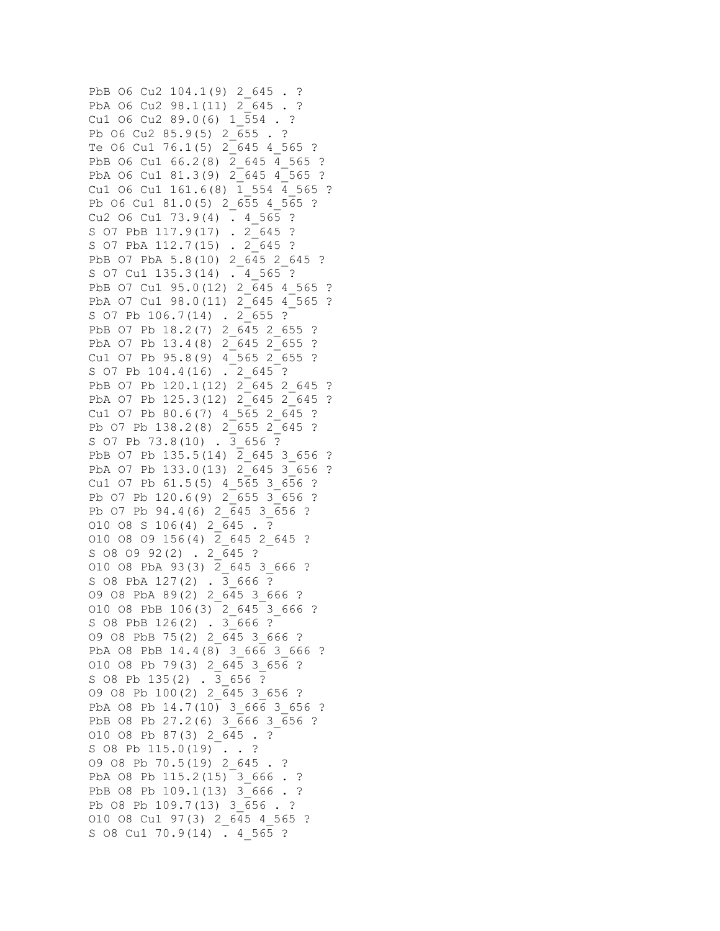```
PbB 06 Cu2 104.1(9) 2 645 . ?
PbA 06 Cu2 98.1(11) 2 645 . ?
Cu1 06 Cu2 89.0(6) 1 554 . ?
Pb 06 Cu2 85.9(5) 2 655 . ?
Te 06 Cu1 76.1(5) 2 645 4 565 ?
PbB 06 Cu1 66.2(8) 2 645 4 565 ?
PbA 06 Cu1 81.3(9) 2 645 4 565 ?
Cu1 06 Cu1 161.6(8) 1 554 4 565 ?
Pb 06 Cu1 81.0(5) 2 655 4 565 ?
Cu2 O6 Cu1 73.9(4) . 4_565 ? 
S 07 PbB 117.9(17) . 2 645 ?
S O7 PbA 112.7(15) . 2_645 ? 
PbB O7 PbA 5.8(10) 2_645 2_645 ? 
S O7 Cu1 135.3(14) . 4_565 ? 
PbB 07 Cu1 95.0(12) 2 645 4 565 ?
PbA 07 Cu1 98.0(11) 2 645 4 565 ?
S 07 Pb 106.7(14) . 2 655 ?
PbB 07 Pb 18.2(7) 2 645 2 655 ?
PbA 07 Pb 13.4(8) 2 645 2 655 ?
Cu1 07 Pb 95.8(9) 4 565 2 655 ?
S 07 Pb 104.4(16) . 2 645 ?
PbB 07 Pb 120.1(12) 2 645 2 645 ?
PbA 07 Pb 125.3(12) 2 645 2 645 ?
Cu1 07 Pb 80.6(7) 4 565 2 645 ?
Pb 07 Pb 138.2(8) 2 655 2 645 ?
S 07 Pb 73.8(10) . 3 656 ?
PbB 07 Pb 135.5(14) 2 645 3 656 ?
PbA 07 Pb 133.0(13) 2 645 3 656 ?
Cu1 O7 Pb 61.5(5) 4_565 3_656 ? 
Pb 07 Pb 120.6(9) 2 655 3 656 ?
Pb 07 Pb 94.4(6) 2 645 3 656 ?
O10 O8 S 106(4) 2_645 . ? 
O10 O8 O9 156(4) 2_645 2_645 ? 
S 08 09 92 (2) . 2 645 ?
O10 O8 PbA 93(3) 2_645 3_666 ? 
S O8 PbA 127(2) . 3_666 ? 
O9 O8 PbA 89(2) 2 645 3 666 ?
O10 O8 PbB 106(3) 2_645 3_666 ? 
S 08 PbB 126(2) . 3 666 ?
O9 O8 PbB 75(2) 2_645 3_666 ? 
PbA O8 PbB 14.4(8) 3_666 3_666 ?
O10 O8 Pb 79(3) 2_645 3_656 ? 
S O8 Pb 135(2) . 3_656 ? 
O9 O8 Pb 100(2) 2_645 3_656 ? 
PbA 08 Pb 14.7(10) 3 666 3 656 ?
PbB 08 Pb 27.2(6) 3 666 3 656 ?
O10 O8 Pb 87(3) 2_645 . ? 
S 08 Pb 115.0(19) . . ?
O9 O8 Pb 70.5(19) 2_645 . ? 
PbA 08 Pb 115.2(15) 3 666 . ?
PbB 08 Pb 109.1(13) 3 666 . ?
Pb 08 Pb 109.7(13) 3 656 . ?
O10 O8 Cu1 97(3) 2_645 4_565 ? 
S 08 Cu1 70.9(14) . 4 565 ?
```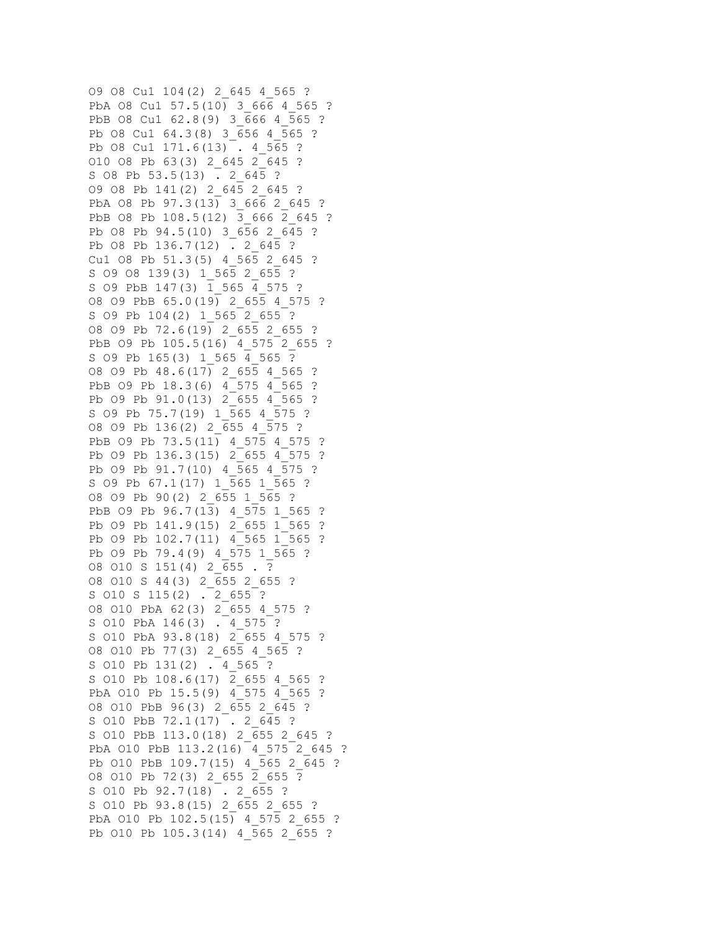O9 O8 Cu1 104(2) 2\_645 4\_565 ? PbA 08 Cu1 57.5(10) 3 666 4 565 ? PbB 08 Cu1 62.8(9) 3 666 4 565 ? Pb 08 Cu1 64.3(8) 3 656 4 565 ? Pb 08 Cu1 171.6(13) . 4 565 ? O10 O8 Pb 63(3) 2 645 2 645 ? S O8 Pb 53.5(13) . 2 645 ? O9 O8 Pb 141(2) 2\_645 2\_645 ? PbA 08 Pb  $97.3(13)$  3 666 2 645 ? PbB 08 Pb  $108.5(12)$  3 666 2 645 ? Pb 08 Pb 94.5(10) 3 656 2 645 ? Pb 08 Pb 136.7(12) . 2 645 ? Cu1 08 Pb  $51.3(5)$  4  $56\overline{5}$  2 645 ?  $S$  O9 O8 139(3) 1 565 2 655 ? S O9 PbB 147(3) 1 565 4 575 ? O8 O9 PbB 65.0(19) 2\_655 4\_575 ? S O9 Pb 104(2) 1 565 2 655 ? O8 O9 Pb 72.6(19) 2 655 2 655 ? PbB 09 Pb 105.5(16) 4 575 2 655 ? S O9 Pb 165(3) 1 565 4 565 ? O8 O9 Pb 48.6(17) 2\_655 4\_565 ? PbB 09 Pb 18.3(6) 4 575 4 565 ? Pb 09 Pb 91.0(13) 2 655 4 565 ? S O9 Pb 75.7(19) 1 565 4 575 ? O8 O9 Pb 136(2) 2\_655 4\_575 ? PbB 09 Pb 73.5(11) 4 575 4 575 ? Pb 09 Pb 136.3(15) 2 655 4 575 ? Pb 09 Pb 91.7(10) 4 565 4 575 ? S 09 Pb 67.1(17) 1 565 1 565 ? O8 O9 Pb 90(2) 2 655 1 565 ? PbB 09 Pb 96.7(13) 4 575 1 565 ? Pb 09 Pb  $141.9(15)$   $2$  655  $1$  565 ? Pb 09 Pb 102.7(11) 4 565 1 565 ? Pb 09 Pb 79.4(9) 4 575 1 565 ? O8 O10 S 151(4) 2 655 . ? O8 O10 S 44(3) 2\_655 2\_655 ? S O10 S 115(2) . 2\_655 ? O8 O10 PbA 62(3) 2\_655 4\_575 ? S O10 PbA 146(3) . 4\_575 ? S 010 PbA 93.8(18) 2 655 4 575 ? O8 O10 Pb 77(3) 2\_655 4\_565 ? S O10 Pb 131(2) . 4\_565 ? S 010 Pb 108.6(17) 2 655 4 565 ? PbA 010 Pb 15.5(9) 4 575 4 565 ? O8 O10 PbB 96(3) 2\_655 2\_645 ? S O10 PbB 72.1(17) . 2\_645 ? S O10 PbB 113.0(18) 2\_655 2\_645 ? PbA 010 PbB 113.2(16) 4 575 2 645 ? Pb O10 PbB 109.7(15) 4\_565 2\_645 ? O8 O10 Pb 72(3) 2\_655 2\_655 ? S 010 Pb 92.7(18) . 2 655 ? S 010 Pb 93.8(15) 2 655 2 655 ? PbA 010 Pb 102.5(15) 4 575 2 655 ? Pb 010 Pb 105.3(14) 4 565 2 655 ?